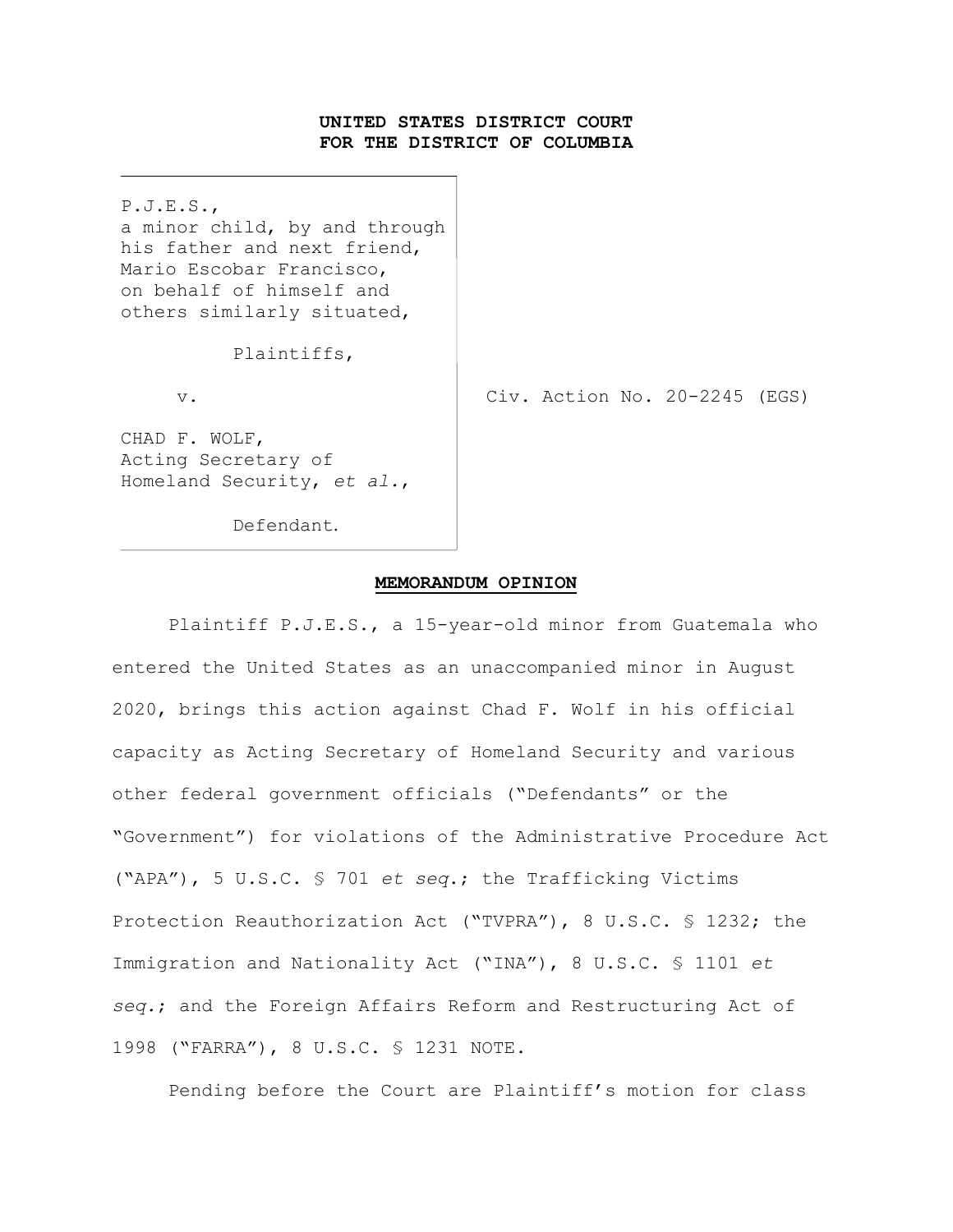### **UNITED STATES DISTRICT COURT FOR THE DISTRICT OF COLUMBIA**

P.J.E.S., a minor child, by and through his father and next friend, Mario Escobar Francisco, on behalf of himself and others similarly situated,

Plaintiffs,

v. Civ. Action No. 20-2245 (EGS)

CHAD F. WOLF, Acting Secretary of Homeland Security, *et al.*,

Defendant.

#### **MEMORANDUM OPINION**

Plaintiff P.J.E.S., a 15-year-old minor from Guatemala who entered the United States as an unaccompanied minor in August 2020, brings this action against Chad F. Wolf in his official capacity as Acting Secretary of Homeland Security and various other federal government officials ("Defendants" or the "Government") for violations of the Administrative Procedure Act ("APA"), 5 U.S.C. § 701 *et seq*.; the Trafficking Victims Protection Reauthorization Act ("TVPRA"), 8 U.S.C. § 1232; the Immigration and Nationality Act ("INA"), 8 U.S.C. § 1101 *et seq.*; and the Foreign Affairs Reform and Restructuring Act of 1998 ("FARRA"), 8 U.S.C. § 1231 NOTE.

Pending before the Court are Plaintiff's motion for class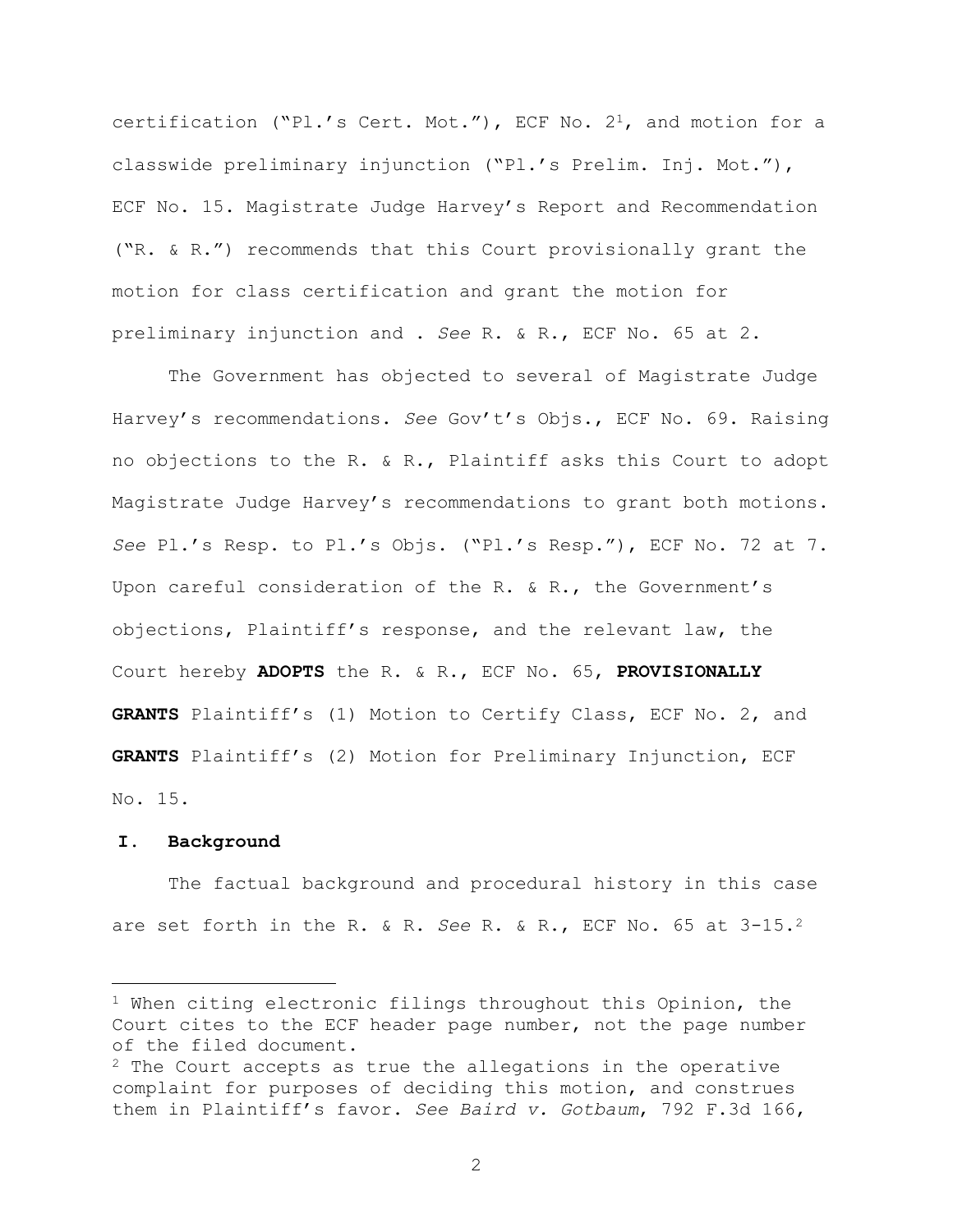certification ("Pl.'s Cert. Mot."), ECF No.  $2^1$ , and motion for a classwide preliminary injunction ("Pl.'s Prelim. Inj. Mot."), ECF No. 15. Magistrate Judge Harvey's Report and Recommendation ("R. & R.") recommends that this Court provisionally grant the motion for class certification and grant the motion for preliminary injunction and . *See* R. & R., ECF No. 65 at 2.

The Government has objected to several of Magistrate Judge Harvey's recommendations. *See* Gov't's Objs., ECF No. 69. Raising no objections to the R. & R., Plaintiff asks this Court to adopt Magistrate Judge Harvey's recommendations to grant both motions. *See* Pl.'s Resp. to Pl.'s Objs. ("Pl.'s Resp."), ECF No. 72 at 7. Upon careful consideration of the R. & R., the Government's objections, Plaintiff's response, and the relevant law, the Court hereby **ADOPTS** the R. & R., ECF No. 65, **PROVISIONALLY GRANTS** Plaintiff's (1) Motion to Certify Class, ECF No. 2, and **GRANTS** Plaintiff's (2) Motion for Preliminary Injunction, ECF No. 15.

### **I. Background**

L,

The factual background and procedural history in this case are set forth in the R. & R. *See* R. & R., ECF No. 65 at 3-15.<sup>2</sup>

 $1$  When citing electronic filings throughout this Opinion, the Court cites to the ECF header page number, not the page number of the filed document.

 $2$  The Court accepts as true the allegations in the operative complaint for purposes of deciding this motion, and construes them in Plaintiff's favor. *See Baird v. Gotbaum*, 792 F.3d 166,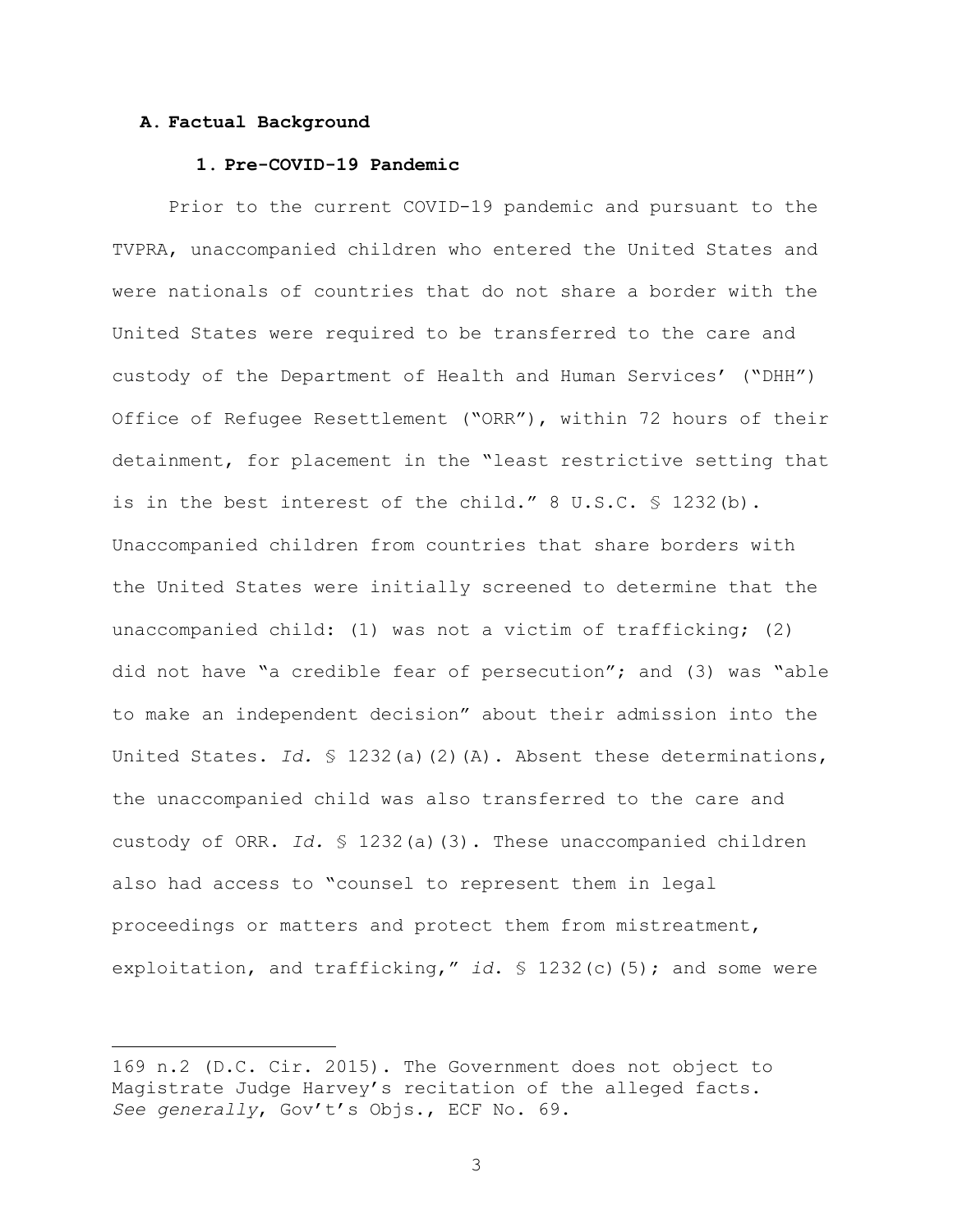### **A. Factual Background**

÷.

### **1. Pre-COVID-19 Pandemic**

Prior to the current COVID-19 pandemic and pursuant to the TVPRA, unaccompanied children who entered the United States and were nationals of countries that do not share a border with the United States were required to be transferred to the care and custody of the Department of Health and Human Services' ("DHH") Office of Refugee Resettlement ("ORR"), within 72 hours of their detainment, for placement in the "least restrictive setting that is in the best interest of the child." 8 U.S.C. § 1232(b). Unaccompanied children from countries that share borders with the United States were initially screened to determine that the unaccompanied child: (1) was not a victim of trafficking; (2) did not have "a credible fear of persecution"; and (3) was "able to make an independent decision" about their admission into the United States. *Id.* § 1232(a)(2)(A). Absent these determinations, the unaccompanied child was also transferred to the care and custody of ORR. *Id.* § 1232(a)(3). These unaccompanied children also had access to "counsel to represent them in legal proceedings or matters and protect them from mistreatment, exploitation, and trafficking," *id*. § 1232(c)(5); and some were

<sup>169</sup> n.2 (D.C. Cir. 2015). The Government does not object to Magistrate Judge Harvey's recitation of the alleged facts. *See generally*, Gov't's Objs., ECF No. 69.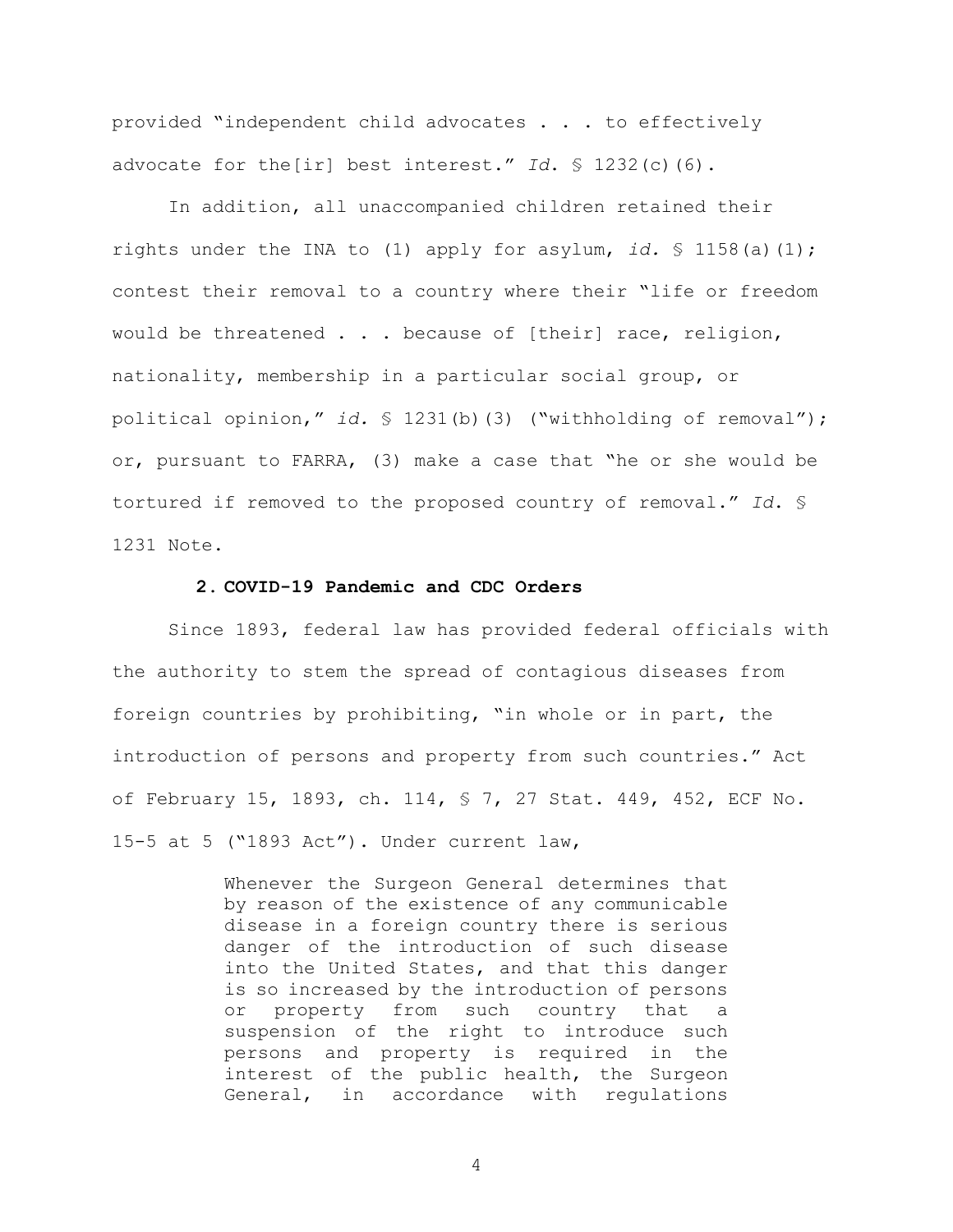provided "independent child advocates . . . to effectively advocate for the[ir] best interest." *Id*. § 1232(c)(6).

In addition, all unaccompanied children retained their rights under the INA to (1) apply for asylum, *id.* § 1158(a)(1); contest their removal to a country where their "life or freedom would be threatened . . . because of [their] race, religion, nationality, membership in a particular social group, or political opinion," *id.* § 1231(b)(3) ("withholding of removal"); or, pursuant to FARRA, (3) make a case that "he or she would be tortured if removed to the proposed country of removal." *Id*. § 1231 Note.

#### **2. COVID-19 Pandemic and CDC Orders**

Since 1893, federal law has provided federal officials with the authority to stem the spread of contagious diseases from foreign countries by prohibiting, "in whole or in part, the introduction of persons and property from such countries." Act of February 15, 1893, ch. 114, § 7, 27 Stat. 449, 452, ECF No. 15-5 at 5 ("1893 Act"). Under current law,

> Whenever the Surgeon General determines that by reason of the existence of any communicable disease in a foreign country there is serious danger of the introduction of such disease into the United States, and that this danger is so increased by the introduction of persons or property from such country that a suspension of the right to introduce such persons and property is required in the interest of the public health, the Surgeon General, in accordance with regulations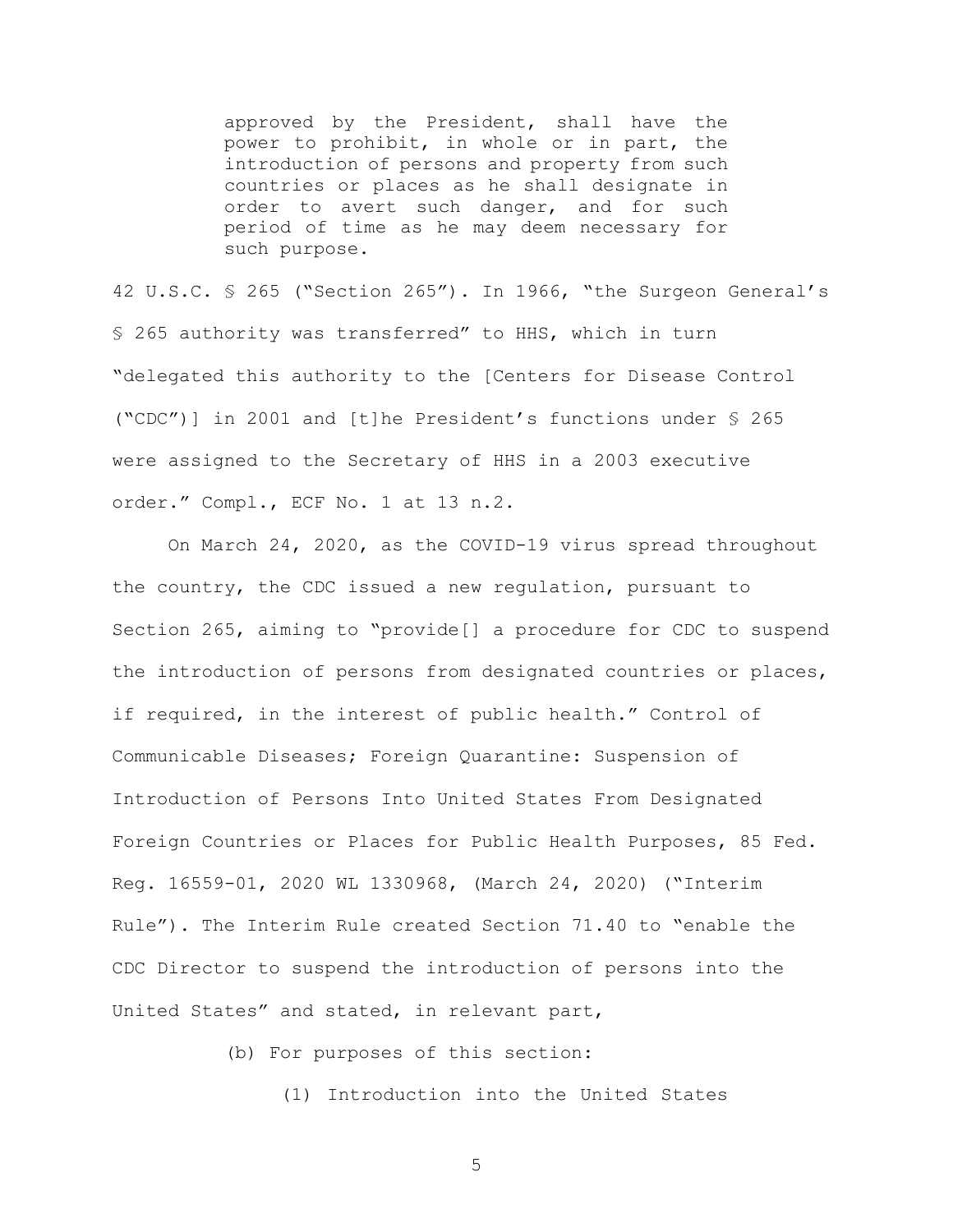approved by the President, shall have the power to prohibit, in whole or in part, the introduction of persons and property from such countries or places as he shall designate in order to avert such danger, and for such period of time as he may deem necessary for such purpose.

42 U.S.C. § 265 ("Section 265"). In 1966, "the Surgeon General's § 265 authority was transferred" to HHS, which in turn "delegated this authority to the [Centers for Disease Control ("CDC")] in 2001 and [t]he President's functions under § 265 were assigned to the Secretary of HHS in a 2003 executive order." Compl., ECF No. 1 at 13 n.2.

On March 24, 2020, as the COVID-19 virus spread throughout the country, the CDC issued a new regulation, pursuant to Section 265, aiming to "provide[] a procedure for CDC to suspend the introduction of persons from designated countries or places, if required, in the interest of public health." Control of Communicable Diseases; Foreign Quarantine: Suspension of Introduction of Persons Into United States From Designated Foreign Countries or Places for Public Health Purposes, 85 Fed. Reg. 16559-01, 2020 WL 1330968, (March 24, 2020) ("Interim Rule"). The Interim Rule created Section 71.40 to "enable the CDC Director to suspend the introduction of persons into the United States" and stated, in relevant part,

(b) For purposes of this section:

(1) Introduction into the United States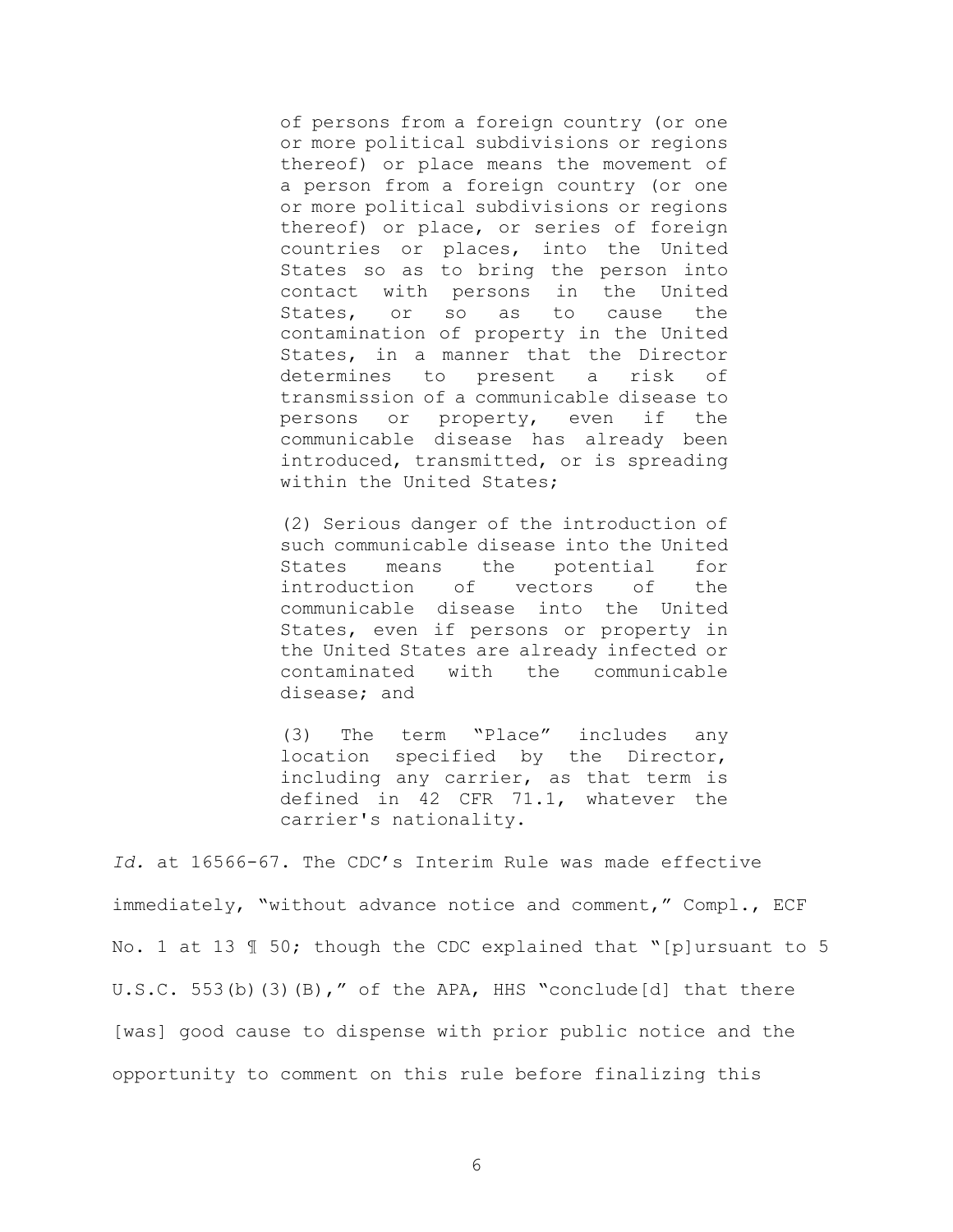of persons from a foreign country (or one or more political subdivisions or regions thereof) or place means the movement of a person from a foreign country (or one or more political subdivisions or regions thereof) or place, or series of foreign countries or places, into the United States so as to bring the person into contact with persons in the United States, or so as to cause the contamination of property in the United States, in a manner that the Director determines to present a risk of transmission of a communicable disease to persons or property, even if the communicable disease has already been introduced, transmitted, or is spreading within the United States;

(2) Serious danger of the introduction of such communicable disease into the United States means the potential for introduction of vectors of the communicable disease into the United States, even if persons or property in the United States are already infected or contaminated with the communicable disease; and

(3) The term "Place" includes any location specified by the Director, including any carrier, as that term is defined in 42 CFR 71.1, whatever the carrier's nationality.

*Id.* at 16566-67. The CDC's Interim Rule was made effective immediately, "without advance notice and comment," Compl., ECF No. 1 at 13 ¶ 50; though the CDC explained that "[p]ursuant to 5 U.S.C. 553(b)(3)(B)," of the APA, HHS "conclude[d] that there [was] good cause to dispense with prior public notice and the opportunity to comment on this rule before finalizing this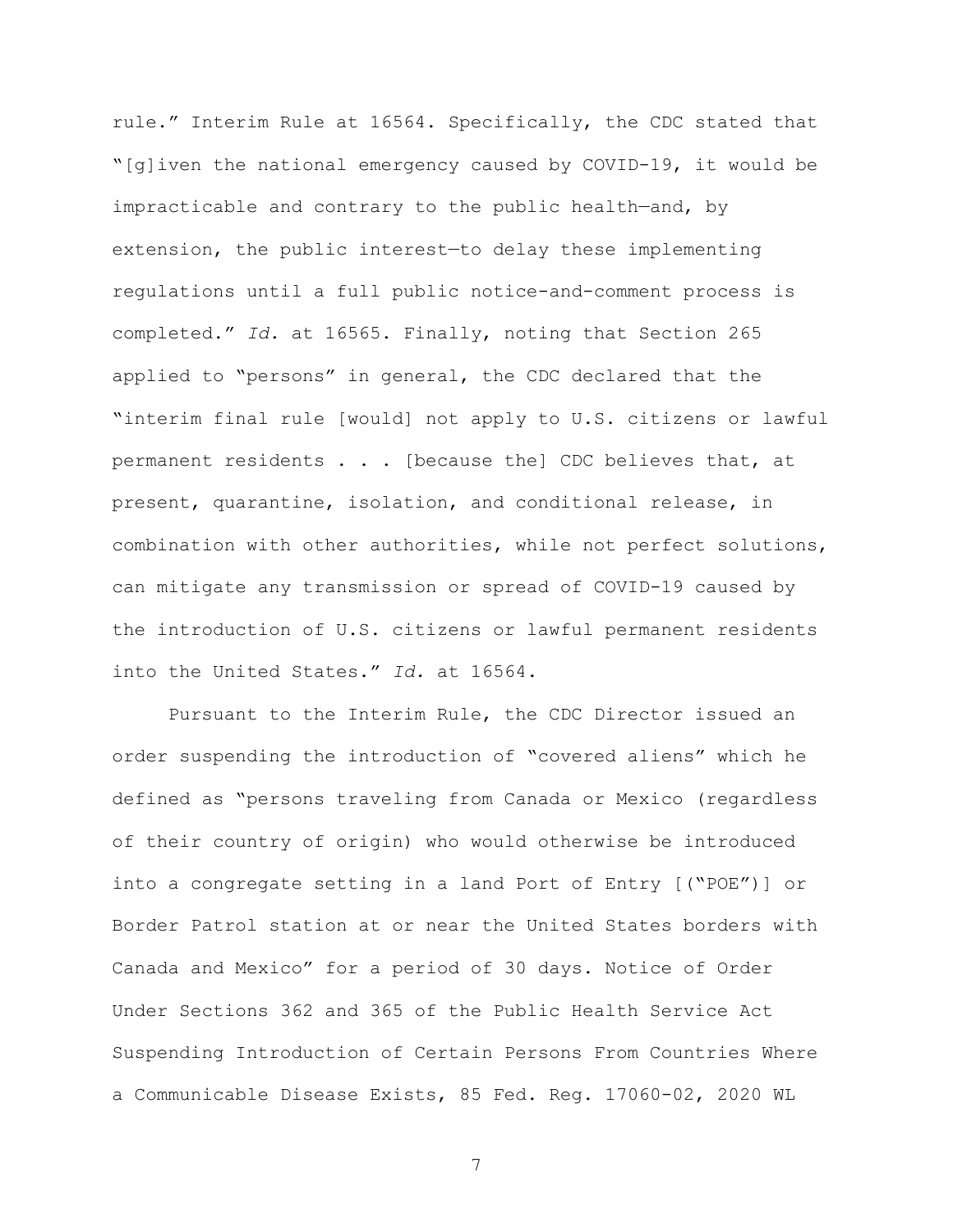rule." Interim Rule at 16564. Specifically, the CDC stated that "[g]iven the national emergency caused by COVID-19, it would be impracticable and contrary to the public health—and, by extension, the public interest—to delay these implementing regulations until a full public notice-and-comment process is completed." *Id.* at 16565. Finally, noting that Section 265 applied to "persons" in general, the CDC declared that the "interim final rule [would] not apply to U.S. citizens or lawful permanent residents . . . [because the] CDC believes that, at present, quarantine, isolation, and conditional release, in combination with other authorities, while not perfect solutions, can mitigate any transmission or spread of COVID-19 caused by the introduction of U.S. citizens or lawful permanent residents into the United States." *Id.* at 16564.

Pursuant to the Interim Rule, the CDC Director issued an order suspending the introduction of "covered aliens" which he defined as "persons traveling from Canada or Mexico (regardless of their country of origin) who would otherwise be introduced into a congregate setting in a land Port of Entry [("POE")] or Border Patrol station at or near the United States borders with Canada and Mexico" for a period of 30 days. Notice of Order Under Sections 362 and 365 of the Public Health Service Act Suspending Introduction of Certain Persons From Countries Where a Communicable Disease Exists, 85 Fed. Reg. 17060-02, 2020 WL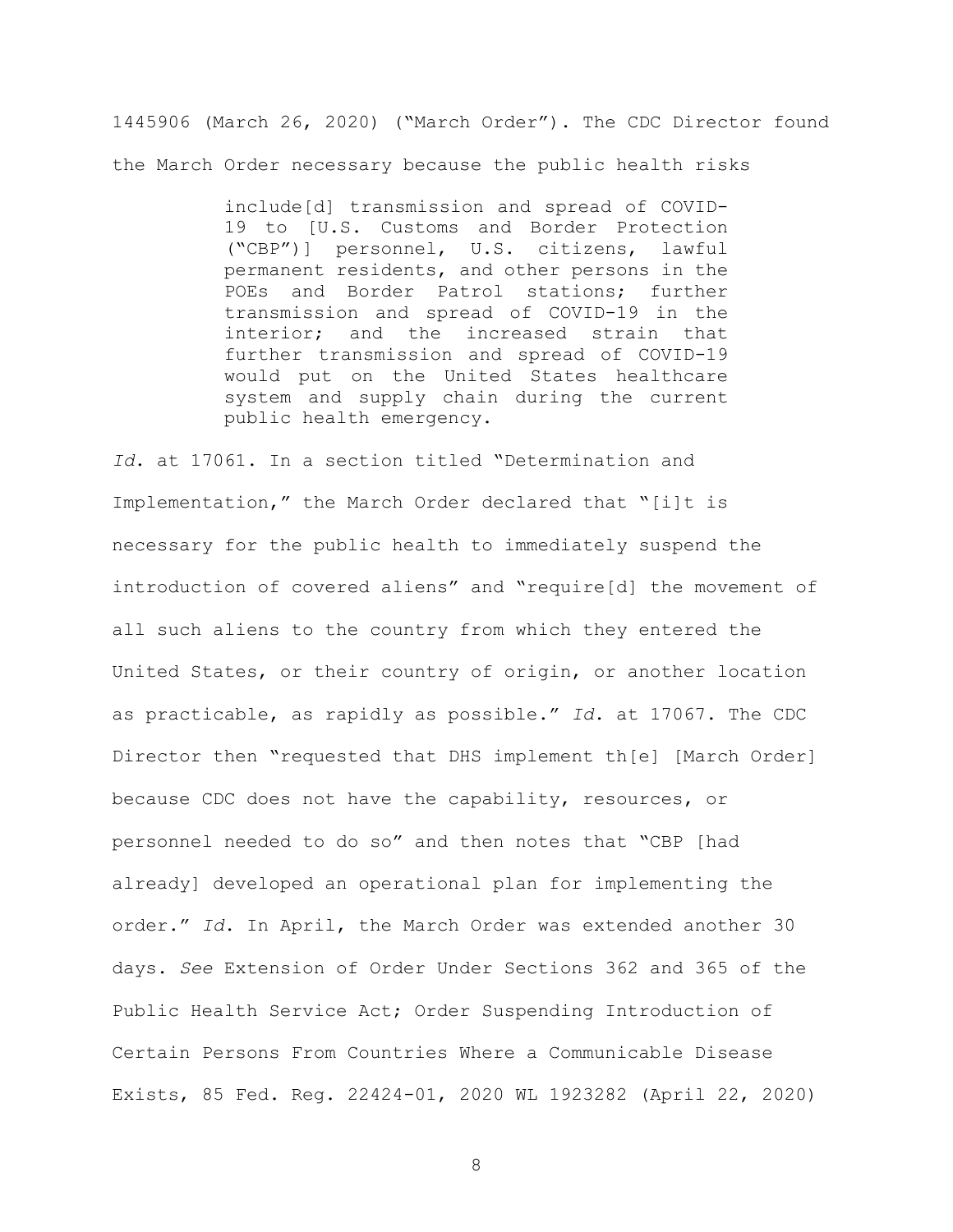1445906 (March 26, 2020) ("March Order"). The CDC Director found the March Order necessary because the public health risks

> include[d] transmission and spread of COVID-19 to [U.S. Customs and Border Protection ("CBP")] personnel, U.S. citizens, lawful permanent residents, and other persons in the POEs and Border Patrol stations; further transmission and spread of COVID-19 in the interior; and the increased strain that further transmission and spread of COVID-19 would put on the United States healthcare system and supply chain during the current public health emergency.

*Id*. at 17061. In a section titled "Determination and Implementation," the March Order declared that "[i]t is necessary for the public health to immediately suspend the introduction of covered aliens" and "require[d] the movement of all such aliens to the country from which they entered the United States, or their country of origin, or another location as practicable, as rapidly as possible." *Id*. at 17067. The CDC Director then "requested that DHS implement th[e] [March Order] because CDC does not have the capability, resources, or personnel needed to do so" and then notes that "CBP [had already] developed an operational plan for implementing the order." *Id*. In April, the March Order was extended another 30 days. *See* Extension of Order Under Sections 362 and 365 of the Public Health Service Act; Order Suspending Introduction of Certain Persons From Countries Where a Communicable Disease Exists, 85 Fed. Reg. 22424-01, 2020 WL 1923282 (April 22, 2020)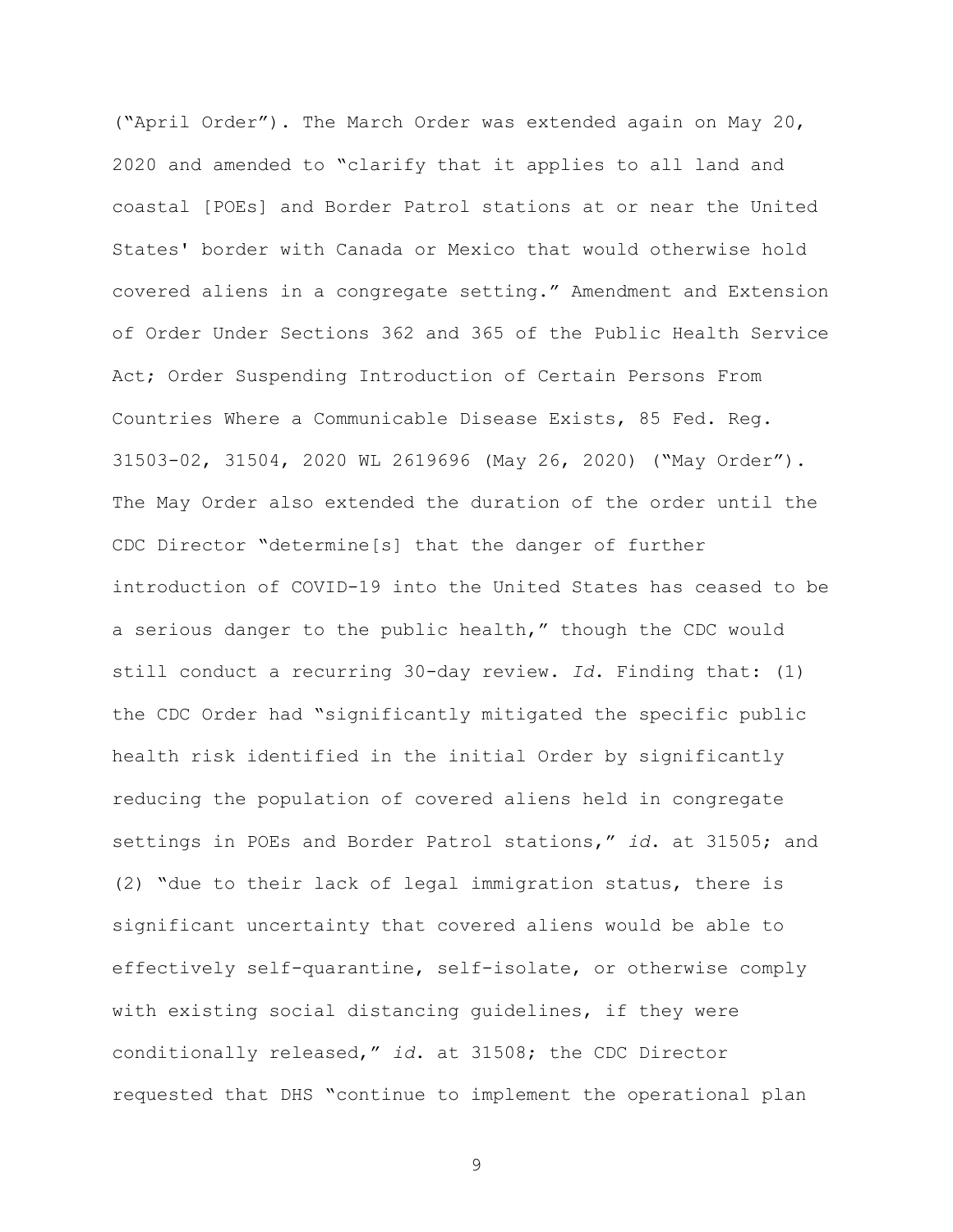("April Order"). The March Order was extended again on May 20, 2020 and amended to "clarify that it applies to all land and coastal [POEs] and Border Patrol stations at or near the United States' border with Canada or Mexico that would otherwise hold covered aliens in a congregate setting." Amendment and Extension of Order Under Sections 362 and 365 of the Public Health Service Act; Order Suspending Introduction of Certain Persons From Countries Where a Communicable Disease Exists, 85 Fed. Reg. 31503-02, 31504, 2020 WL 2619696 (May 26, 2020) ("May Order"). The May Order also extended the duration of the order until the CDC Director "determine[s] that the danger of further introduction of COVID-19 into the United States has ceased to be a serious danger to the public health," though the CDC would still conduct a recurring 30-day review. *Id*. Finding that: (1) the CDC Order had "significantly mitigated the specific public health risk identified in the initial Order by significantly reducing the population of covered aliens held in congregate settings in POEs and Border Patrol stations," *id*. at 31505; and (2) "due to their lack of legal immigration status, there is significant uncertainty that covered aliens would be able to effectively self-quarantine, self-isolate, or otherwise comply with existing social distancing guidelines, if they were conditionally released," *id*. at 31508; the CDC Director requested that DHS "continue to implement the operational plan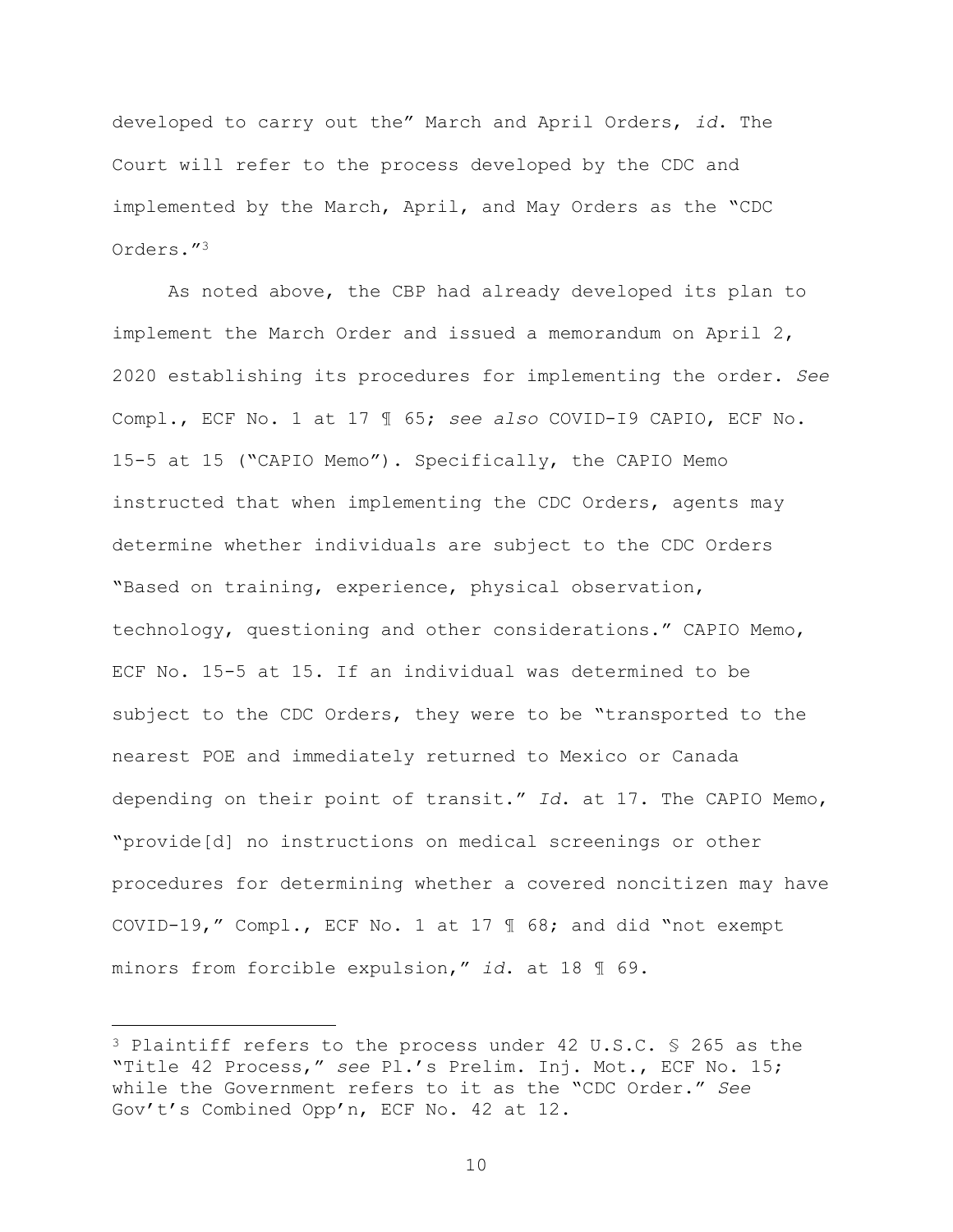developed to carry out the" March and April Orders, *id*. The Court will refer to the process developed by the CDC and implemented by the March, April, and May Orders as the "CDC Orders."<sup>3</sup>

As noted above, the CBP had already developed its plan to implement the March Order and issued a memorandum on April 2, 2020 establishing its procedures for implementing the order. *See* Compl., ECF No. 1 at 17 ¶ 65; *see also* COVID-I9 CAPIO, ECF No. 15-5 at 15 ("CAPIO Memo"). Specifically, the CAPIO Memo instructed that when implementing the CDC Orders, agents may determine whether individuals are subject to the CDC Orders "Based on training, experience, physical observation, technology, questioning and other considerations." CAPIO Memo, ECF No. 15-5 at 15. If an individual was determined to be subject to the CDC Orders, they were to be "transported to the nearest POE and immediately returned to Mexico or Canada depending on their point of transit." *Id*. at 17. The CAPIO Memo, "provide[d] no instructions on medical screenings or other procedures for determining whether a covered noncitizen may have COVID-19," Compl., ECF No. 1 at 17 ¶ 68; and did "not exempt minors from forcible expulsion," *id*. at 18 ¶ 69.

÷.

<sup>3</sup> Plaintiff refers to the process under 42 U.S.C. § 265 as the "Title 42 Process," *see* Pl.'s Prelim. Inj. Mot., ECF No. 15; while the Government refers to it as the "CDC Order." *See* Gov't's Combined Opp'n, ECF No. 42 at 12.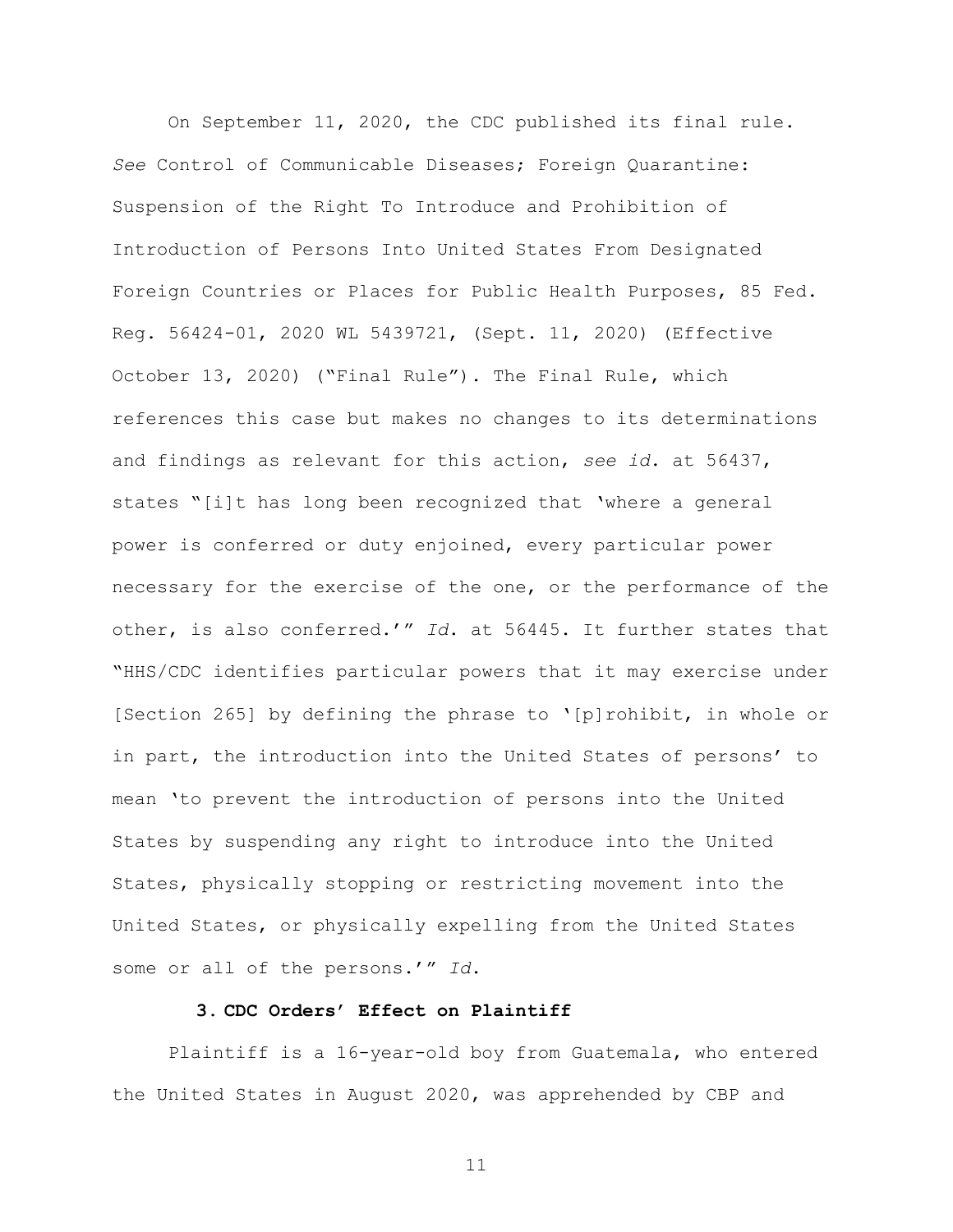On September 11, 2020, the CDC published its final rule. *See* Control of Communicable Diseases; Foreign Quarantine: Suspension of the Right To Introduce and Prohibition of Introduction of Persons Into United States From Designated Foreign Countries or Places for Public Health Purposes, 85 Fed. Reg. 56424-01, 2020 WL 5439721, (Sept. 11, 2020) (Effective October 13, 2020) ("Final Rule"). The Final Rule, which references this case but makes no changes to its determinations and findings as relevant for this action, *see id*. at 56437, states "[i]t has long been recognized that 'where a general power is conferred or duty enjoined, every particular power necessary for the exercise of the one, or the performance of the other, is also conferred.'" *Id*. at 56445. It further states that "HHS/CDC identifies particular powers that it may exercise under [Section 265] by defining the phrase to '[p]rohibit, in whole or in part, the introduction into the United States of persons' to mean 'to prevent the introduction of persons into the United States by suspending any right to introduce into the United States, physically stopping or restricting movement into the United States, or physically expelling from the United States some or all of the persons.'" *Id*.

## **3. CDC Orders' Effect on Plaintiff**

Plaintiff is a 16-year-old boy from Guatemala, who entered the United States in August 2020, was apprehended by CBP and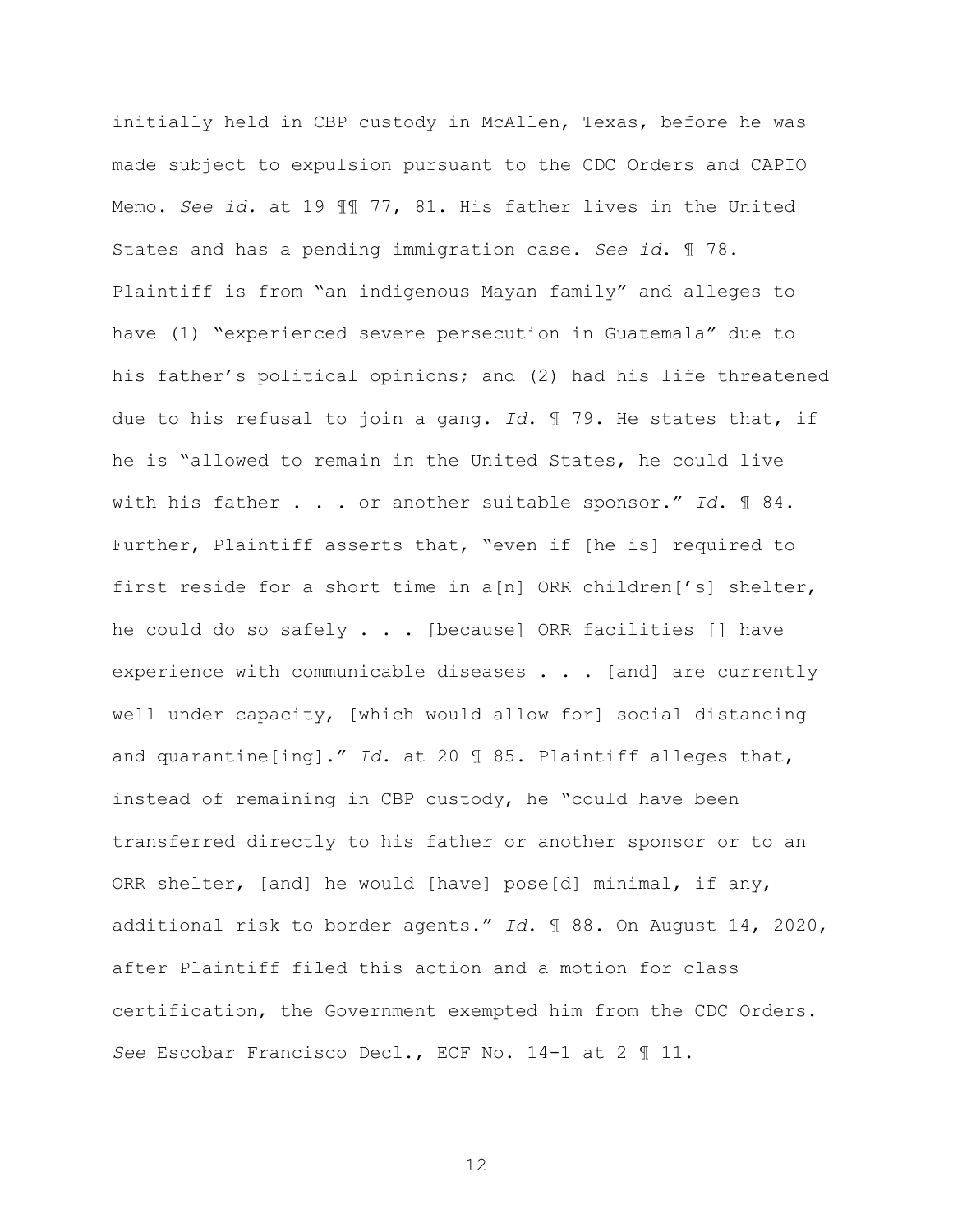initially held in CBP custody in McAllen, Texas, before he was made subject to expulsion pursuant to the CDC Orders and CAPIO Memo. *See id.* at 19 ¶¶ 77, 81. His father lives in the United States and has a pending immigration case. *See id*. ¶ 78. Plaintiff is from "an indigenous Mayan family" and alleges to have (1) "experienced severe persecution in Guatemala" due to his father's political opinions; and (2) had his life threatened due to his refusal to join a gang. *Id*. ¶ 79. He states that, if he is "allowed to remain in the United States, he could live with his father . . . or another suitable sponsor." *Id*. ¶ 84. Further, Plaintiff asserts that, "even if [he is] required to first reside for a short time in a[n] ORR children['s] shelter, he could do so safely . . . [because] ORR facilities [] have experience with communicable diseases . . . [and] are currently well under capacity, [which would allow for] social distancing and quarantine[ing]." *Id*. at 20 ¶ 85. Plaintiff alleges that, instead of remaining in CBP custody, he "could have been transferred directly to his father or another sponsor or to an ORR shelter, [and] he would [have] pose[d] minimal, if any, additional risk to border agents." *Id*. ¶ 88. On August 14, 2020, after Plaintiff filed this action and a motion for class certification, the Government exempted him from the CDC Orders. *See* Escobar Francisco Decl., ECF No. 14-1 at 2 ¶ 11.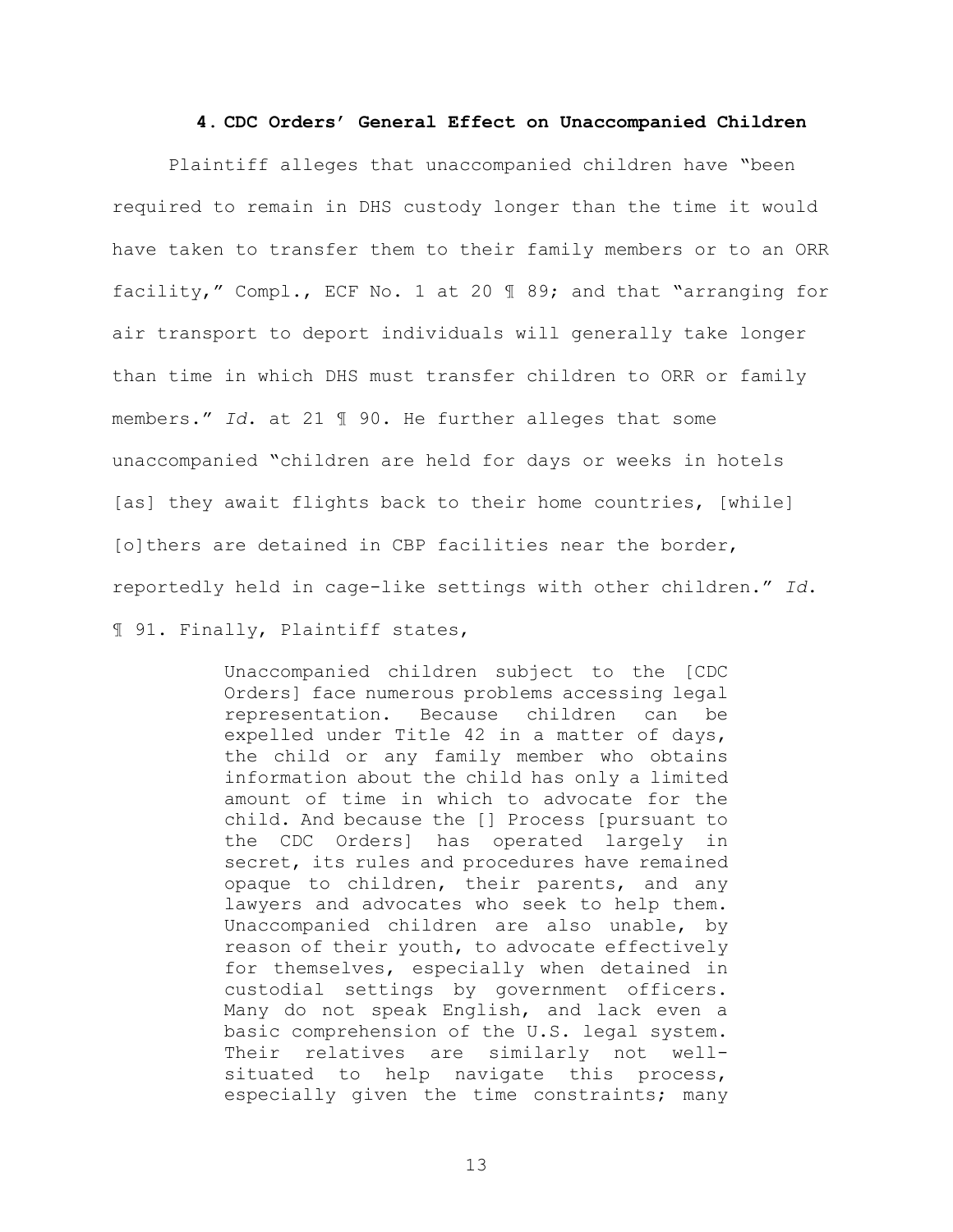### **4. CDC Orders' General Effect on Unaccompanied Children**

Plaintiff alleges that unaccompanied children have "been required to remain in DHS custody longer than the time it would have taken to transfer them to their family members or to an ORR facility," Compl., ECF No. 1 at 20 ¶ 89; and that "arranging for air transport to deport individuals will generally take longer than time in which DHS must transfer children to ORR or family members." *Id*. at 21 ¶ 90. He further alleges that some unaccompanied "children are held for days or weeks in hotels [as] they await flights back to their home countries, [while] [o]thers are detained in CBP facilities near the border, reportedly held in cage-like settings with other children." *Id*. ¶ 91. Finally, Plaintiff states,

> Unaccompanied children subject to the [CDC Orders] face numerous problems accessing legal representation. Because children can be expelled under Title 42 in a matter of days, the child or any family member who obtains information about the child has only a limited amount of time in which to advocate for the child. And because the [] Process [pursuant to the CDC Orders] has operated largely in secret, its rules and procedures have remained opaque to children, their parents, and any lawyers and advocates who seek to help them. Unaccompanied children are also unable, by reason of their youth, to advocate effectively for themselves, especially when detained in custodial settings by government officers. Many do not speak English, and lack even a basic comprehension of the U.S. legal system. Their relatives are similarly not wellsituated to help navigate this process, especially given the time constraints; many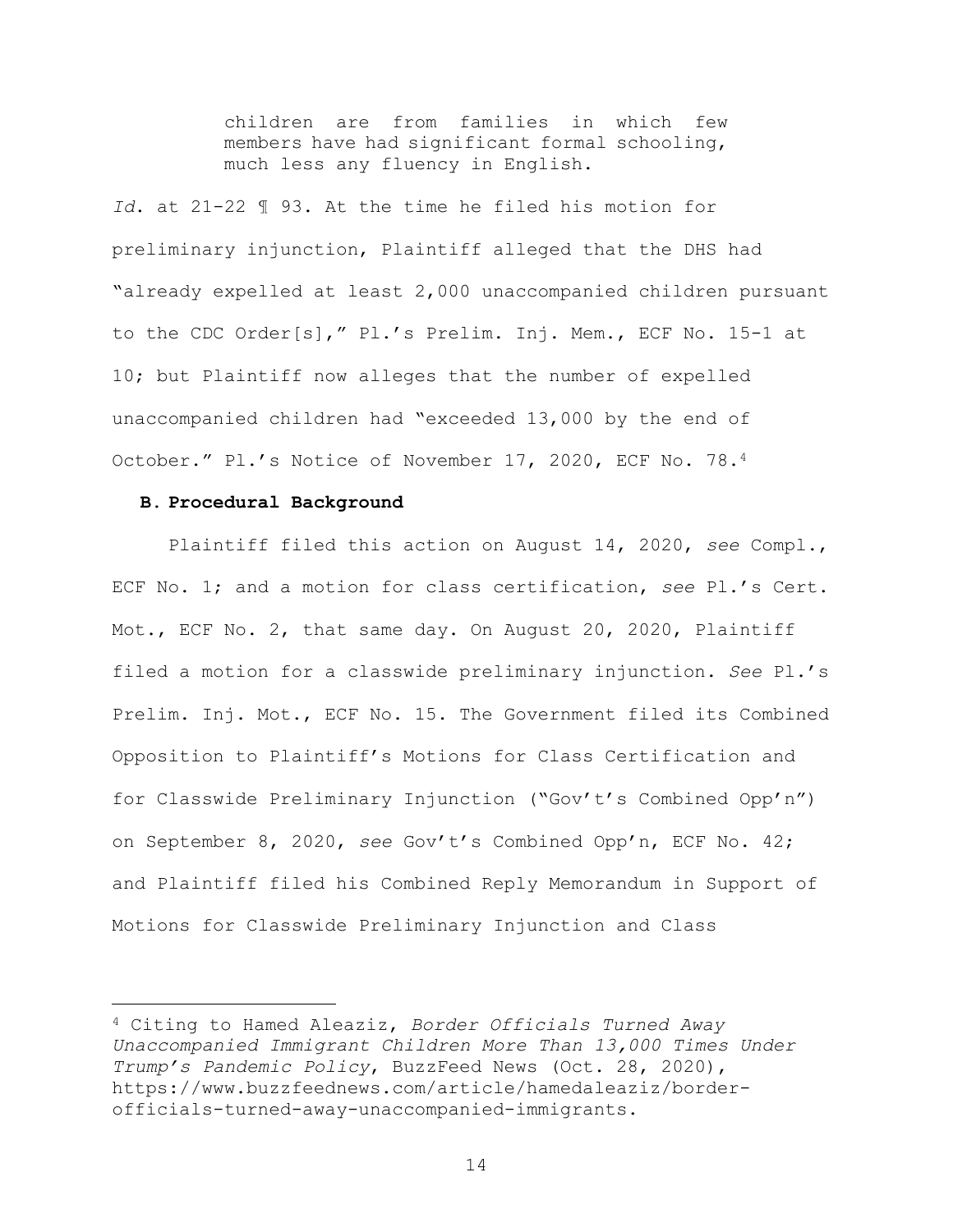children are from families in which few members have had significant formal schooling, much less any fluency in English.

*Id*. at 21-22 ¶ 93. At the time he filed his motion for preliminary injunction, Plaintiff alleged that the DHS had "already expelled at least 2,000 unaccompanied children pursuant to the CDC Order[s]," Pl.'s Prelim. Inj. Mem., ECF No. 15-1 at 10; but Plaintiff now alleges that the number of expelled unaccompanied children had "exceeded 13,000 by the end of October." Pl.'s Notice of November 17, 2020, ECF No. 78.<sup>4</sup>

### **B. Procedural Background**

÷.

Plaintiff filed this action on August 14, 2020, *see* Compl., ECF No. 1; and a motion for class certification, *see* Pl.'s Cert. Mot., ECF No. 2, that same day. On August 20, 2020, Plaintiff filed a motion for a classwide preliminary injunction. *See* Pl.'s Prelim. Inj. Mot., ECF No. 15. The Government filed its Combined Opposition to Plaintiff's Motions for Class Certification and for Classwide Preliminary Injunction ("Gov't's Combined Opp'n") on September 8, 2020, *see* Gov't's Combined Opp'n, ECF No. 42; and Plaintiff filed his Combined Reply Memorandum in Support of Motions for Classwide Preliminary Injunction and Class

<sup>4</sup> Citing to Hamed Aleaziz, *Border Officials Turned Away Unaccompanied Immigrant Children More Than 13,000 Times Under Trump's Pandemic Policy*, BuzzFeed News (Oct. 28, 2020), https://www.buzzfeednews.com/article/hamedaleaziz/borderofficials-turned-away-unaccompanied-immigrants.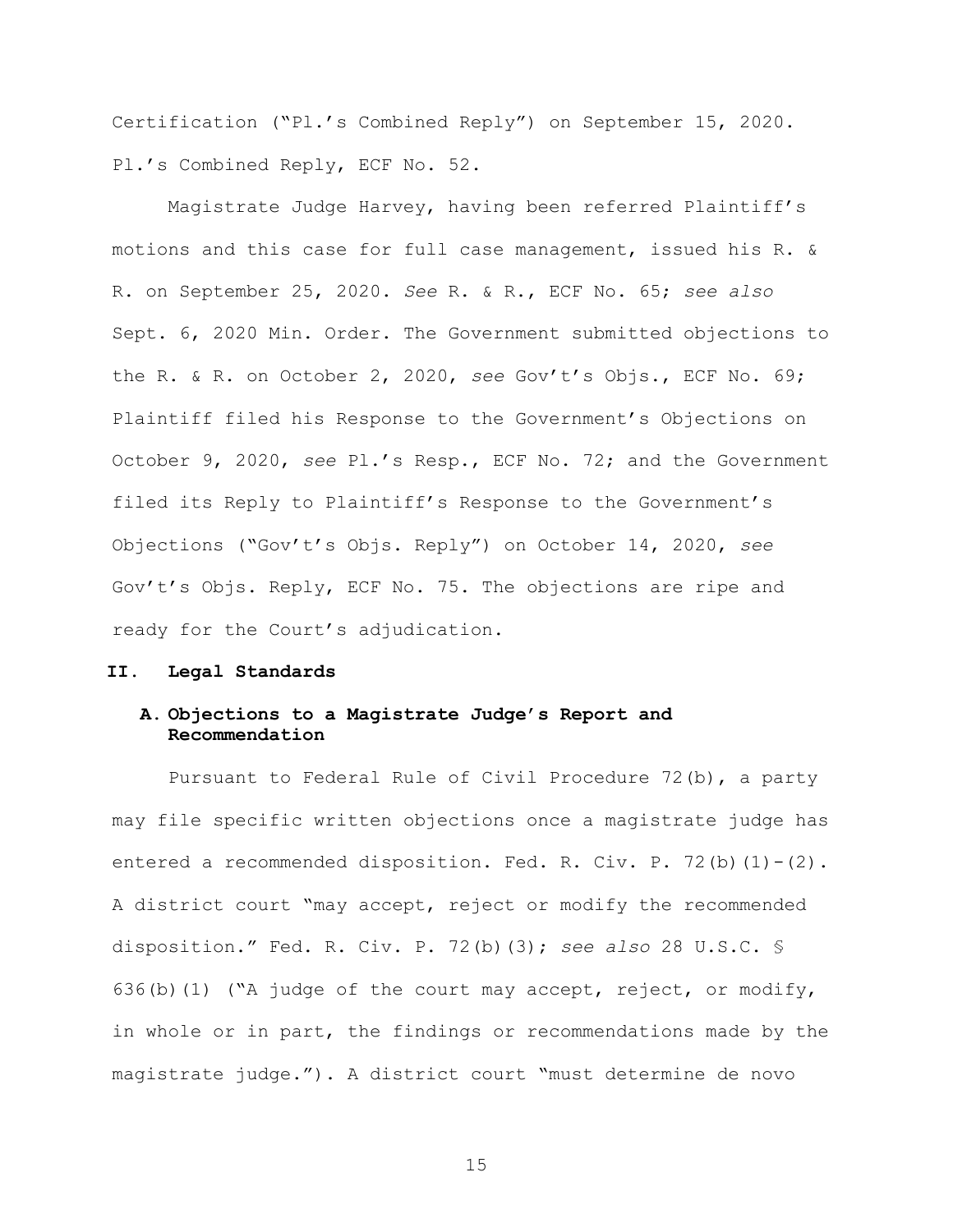Certification ("Pl.'s Combined Reply") on September 15, 2020. Pl.'s Combined Reply, ECF No. 52.

Magistrate Judge Harvey, having been referred Plaintiff's motions and this case for full case management, issued his R. & R. on September 25, 2020. *See* R. & R., ECF No. 65; *see also* Sept. 6, 2020 Min. Order. The Government submitted objections to the R. & R. on October 2, 2020, *see* Gov't's Objs., ECF No. 69; Plaintiff filed his Response to the Government's Objections on October 9, 2020, *see* Pl.'s Resp., ECF No. 72; and the Government filed its Reply to Plaintiff's Response to the Government's Objections ("Gov't's Objs. Reply") on October 14, 2020, *see* Gov't's Objs. Reply, ECF No. 75. The objections are ripe and ready for the Court's adjudication.

### **II. Legal Standards**

## **A. Objections to a Magistrate Judge's Report and Recommendation**

Pursuant to Federal Rule of Civil Procedure 72(b), a party may file specific written objections once a magistrate judge has entered a recommended disposition. Fed. R. Civ. P. 72(b)(1)-(2). A district court "may accept, reject or modify the recommended disposition." Fed. R. Civ. P. 72(b)(3); *see also* 28 U.S.C. § 636(b)(1) ("A judge of the court may accept, reject, or modify, in whole or in part, the findings or recommendations made by the magistrate judge."). A district court "must determine de novo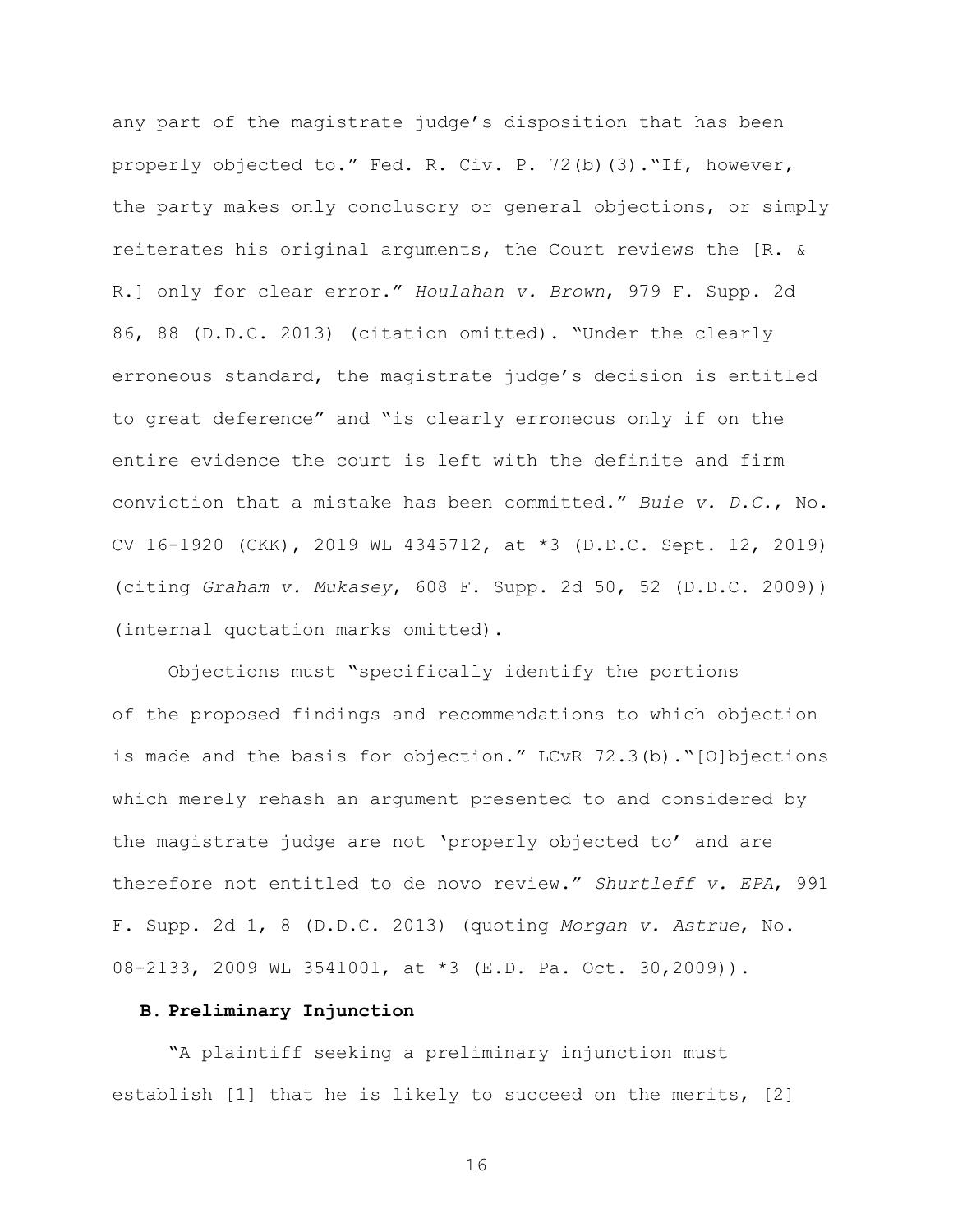any part of the magistrate judge's disposition that has been properly objected to." Fed. R. Civ. P. 72(b)(3)."If, however, the party makes only conclusory or general objections, or simply reiterates his original arguments, the Court reviews the [R. & R.] only for clear error." *Houlahan v. Brown*, 979 F. Supp. 2d 86, 88 (D.D.C. 2013) (citation omitted). "Under the clearly erroneous standard, the magistrate judge's decision is entitled to great deference" and "is clearly erroneous only if on the entire evidence the court is left with the definite and firm conviction that a mistake has been committed." *Buie v. D.C.*, No. CV 16-1920 (CKK), 2019 WL 4345712, at \*3 (D.D.C. Sept. 12, 2019) (citing *Graham v. Mukasey*, 608 F. Supp. 2d 50, 52 (D.D.C. 2009)) (internal quotation marks omitted).

Objections must "specifically identify the portions of the proposed findings and recommendations to which objection is made and the basis for objection." LCvR 72.3(b)."[O]bjections which merely rehash an argument presented to and considered by the magistrate judge are not 'properly objected to' and are therefore not entitled to de novo review." *Shurtleff v. EPA*, 991 F. Supp. 2d 1, 8 (D.D.C. 2013) (quoting *Morgan v. Astrue*, No. 08-2133, 2009 WL 3541001, at \*3 (E.D. Pa. Oct. 30,2009)).

# **B. Preliminary Injunction**

"A plaintiff seeking a preliminary injunction must establish [1] that he is likely to succeed on the merits, [2]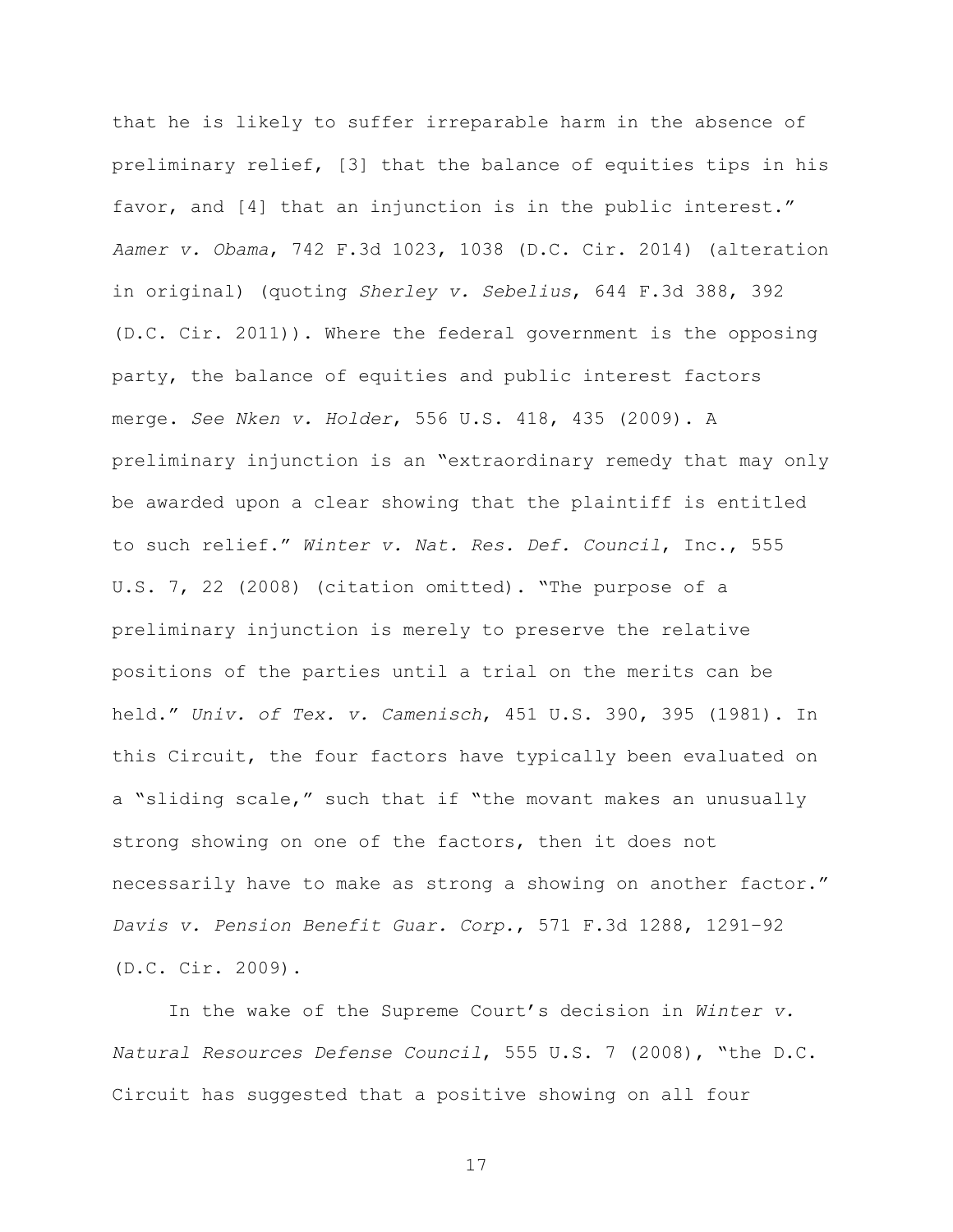that he is likely to suffer irreparable harm in the absence of preliminary relief, [3] that the balance of equities tips in his favor, and [4] that an injunction is in the public interest." *Aamer v. Obama*, 742 F.3d 1023, 1038 (D.C. Cir. 2014) (alteration in original) (quoting *Sherley v. Sebelius*, 644 F.3d 388, 392 (D.C. Cir. 2011)). Where the federal government is the opposing party, the balance of equities and public interest factors merge. *See Nken v. Holder*, 556 U.S. 418, 435 (2009). A preliminary injunction is an "extraordinary remedy that may only be awarded upon a clear showing that the plaintiff is entitled to such relief." *Winter v. Nat. Res. Def. Council*, Inc., 555 U.S. 7, 22 (2008) (citation omitted). "The purpose of a preliminary injunction is merely to preserve the relative positions of the parties until a trial on the merits can be held." *Univ. of Tex. v. Camenisch*, 451 U.S. 390, 395 (1981). In this Circuit, the four factors have typically been evaluated on a "sliding scale," such that if "the movant makes an unusually strong showing on one of the factors, then it does not necessarily have to make as strong a showing on another factor." *Davis v. Pension Benefit Guar. Corp.*, 571 F.3d 1288, 1291–92 (D.C. Cir. 2009).

In the wake of the Supreme Court's decision in *Winter v. Natural Resources Defense Council*, 555 U.S. 7 (2008), "the D.C. Circuit has suggested that a positive showing on all four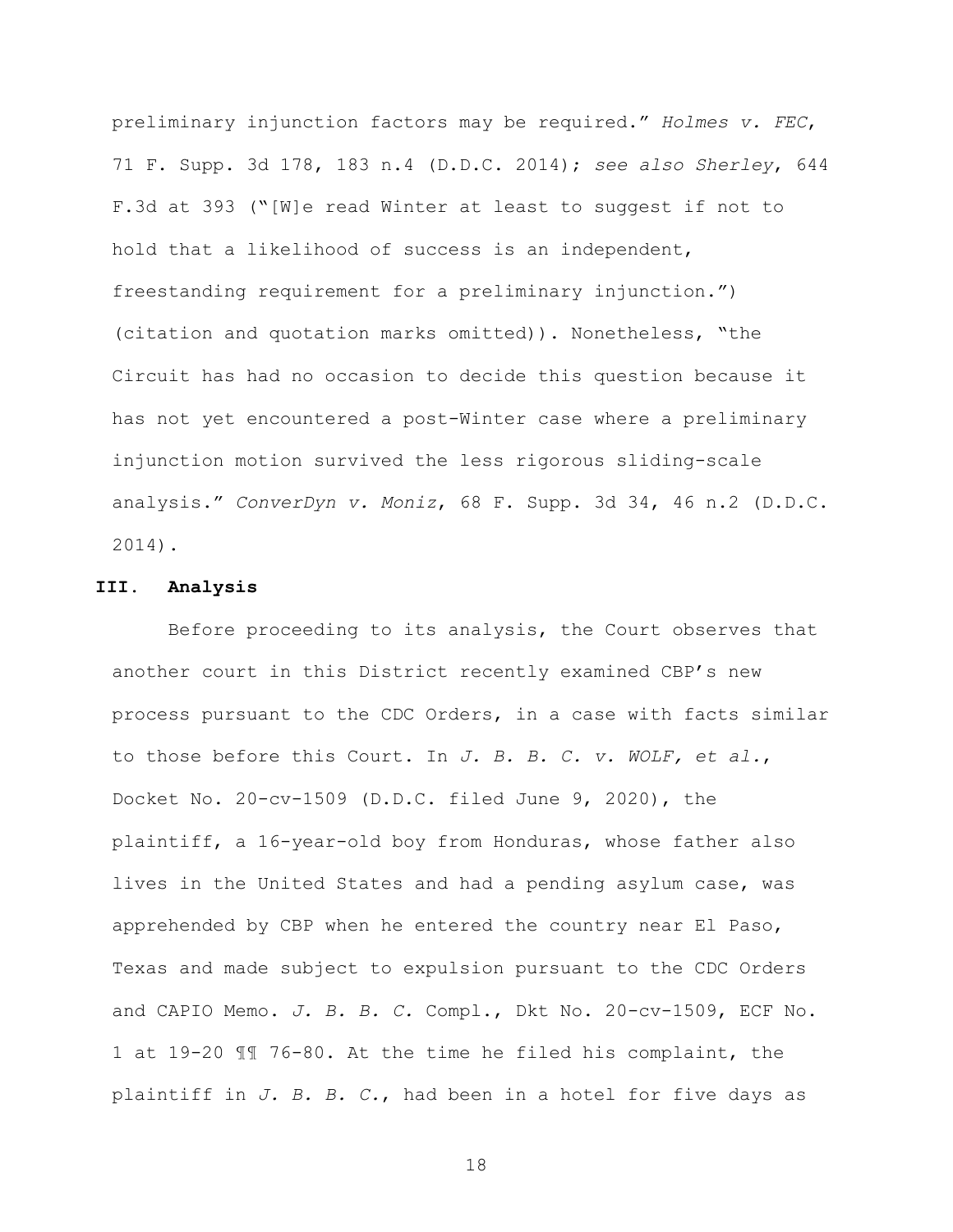preliminary injunction factors may be required." *Holmes v. FEC*, 71 F. Supp. 3d 178, 183 n.4 (D.D.C. 2014); *see also Sherley*, 644 F.3d at 393 ("[W]e read Winter at least to suggest if not to hold that a likelihood of success is an independent, freestanding requirement for a preliminary injunction.") (citation and quotation marks omitted)). Nonetheless, "the Circuit has had no occasion to decide this question because it has not yet encountered a post-Winter case where a preliminary injunction motion survived the less rigorous sliding-scale analysis." *ConverDyn v. Moniz*, 68 F. Supp. 3d 34, 46 n.2 (D.D.C. 2014).

#### **III. Analysis**

Before proceeding to its analysis, the Court observes that another court in this District recently examined CBP's new process pursuant to the CDC Orders, in a case with facts similar to those before this Court. In *J. B. B. C. v. WOLF, et al.*, Docket No. 20-cv-1509 (D.D.C. filed June 9, 2020), the plaintiff, a 16-year-old boy from Honduras, whose father also lives in the United States and had a pending asylum case, was apprehended by CBP when he entered the country near El Paso, Texas and made subject to expulsion pursuant to the CDC Orders and CAPIO Memo. *J. B. B. C.* Compl., Dkt No. 20-cv-1509, ECF No. 1 at 19-20 ¶¶ 76-80. At the time he filed his complaint, the plaintiff in *J. B. B. C.*, had been in a hotel for five days as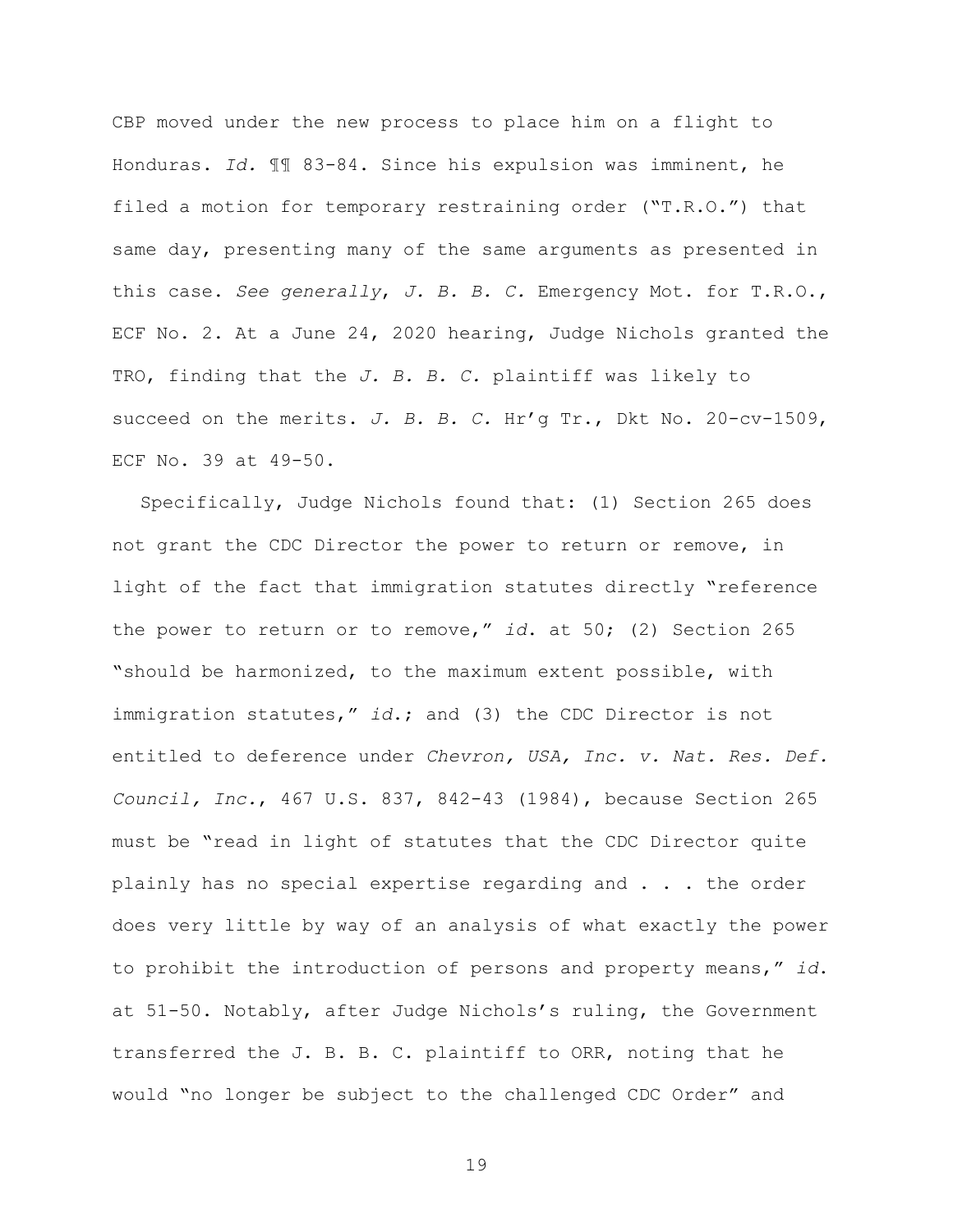CBP moved under the new process to place him on a flight to Honduras. *Id.* ¶¶ 83-84. Since his expulsion was imminent, he filed a motion for temporary restraining order ("T.R.O.") that same day, presenting many of the same arguments as presented in this case. *See generally*, *J. B. B. C.* Emergency Mot. for T.R.O., ECF No. 2. At a June 24, 2020 hearing, Judge Nichols granted the TRO, finding that the *J. B. B. C.* plaintiff was likely to succeed on the merits. *J. B. B. C.* Hr'g Tr., Dkt No. 20-cv-1509, ECF No. 39 at 49-50.

Specifically, Judge Nichols found that: (1) Section 265 does not grant the CDC Director the power to return or remove, in light of the fact that immigration statutes directly "reference the power to return or to remove," *id*. at 50; (2) Section 265 "should be harmonized, to the maximum extent possible, with immigration statutes," *id*.; and (3) the CDC Director is not entitled to deference under *Chevron, USA, Inc. v. Nat. Res. Def. Council, Inc.*, 467 U.S. 837, 842-43 (1984), because Section 265 must be "read in light of statutes that the CDC Director quite plainly has no special expertise regarding and . . . the order does very little by way of an analysis of what exactly the power to prohibit the introduction of persons and property means," *id*. at 51-50. Notably, after Judge Nichols's ruling, the Government transferred the J. B. B. C. plaintiff to ORR, noting that he would "no longer be subject to the challenged CDC Order" and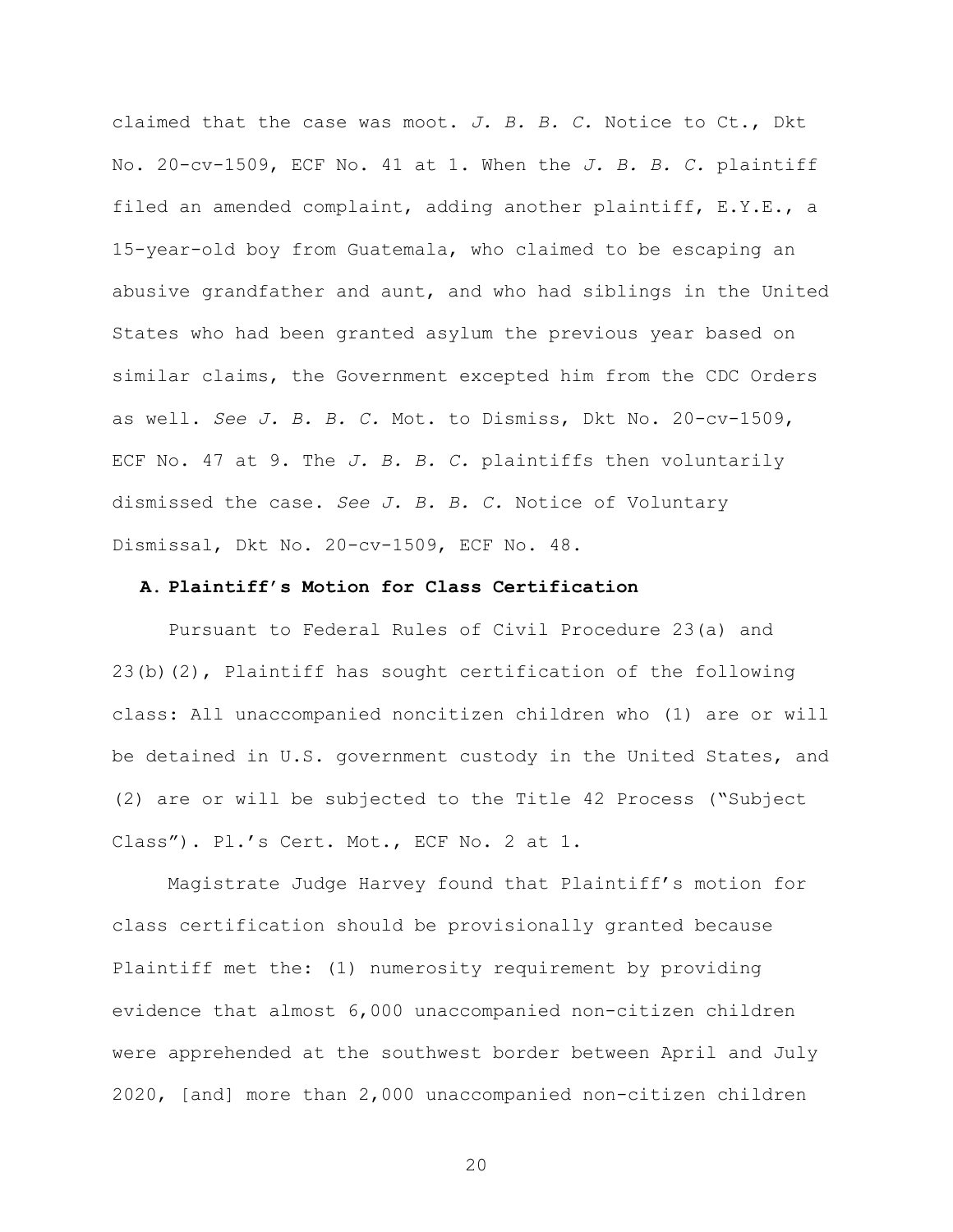claimed that the case was moot. *J. B. B. C.* Notice to Ct., Dkt No. 20-cv-1509, ECF No. 41 at 1. When the *J. B. B. C.* plaintiff filed an amended complaint, adding another plaintiff, E.Y.E., a 15-year-old boy from Guatemala, who claimed to be escaping an abusive grandfather and aunt, and who had siblings in the United States who had been granted asylum the previous year based on similar claims, the Government excepted him from the CDC Orders as well. *See J. B. B. C.* Mot. to Dismiss, Dkt No. 20-cv-1509, ECF No. 47 at 9. The *J. B. B. C.* plaintiffs then voluntarily dismissed the case. *See J. B. B. C.* Notice of Voluntary Dismissal, Dkt No. 20-cv-1509, ECF No. 48.

#### **A. Plaintiff's Motion for Class Certification**

Pursuant to Federal Rules of Civil Procedure 23(a) and 23(b)(2), Plaintiff has sought certification of the following class: All unaccompanied noncitizen children who (1) are or will be detained in U.S. government custody in the United States, and (2) are or will be subjected to the Title 42 Process ("Subject Class"). Pl.'s Cert. Mot., ECF No. 2 at 1.

Magistrate Judge Harvey found that Plaintiff's motion for class certification should be provisionally granted because Plaintiff met the: (1) numerosity requirement by providing evidence that almost 6,000 unaccompanied non-citizen children were apprehended at the southwest border between April and July 2020, [and] more than 2,000 unaccompanied non-citizen children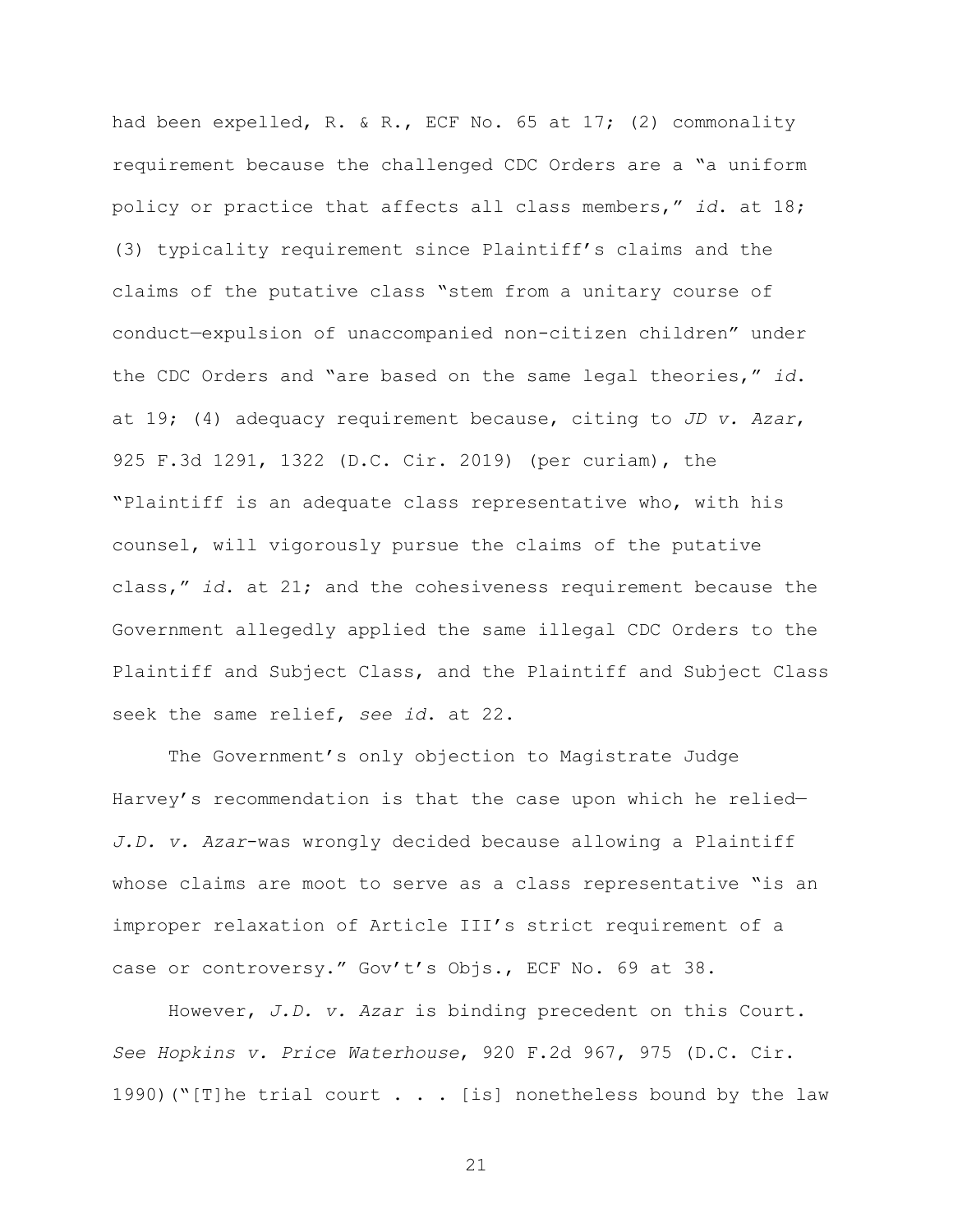had been expelled, R. & R., ECF No. 65 at 17; (2) commonality requirement because the challenged CDC Orders are a "a uniform policy or practice that affects all class members," *id*. at 18; (3) typicality requirement since Plaintiff's claims and the claims of the putative class "stem from a unitary course of conduct—expulsion of unaccompanied non-citizen children" under the CDC Orders and "are based on the same legal theories," *id*. at 19; (4) adequacy requirement because, citing to *JD v. Azar*, 925 F.3d 1291, 1322 (D.C. Cir. 2019) (per curiam), the "Plaintiff is an adequate class representative who, with his counsel, will vigorously pursue the claims of the putative class," *id*. at 21; and the cohesiveness requirement because the Government allegedly applied the same illegal CDC Orders to the Plaintiff and Subject Class, and the Plaintiff and Subject Class seek the same relief, *see id*. at 22.

The Government's only objection to Magistrate Judge Harvey's recommendation is that the case upon which he relied— *J.D. v. Azar*-was wrongly decided because allowing a Plaintiff whose claims are moot to serve as a class representative "is an improper relaxation of Article III's strict requirement of a case or controversy." Gov't's Objs., ECF No. 69 at 38.

However, *J.D. v. Azar* is binding precedent on this Court. *See Hopkins v. Price Waterhouse*, 920 F.2d 967, 975 (D.C. Cir. 1990)("[T]he trial court  $\ldots$  [is] nonetheless bound by the law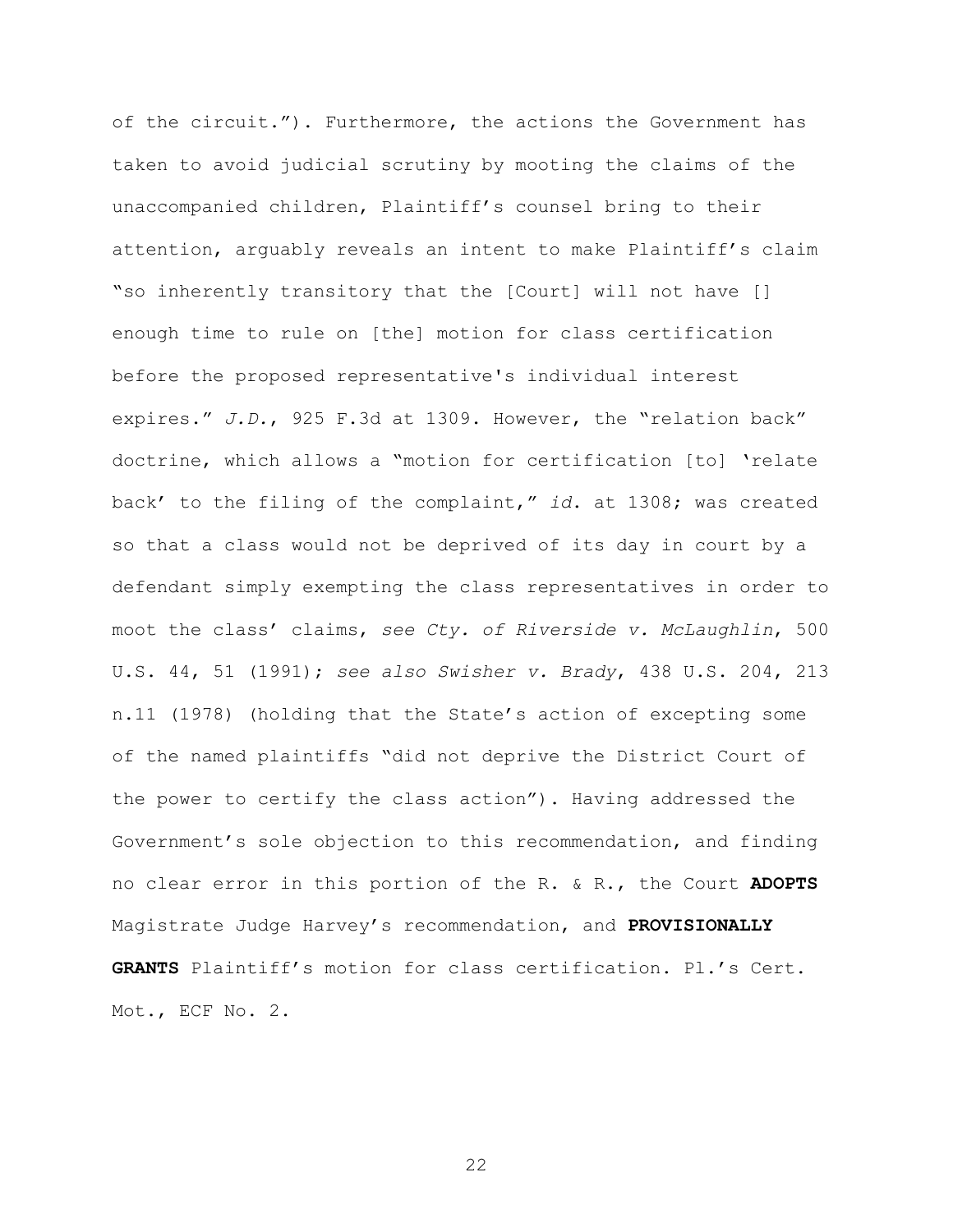of the circuit."). Furthermore, the actions the Government has taken to avoid judicial scrutiny by mooting the claims of the unaccompanied children, Plaintiff's counsel bring to their attention, arguably reveals an intent to make Plaintiff's claim "so inherently transitory that the [Court] will not have [] enough time to rule on [the] motion for class certification before the proposed representative's individual interest expires." *J.D.*, 925 F.3d at 1309. However, the "relation back" doctrine, which allows a "motion for certification [to] 'relate back' to the filing of the complaint," *id*. at 1308; was created so that a class would not be deprived of its day in court by a defendant simply exempting the class representatives in order to moot the class' claims, *see Cty. of Riverside v. McLaughlin*, 500 U.S. 44, 51 (1991); *see also Swisher v. Brady*, 438 U.S. 204, 213 n.11 (1978) (holding that the State's action of excepting some of the named plaintiffs "did not deprive the District Court of the power to certify the class action"). Having addressed the Government's sole objection to this recommendation, and finding no clear error in this portion of the R. & R., the Court **ADOPTS** Magistrate Judge Harvey's recommendation, and **PROVISIONALLY GRANTS** Plaintiff's motion for class certification. Pl.'s Cert. Mot., ECF No. 2.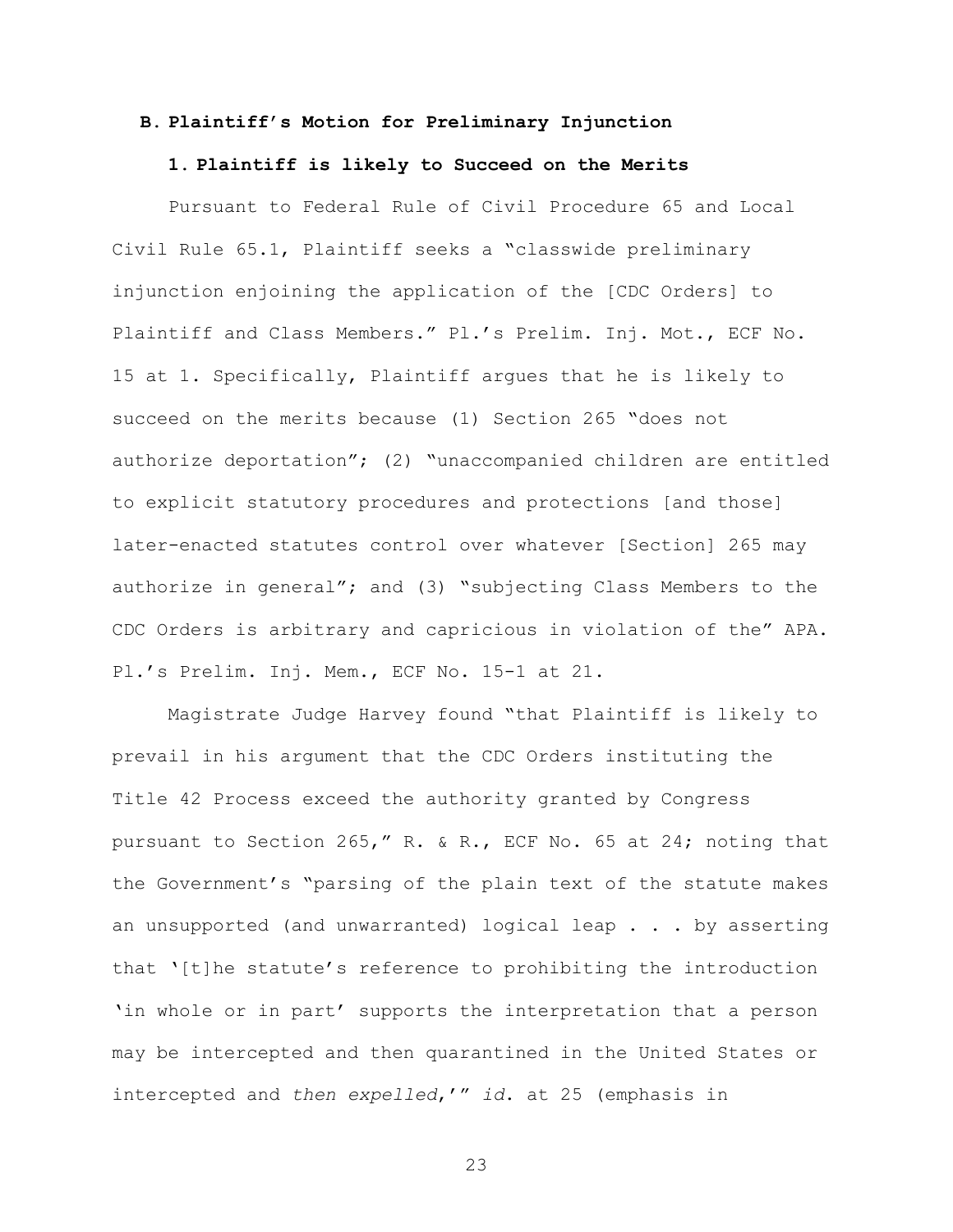### **B. Plaintiff's Motion for Preliminary Injunction**

#### **1. Plaintiff is likely to Succeed on the Merits**

Pursuant to Federal Rule of Civil Procedure 65 and Local Civil Rule 65.1, Plaintiff seeks a "classwide preliminary injunction enjoining the application of the [CDC Orders] to Plaintiff and Class Members." Pl.'s Prelim. Inj. Mot., ECF No. 15 at 1. Specifically, Plaintiff argues that he is likely to succeed on the merits because (1) Section 265 "does not authorize deportation"; (2) "unaccompanied children are entitled to explicit statutory procedures and protections [and those] later-enacted statutes control over whatever [Section] 265 may authorize in general"; and (3) "subjecting Class Members to the CDC Orders is arbitrary and capricious in violation of the" APA. Pl.'s Prelim. Inj. Mem., ECF No. 15-1 at 21.

Magistrate Judge Harvey found "that Plaintiff is likely to prevail in his argument that the CDC Orders instituting the Title 42 Process exceed the authority granted by Congress pursuant to Section 265," R. & R., ECF No. 65 at 24; noting that the Government's "parsing of the plain text of the statute makes an unsupported (and unwarranted) logical leap . . . by asserting that '[t]he statute's reference to prohibiting the introduction 'in whole or in part' supports the interpretation that a person may be intercepted and then quarantined in the United States or intercepted and *then expelled*,'" *id*. at 25 (emphasis in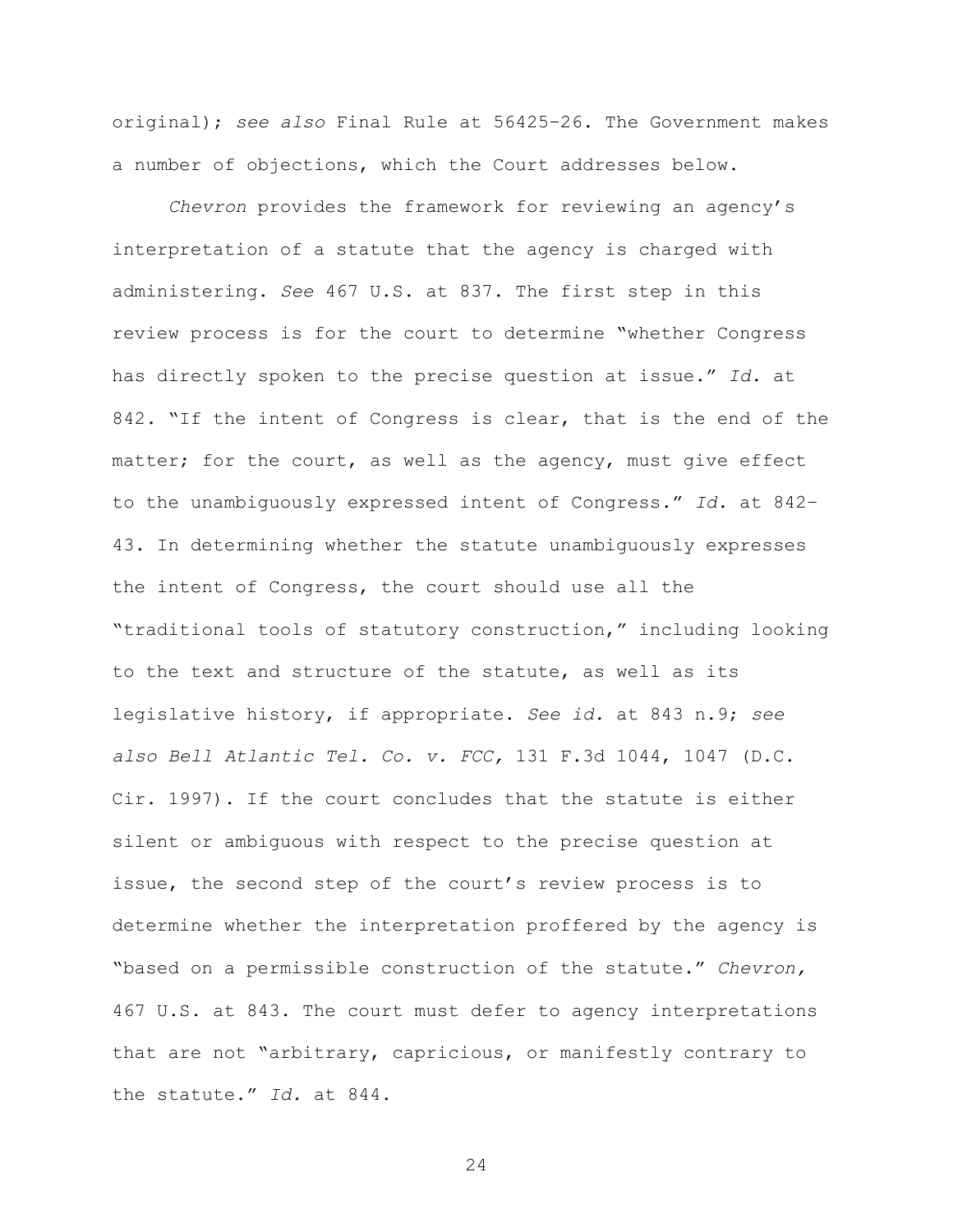original); *see also* Final Rule at 56425–26. The Government makes a number of objections, which the Court addresses below.

*Chevron* provides the framework for reviewing an agency's interpretation of a statute that the agency is charged with administering. *See* 467 U.S. at 837. The first step in this review process is for the court to determine "whether Congress has directly spoken to the precise question at issue." *Id.* at 842. "If the intent of Congress is clear, that is the end of the matter; for the court, as well as the agency, must give effect to the unambiguously expressed intent of Congress." *Id.* at 842– 43. In determining whether the statute unambiguously expresses the intent of Congress, the court should use all the "traditional tools of statutory construction," including looking to the text and structure of the statute, as well as its legislative history, if appropriate. *See id.* at 843 n.9; *see also Bell Atlantic Tel. Co. v. FCC,* 131 F.3d 1044, 1047 (D.C. Cir. 1997). If the court concludes that the statute is either silent or ambiguous with respect to the precise question at issue, the second step of the court's review process is to determine whether the interpretation proffered by the agency is "based on a permissible construction of the statute." *Chevron,* 467 U.S. at 843. The court must defer to agency interpretations that are not "arbitrary, capricious, or manifestly contrary to the statute." *Id.* at 844.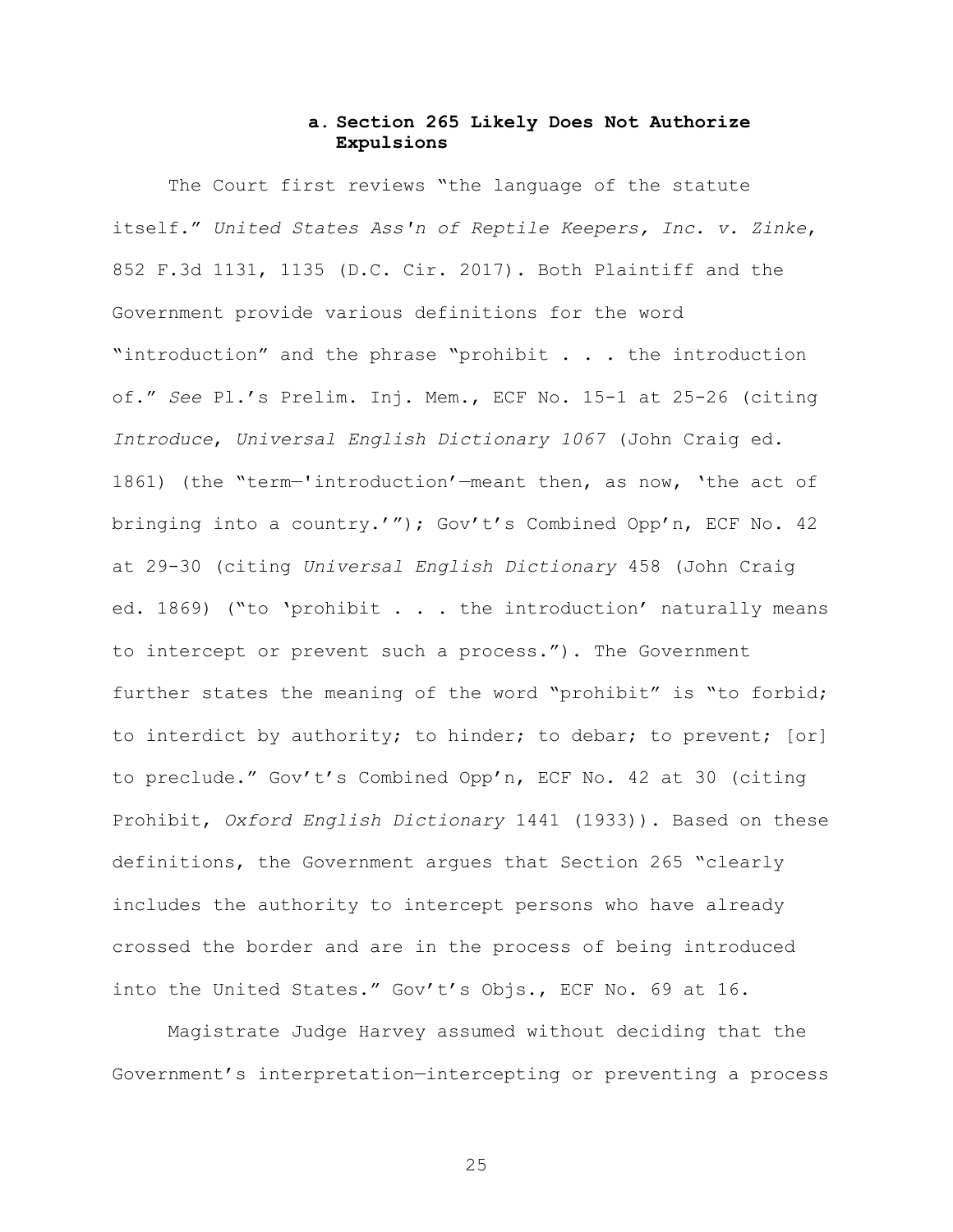# **a. Section 265 Likely Does Not Authorize Expulsions**

The Court first reviews "the language of the statute itself." *United States Ass'n of Reptile Keepers, Inc. v. Zinke*, 852 F.3d 1131, 1135 (D.C. Cir. 2017). Both Plaintiff and the Government provide various definitions for the word "introduction" and the phrase "prohibit . . . the introduction of." *See* Pl.'s Prelim. Inj. Mem., ECF No. 15-1 at 25-26 (citing *Introduce*, *Universal English Dictionary 1067* (John Craig ed. 1861) (the "term—'introduction'—meant then, as now, 'the act of bringing into a country.'"); Gov't's Combined Opp'n, ECF No. 42 at 29-30 (citing *Universal English Dictionary* 458 (John Craig ed. 1869) ("to 'prohibit . . . the introduction' naturally means to intercept or prevent such a process."). The Government further states the meaning of the word "prohibit" is "to forbid; to interdict by authority; to hinder; to debar; to prevent; [or] to preclude." Gov't's Combined Opp'n, ECF No. 42 at 30 (citing Prohibit, *Oxford English Dictionary* 1441 (1933)). Based on these definitions, the Government argues that Section 265 "clearly includes the authority to intercept persons who have already crossed the border and are in the process of being introduced into the United States." Gov't's Objs., ECF No. 69 at 16.

Magistrate Judge Harvey assumed without deciding that the Government's interpretation—intercepting or preventing a process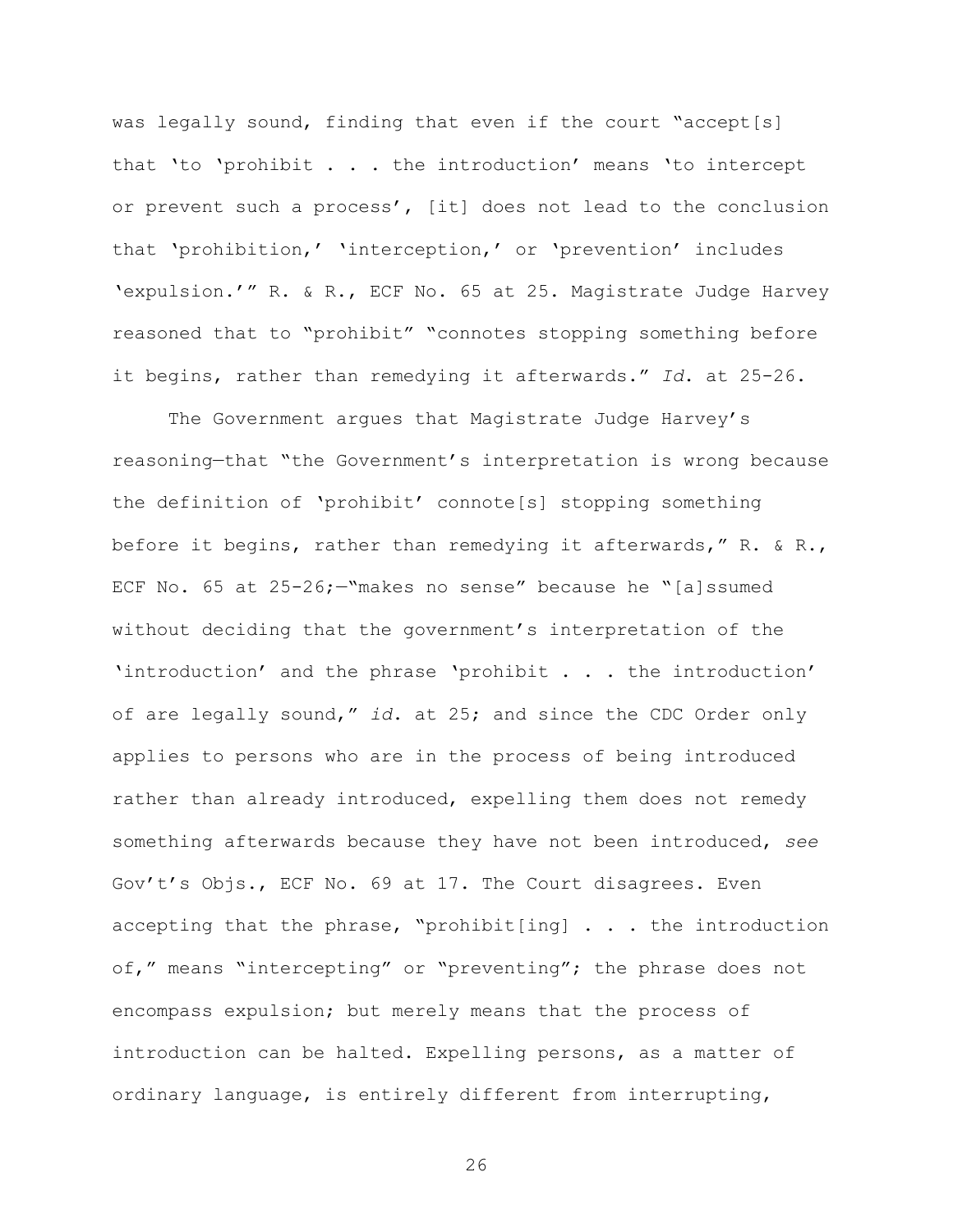was legally sound, finding that even if the court "accept[s] that 'to 'prohibit . . . the introduction' means 'to intercept or prevent such a process', [it] does not lead to the conclusion that 'prohibition,' 'interception,' or 'prevention' includes 'expulsion.'" R. & R., ECF No. 65 at 25. Magistrate Judge Harvey reasoned that to "prohibit" "connotes stopping something before it begins, rather than remedying it afterwards." *Id*. at 25-26.

The Government argues that Magistrate Judge Harvey's reasoning—that "the Government's interpretation is wrong because the definition of 'prohibit' connote[s] stopping something before it begins, rather than remedying it afterwards," R. & R., ECF No. 65 at 25-26;—"makes no sense" because he "[a]ssumed without deciding that the government's interpretation of the 'introduction' and the phrase 'prohibit . . . the introduction' of are legally sound," *id*. at 25; and since the CDC Order only applies to persons who are in the process of being introduced rather than already introduced, expelling them does not remedy something afterwards because they have not been introduced, *see* Gov't's Objs., ECF No. 69 at 17. The Court disagrees. Even accepting that the phrase, "prohibit[ing] . . . the introduction of," means "intercepting" or "preventing"; the phrase does not encompass expulsion; but merely means that the process of introduction can be halted. Expelling persons, as a matter of ordinary language, is entirely different from interrupting,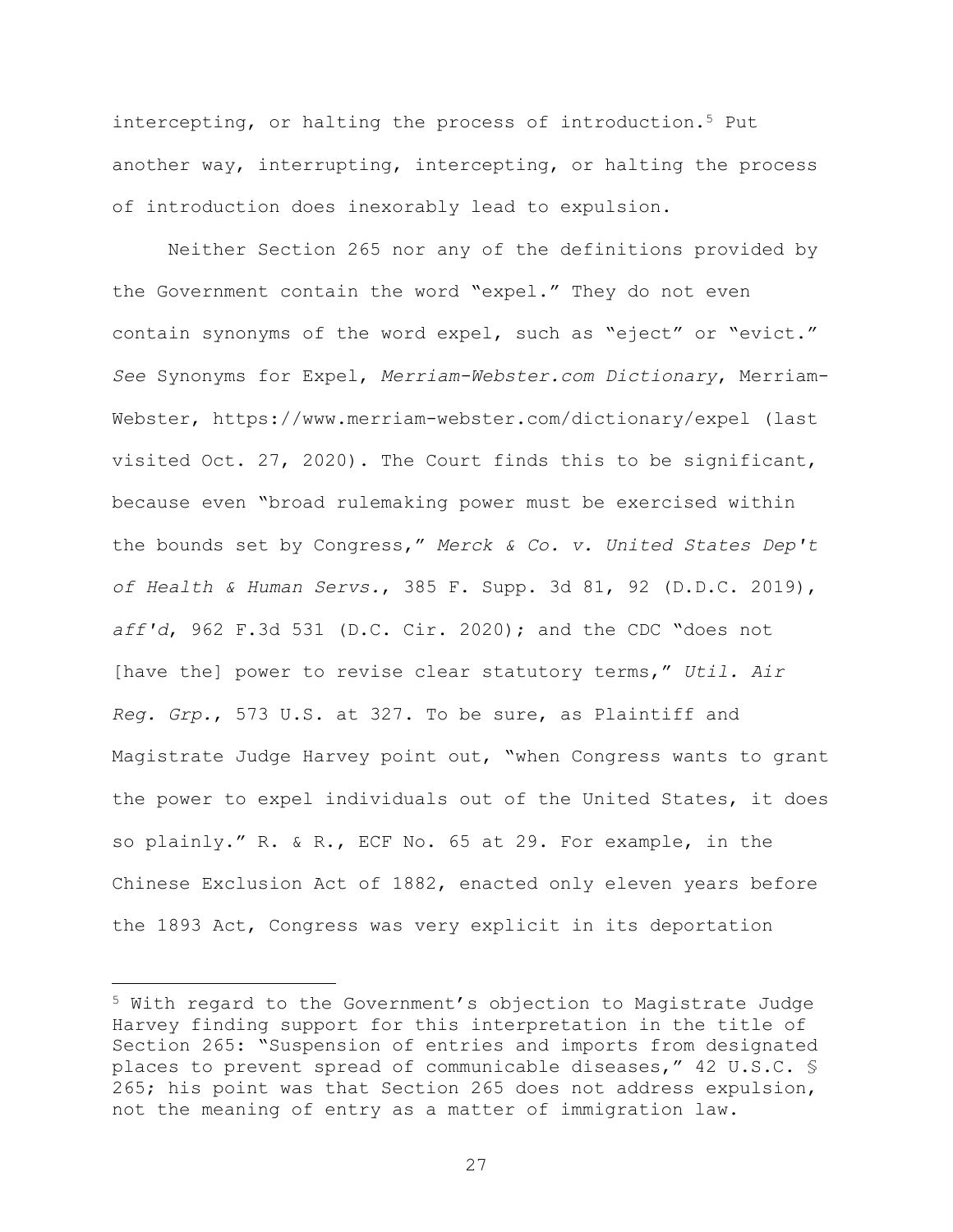intercepting, or halting the process of introduction.<sup>5</sup> Put another way, interrupting, intercepting, or halting the process of introduction does inexorably lead to expulsion.

Neither Section 265 nor any of the definitions provided by the Government contain the word "expel." They do not even contain synonyms of the word expel, such as "eject" or "evict." *See* Synonyms for Expel, *Merriam-Webster.com Dictionary*, Merriam-Webster, https://www.merriam-webster.com/dictionary/expel (last visited Oct. 27, 2020). The Court finds this to be significant, because even "broad rulemaking power must be exercised within the bounds set by Congress," *Merck & Co. v. United States Dep't of Health & Human Servs.*, 385 F. Supp. 3d 81, 92 (D.D.C. 2019), *aff'd*, 962 F.3d 531 (D.C. Cir. 2020); and the CDC "does not [have the] power to revise clear statutory terms," *Util. Air Reg. Grp.*, 573 U.S. at 327. To be sure, as Plaintiff and Magistrate Judge Harvey point out, "when Congress wants to grant the power to expel individuals out of the United States, it does so plainly." R. & R., ECF No. 65 at 29. For example, in the Chinese Exclusion Act of 1882, enacted only eleven years before the 1893 Act, Congress was very explicit in its deportation

L,

<sup>5</sup> With regard to the Government's objection to Magistrate Judge Harvey finding support for this interpretation in the title of Section 265: "Suspension of entries and imports from designated places to prevent spread of communicable diseases," 42 U.S.C. § 265; his point was that Section 265 does not address expulsion, not the meaning of entry as a matter of immigration law.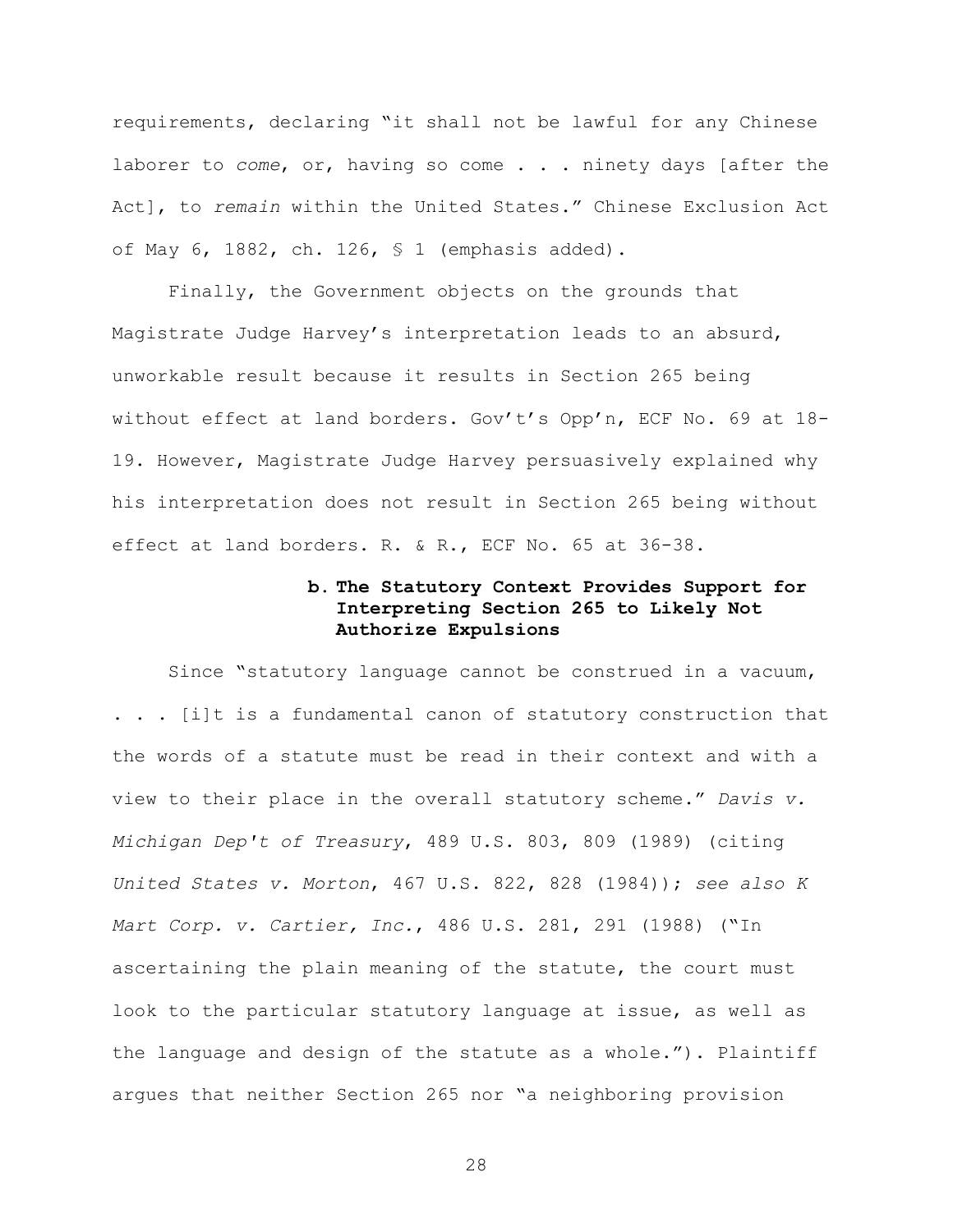requirements, declaring "it shall not be lawful for any Chinese laborer to *come*, or, having so come . . . ninety days [after the Act], to *remain* within the United States." Chinese Exclusion Act of May 6, 1882, ch. 126, § 1 (emphasis added).

Finally, the Government objects on the grounds that Magistrate Judge Harvey's interpretation leads to an absurd, unworkable result because it results in Section 265 being without effect at land borders. Gov't's Opp'n, ECF No. 69 at 18- 19. However, Magistrate Judge Harvey persuasively explained why his interpretation does not result in Section 265 being without effect at land borders. R. & R., ECF No. 65 at 36-38.

# **b. The Statutory Context Provides Support for Interpreting Section 265 to Likely Not Authorize Expulsions**

Since "statutory language cannot be construed in a vacuum, . . . [i]t is a fundamental canon of statutory construction that the words of a statute must be read in their context and with a view to their place in the overall statutory scheme." *Davis v. Michigan Dep't of Treasury*, 489 U.S. 803, 809 (1989) (citing *United States v. Morton*, 467 U.S. 822, 828 (1984)); *see also K Mart Corp. v. Cartier, Inc.*, 486 U.S. 281, 291 (1988) ("In ascertaining the plain meaning of the statute, the court must look to the particular statutory language at issue, as well as the language and design of the statute as a whole."). Plaintiff argues that neither Section 265 nor "a neighboring provision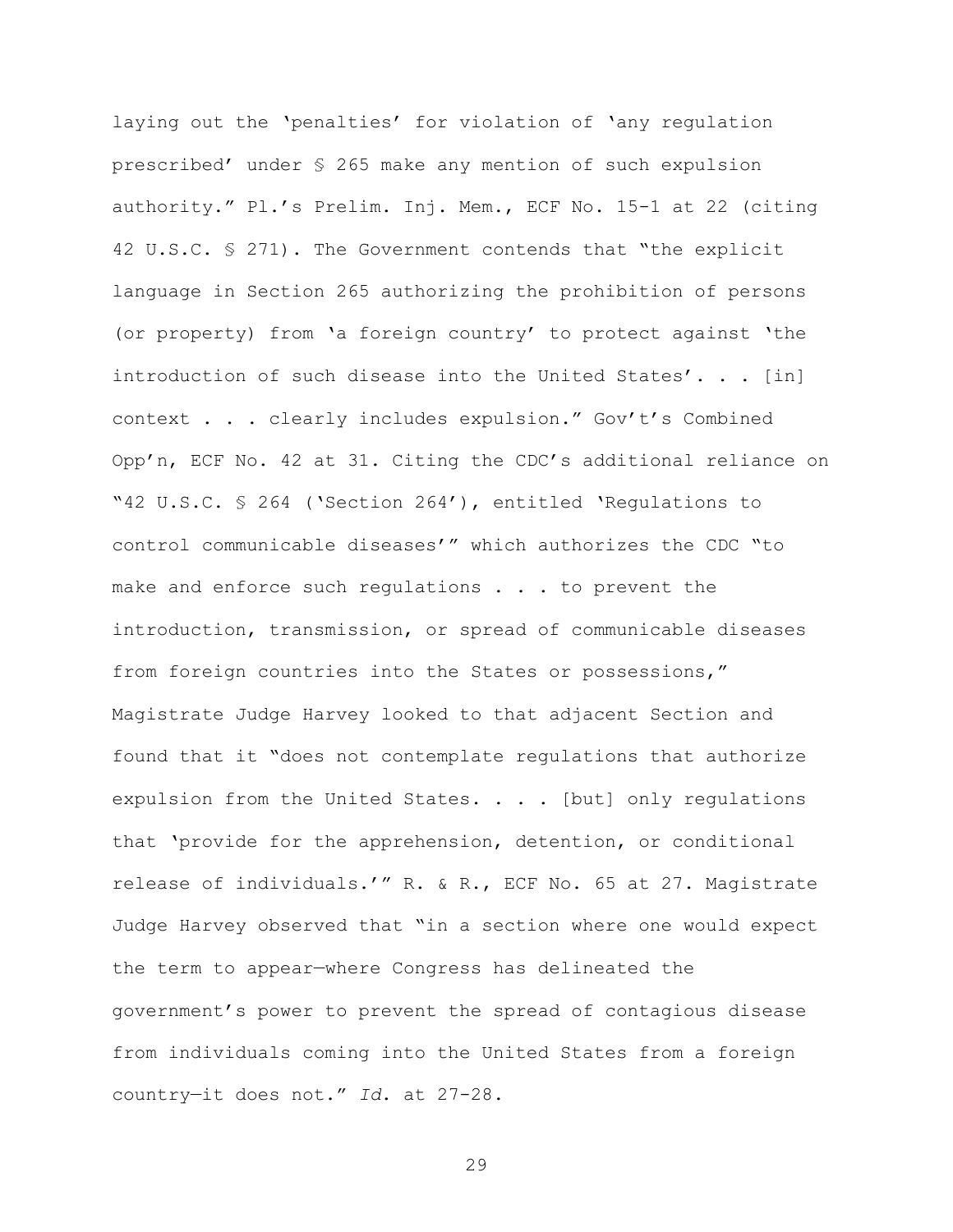laying out the 'penalties' for violation of 'any regulation prescribed' under § 265 make any mention of such expulsion authority." Pl.'s Prelim. Inj. Mem., ECF No. 15-1 at 22 (citing 42 U.S.C. § 271). The Government contends that "the explicit language in Section 265 authorizing the prohibition of persons (or property) from 'a foreign country' to protect against 'the introduction of such disease into the United States'. . . [in] context . . . clearly includes expulsion." Gov't's Combined Opp'n, ECF No. 42 at 31. Citing the CDC's additional reliance on "42 U.S.C. § 264 ('Section 264'), entitled 'Regulations to control communicable diseases'" which authorizes the CDC "to make and enforce such requlations . . . to prevent the introduction, transmission, or spread of communicable diseases from foreign countries into the States or possessions," Magistrate Judge Harvey looked to that adjacent Section and found that it "does not contemplate regulations that authorize expulsion from the United States. . . . [but] only requlations that 'provide for the apprehension, detention, or conditional release of individuals.'" R. & R., ECF No. 65 at 27. Magistrate Judge Harvey observed that "in a section where one would expect the term to appear—where Congress has delineated the government's power to prevent the spread of contagious disease from individuals coming into the United States from a foreign country—it does not." *Id*. at 27-28.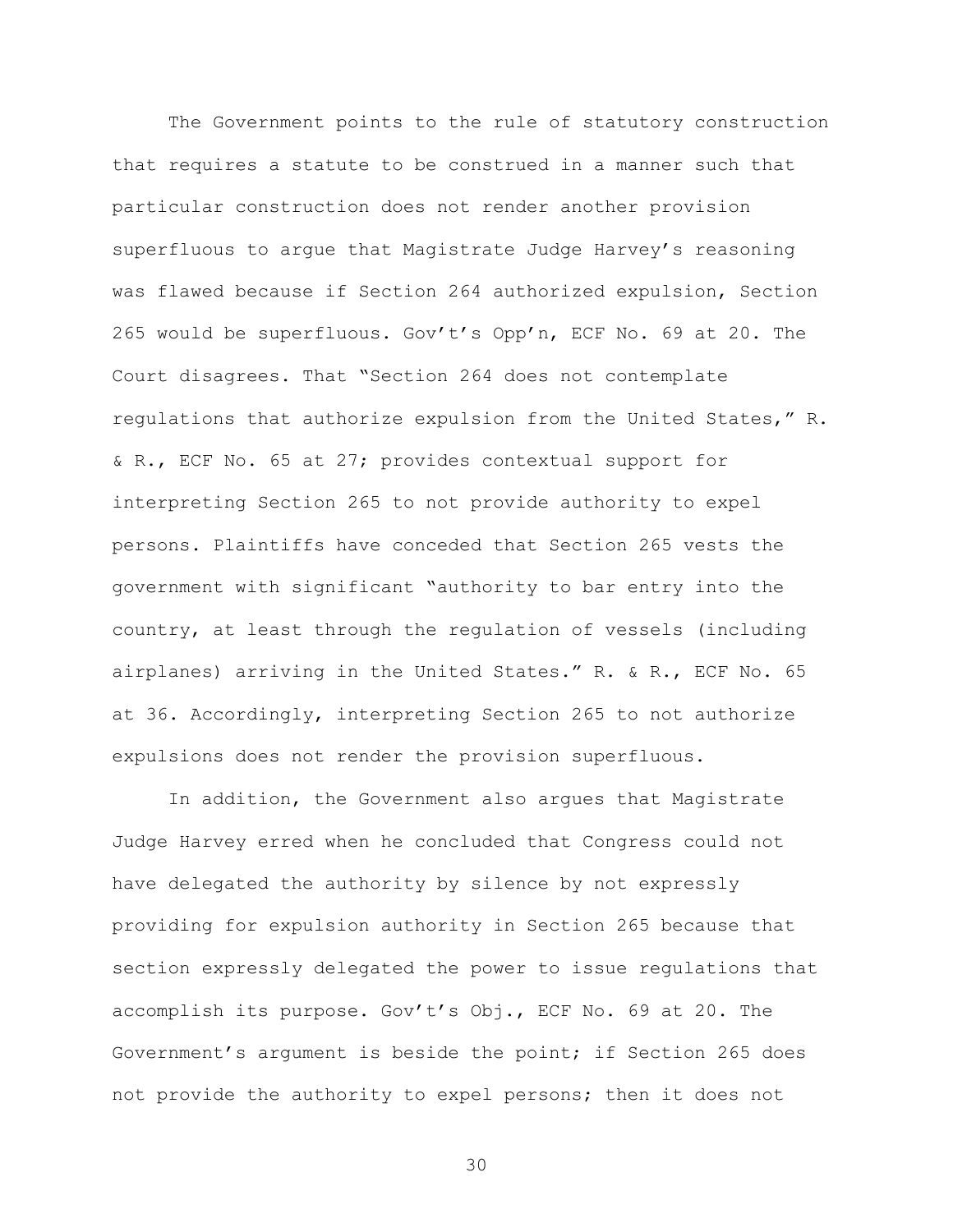The Government points to the rule of statutory construction that requires a statute to be construed in a manner such that particular construction does not render another provision superfluous to argue that Magistrate Judge Harvey's reasoning was flawed because if Section 264 authorized expulsion, Section 265 would be superfluous. Gov't's Opp'n, ECF No. 69 at 20. The Court disagrees. That "Section 264 does not contemplate regulations that authorize expulsion from the United States," R. & R., ECF No. 65 at 27; provides contextual support for interpreting Section 265 to not provide authority to expel persons. Plaintiffs have conceded that Section 265 vests the government with significant "authority to bar entry into the country, at least through the regulation of vessels (including airplanes) arriving in the United States." R. & R., ECF No. 65 at 36. Accordingly, interpreting Section 265 to not authorize expulsions does not render the provision superfluous.

In addition, the Government also argues that Magistrate Judge Harvey erred when he concluded that Congress could not have delegated the authority by silence by not expressly providing for expulsion authority in Section 265 because that section expressly delegated the power to issue regulations that accomplish its purpose. Gov't's Obj., ECF No. 69 at 20. The Government's argument is beside the point; if Section 265 does not provide the authority to expel persons; then it does not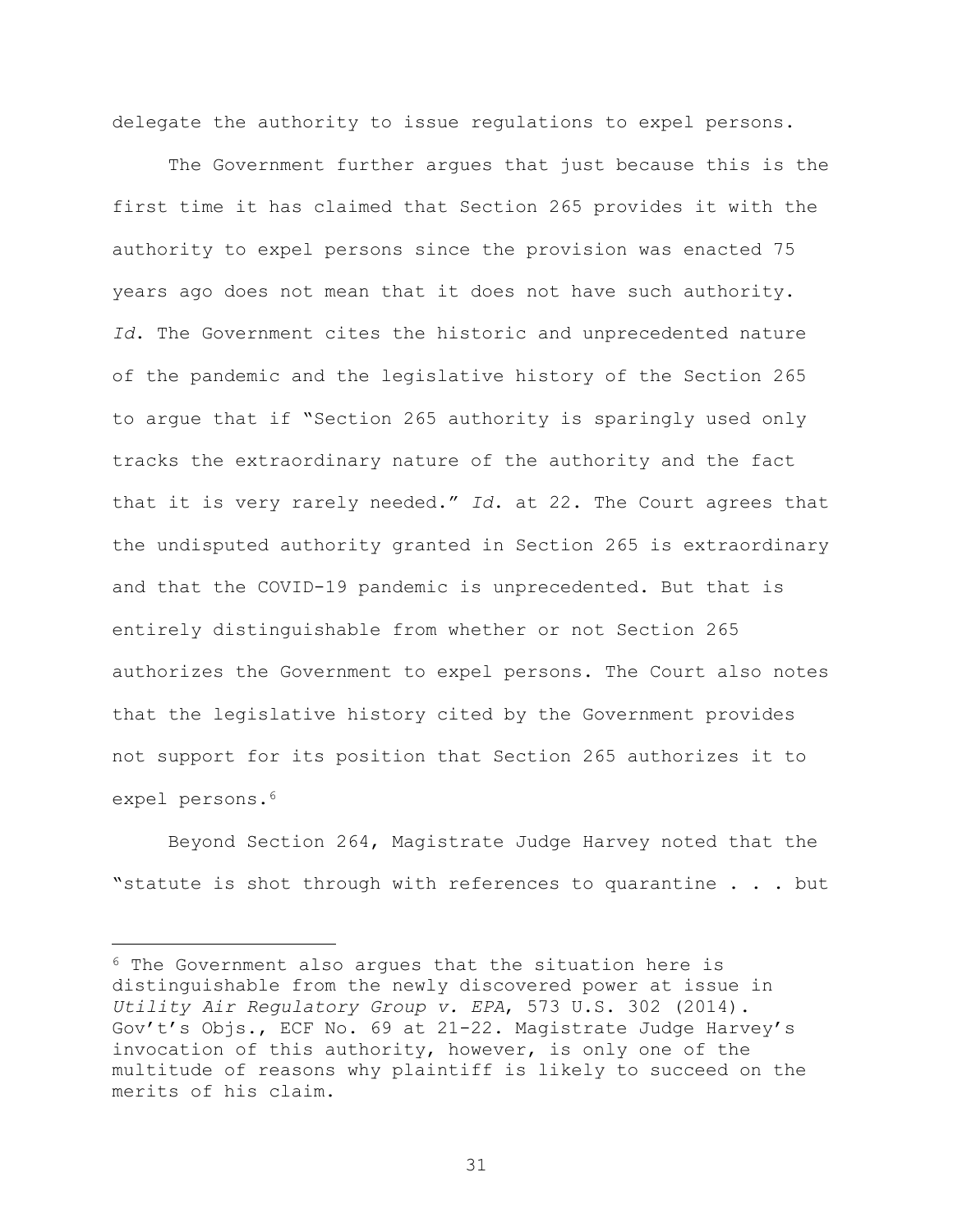delegate the authority to issue regulations to expel persons.

The Government further argues that just because this is the first time it has claimed that Section 265 provides it with the authority to expel persons since the provision was enacted 75 years ago does not mean that it does not have such authority. *Id*. The Government cites the historic and unprecedented nature of the pandemic and the legislative history of the Section 265 to argue that if "Section 265 authority is sparingly used only tracks the extraordinary nature of the authority and the fact that it is very rarely needed." *Id*. at 22. The Court agrees that the undisputed authority granted in Section 265 is extraordinary and that the COVID-19 pandemic is unprecedented. But that is entirely distinguishable from whether or not Section 265 authorizes the Government to expel persons. The Court also notes that the legislative history cited by the Government provides not support for its position that Section 265 authorizes it to expel persons.<sup>6</sup>

Beyond Section 264, Magistrate Judge Harvey noted that the "statute is shot through with references to quarantine . . . but

÷.

 $6$  The Government also arques that the situation here is distinguishable from the newly discovered power at issue in *Utility Air Regulatory Group v. EPA*, 573 U.S. 302 (2014). Gov't's Objs., ECF No. 69 at 21-22. Magistrate Judge Harvey's invocation of this authority, however, is only one of the multitude of reasons why plaintiff is likely to succeed on the merits of his claim.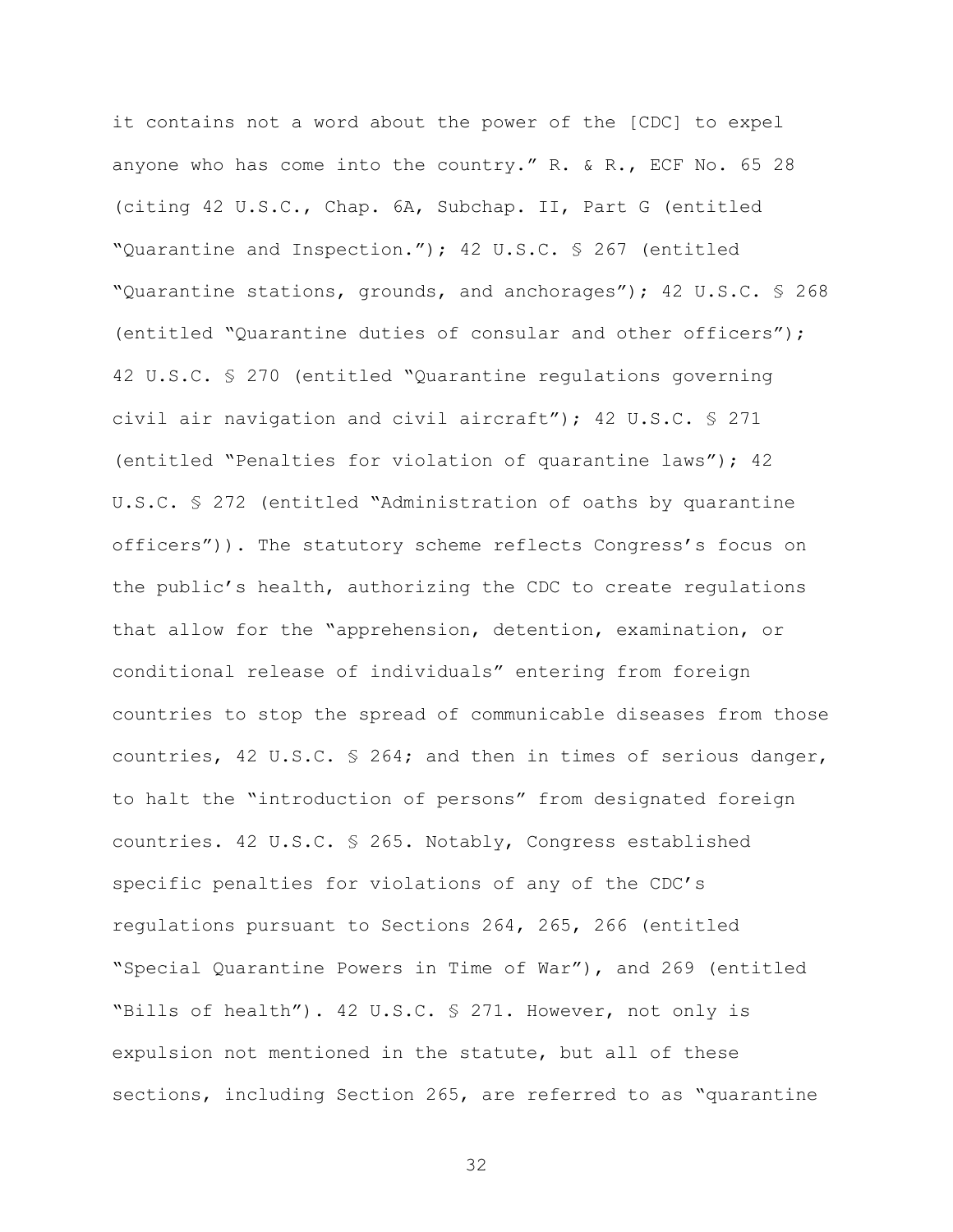it contains not a word about the power of the [CDC] to expel anyone who has come into the country." R. & R., ECF No. 65 28 (citing 42 U.S.C., Chap. 6A, Subchap. II, Part G (entitled "Quarantine and Inspection."); 42 U.S.C. § 267 (entitled "Quarantine stations, grounds, and anchorages"); 42 U.S.C. § 268 (entitled "Quarantine duties of consular and other officers"); 42 U.S.C. § 270 (entitled "Quarantine regulations governing civil air navigation and civil aircraft"); 42 U.S.C. § 271 (entitled "Penalties for violation of quarantine laws"); 42 U.S.C. § 272 (entitled "Administration of oaths by quarantine officers")). The statutory scheme reflects Congress's focus on the public's health, authorizing the CDC to create regulations that allow for the "apprehension, detention, examination, or conditional release of individuals" entering from foreign countries to stop the spread of communicable diseases from those countries, 42 U.S.C. § 264; and then in times of serious danger, to halt the "introduction of persons" from designated foreign countries. 42 U.S.C. § 265. Notably, Congress established specific penalties for violations of any of the CDC's regulations pursuant to Sections 264, 265, 266 (entitled "Special Quarantine Powers in Time of War"), and 269 (entitled "Bills of health"). 42 U.S.C. § 271. However, not only is expulsion not mentioned in the statute, but all of these sections, including Section 265, are referred to as "quarantine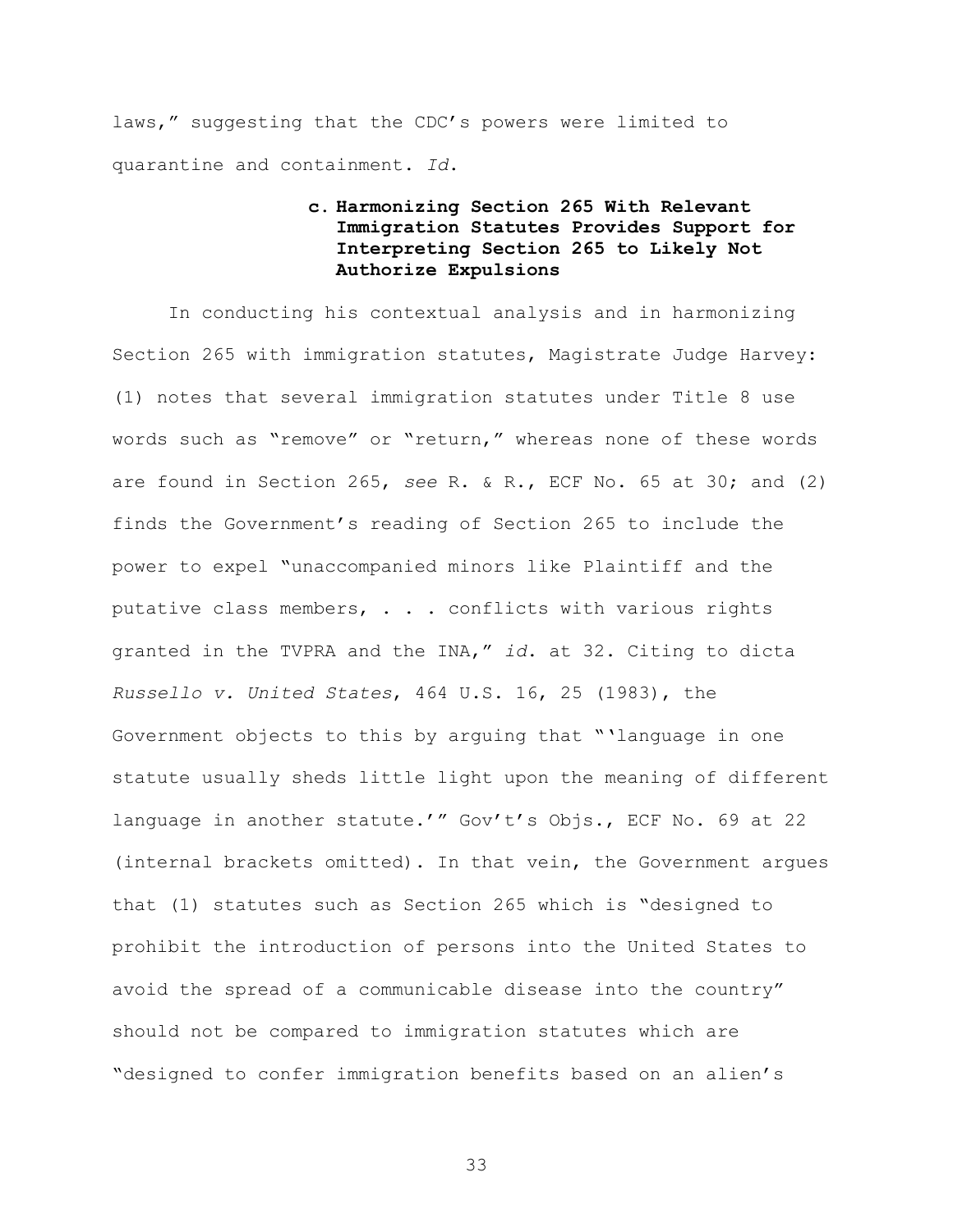laws," suggesting that the CDC's powers were limited to quarantine and containment. *Id*.

# **c. Harmonizing Section 265 With Relevant Immigration Statutes Provides Support for Interpreting Section 265 to Likely Not Authorize Expulsions**

In conducting his contextual analysis and in harmonizing Section 265 with immigration statutes, Magistrate Judge Harvey: (1) notes that several immigration statutes under Title 8 use words such as "remove" or "return," whereas none of these words are found in Section 265, *see* R. & R., ECF No. 65 at 30; and (2) finds the Government's reading of Section 265 to include the power to expel "unaccompanied minors like Plaintiff and the putative class members, . . . conflicts with various rights granted in the TVPRA and the INA," *id*. at 32. Citing to dicta *Russello v. United States*, 464 U.S. 16, 25 (1983), the Government objects to this by arguing that "'language in one statute usually sheds little light upon the meaning of different language in another statute.'" Gov't's Objs., ECF No. 69 at 22 (internal brackets omitted). In that vein, the Government argues that (1) statutes such as Section 265 which is "designed to prohibit the introduction of persons into the United States to avoid the spread of a communicable disease into the country" should not be compared to immigration statutes which are "designed to confer immigration benefits based on an alien's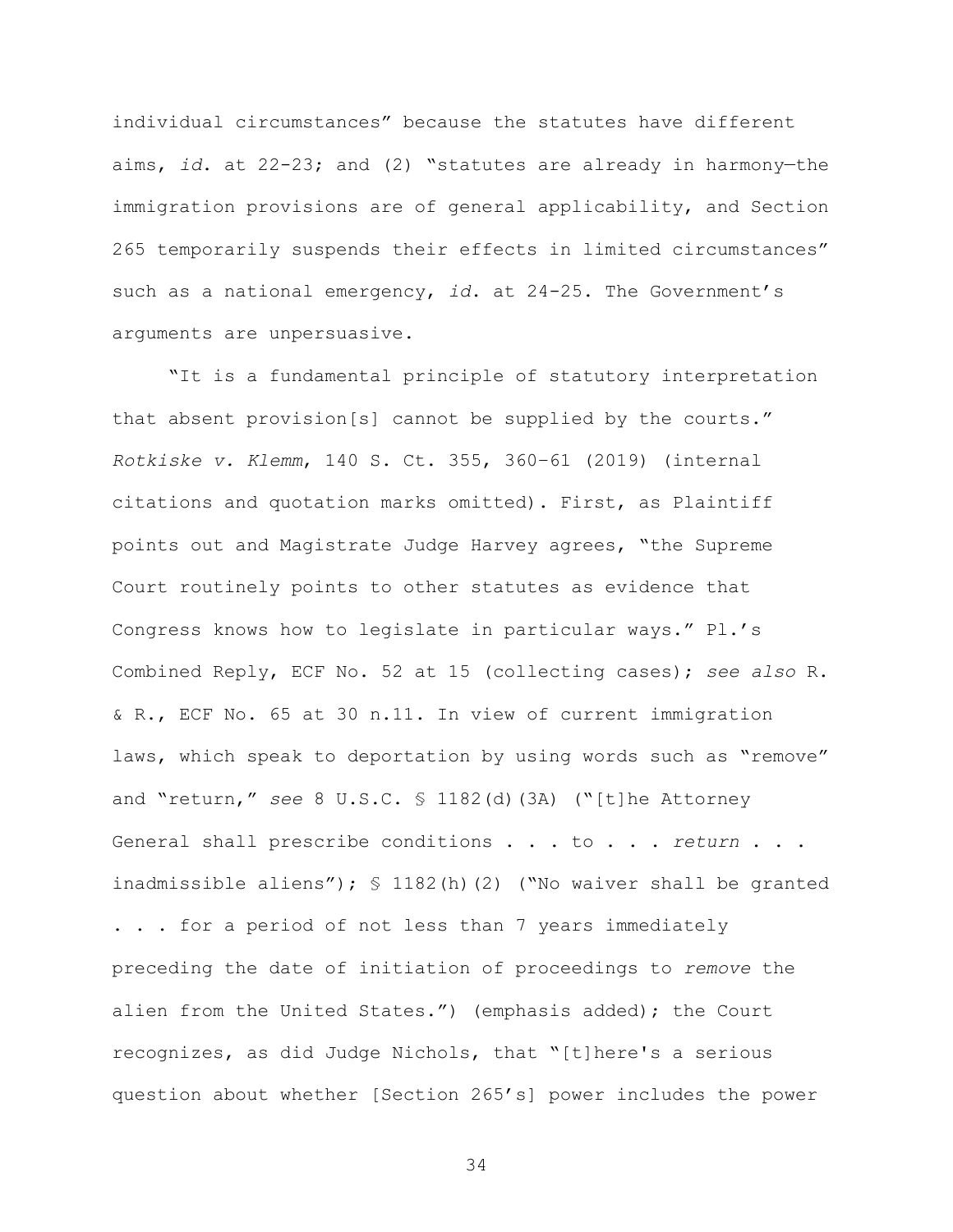individual circumstances" because the statutes have different aims, *id*. at 22-23; and (2) "statutes are already in harmony—the immigration provisions are of general applicability, and Section 265 temporarily suspends their effects in limited circumstances" such as a national emergency, *id*. at 24-25. The Government's arguments are unpersuasive.

"It is a fundamental principle of statutory interpretation that absent provision[s] cannot be supplied by the courts." *Rotkiske v. Klemm*, 140 S. Ct. 355, 360–61 (2019) (internal citations and quotation marks omitted). First, as Plaintiff points out and Magistrate Judge Harvey agrees, "the Supreme Court routinely points to other statutes as evidence that Congress knows how to legislate in particular ways." Pl.'s Combined Reply, ECF No. 52 at 15 (collecting cases); *see also* R. & R., ECF No. 65 at 30 n.11. In view of current immigration laws, which speak to deportation by using words such as "remove" and "return," *see* 8 U.S.C. § 1182(d)(3A) ("[t]he Attorney General shall prescribe conditions . . . to . . . *return* . . . inadmissible aliens"); § 1182(h)(2) ("No waiver shall be granted . . . for a period of not less than 7 years immediately preceding the date of initiation of proceedings to *remove* the alien from the United States.") (emphasis added); the Court recognizes, as did Judge Nichols, that "[t]here's a serious question about whether [Section 265's] power includes the power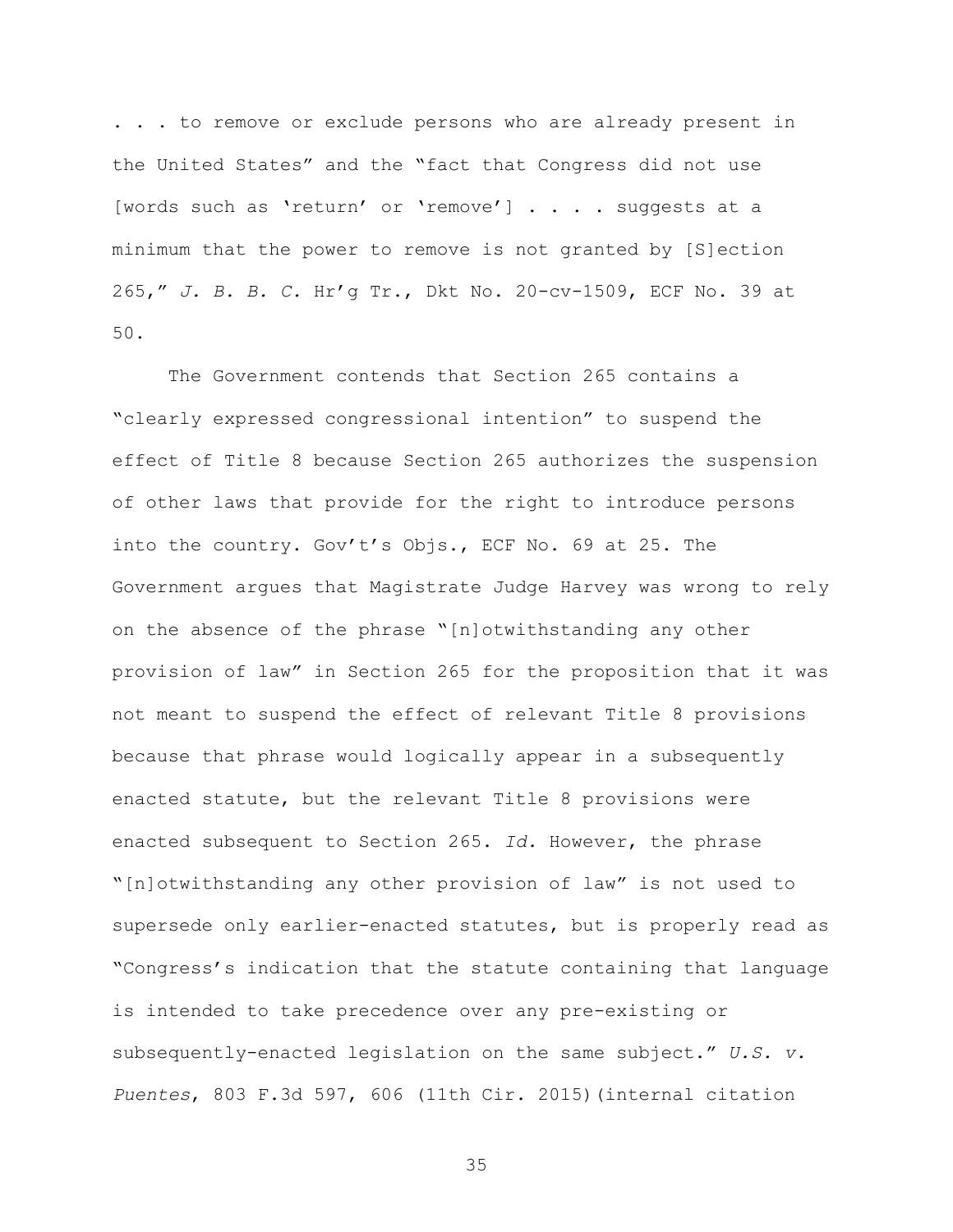. . . to remove or exclude persons who are already present in the United States" and the "fact that Congress did not use [words such as 'return' or 'remove'] . . . . suggests at a minimum that the power to remove is not granted by [S]ection 265," *J. B. B. C.* Hr'g Tr., Dkt No. 20-cv-1509, ECF No. 39 at 50.

The Government contends that Section 265 contains a "clearly expressed congressional intention" to suspend the effect of Title 8 because Section 265 authorizes the suspension of other laws that provide for the right to introduce persons into the country. Gov't's Objs., ECF No. 69 at 25. The Government argues that Magistrate Judge Harvey was wrong to rely on the absence of the phrase "[n]otwithstanding any other provision of law" in Section 265 for the proposition that it was not meant to suspend the effect of relevant Title 8 provisions because that phrase would logically appear in a subsequently enacted statute, but the relevant Title 8 provisions were enacted subsequent to Section 265. *Id.* However, the phrase "[n]otwithstanding any other provision of law" is not used to supersede only earlier-enacted statutes, but is properly read as "Congress's indication that the statute containing that language is intended to take precedence over any pre-existing or subsequently-enacted legislation on the same subject." *U.S. v. Puentes*, 803 F.3d 597, 606 (11th Cir. 2015)(internal citation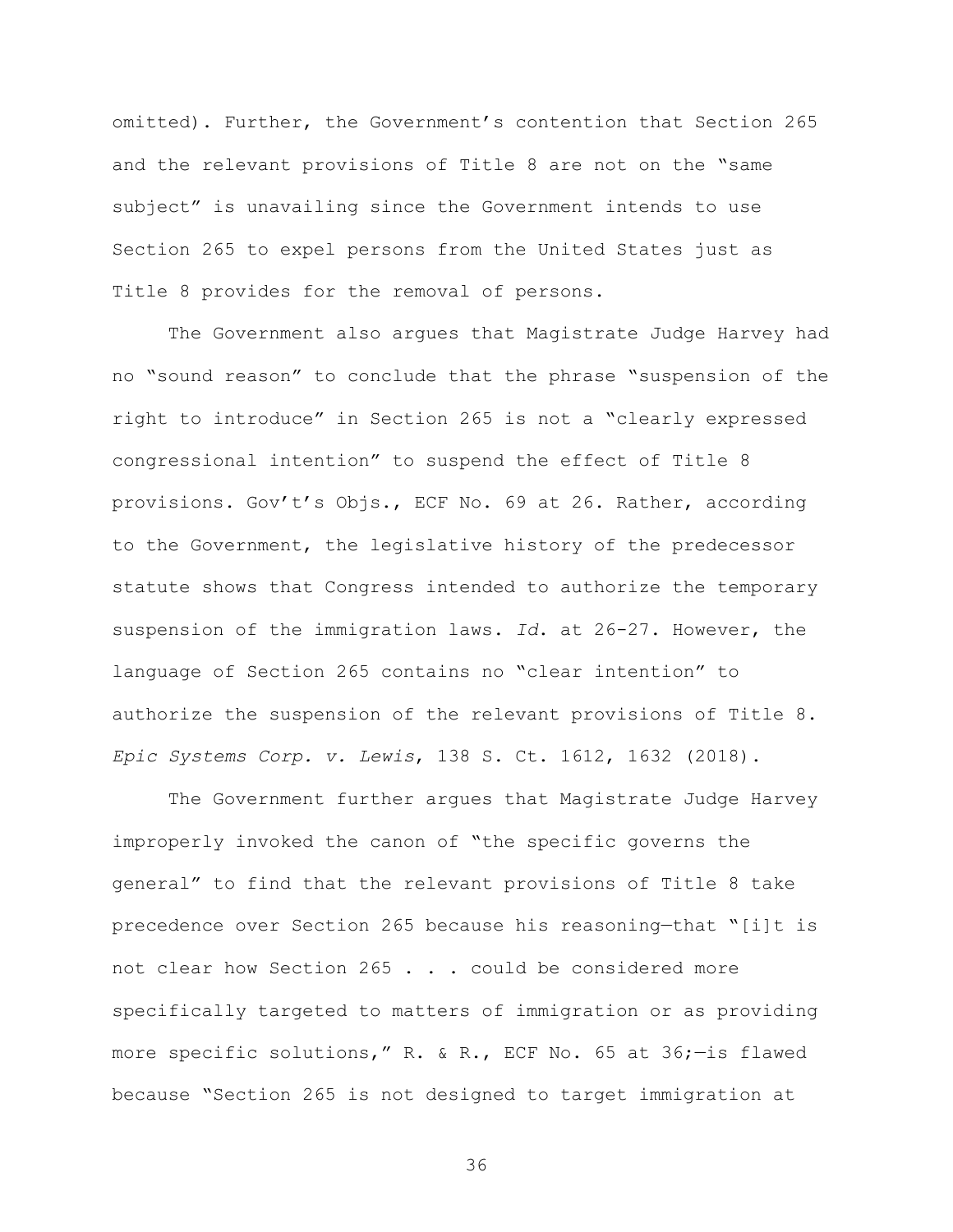omitted). Further, the Government's contention that Section 265 and the relevant provisions of Title 8 are not on the "same subject" is unavailing since the Government intends to use Section 265 to expel persons from the United States just as Title 8 provides for the removal of persons.

The Government also argues that Magistrate Judge Harvey had no "sound reason" to conclude that the phrase "suspension of the right to introduce" in Section 265 is not a "clearly expressed congressional intention" to suspend the effect of Title 8 provisions. Gov't's Objs., ECF No. 69 at 26. Rather, according to the Government, the legislative history of the predecessor statute shows that Congress intended to authorize the temporary suspension of the immigration laws. *Id*. at 26-27. However, the language of Section 265 contains no "clear intention" to authorize the suspension of the relevant provisions of Title 8. *Epic Systems Corp. v. Lewis*, 138 S. Ct. 1612, 1632 (2018).

The Government further argues that Magistrate Judge Harvey improperly invoked the canon of "the specific governs the general" to find that the relevant provisions of Title 8 take precedence over Section 265 because his reasoning—that "[i]t is not clear how Section 265 . . . could be considered more specifically targeted to matters of immigration or as providing more specific solutions," R. & R., ECF No. 65 at 36;—is flawed because "Section 265 is not designed to target immigration at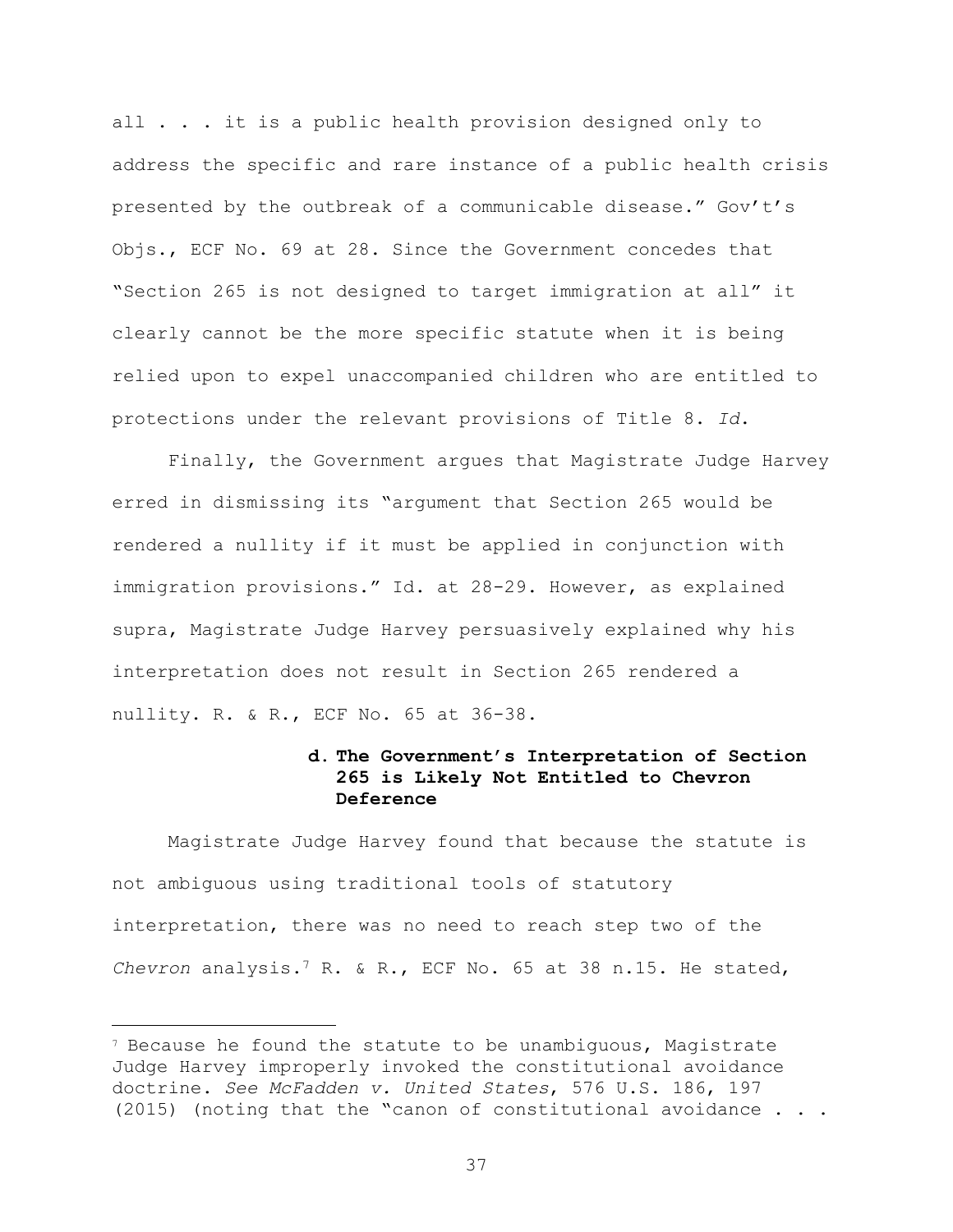all . . . it is a public health provision designed only to address the specific and rare instance of a public health crisis presented by the outbreak of a communicable disease." Gov't's Objs., ECF No. 69 at 28. Since the Government concedes that "Section 265 is not designed to target immigration at all" it clearly cannot be the more specific statute when it is being relied upon to expel unaccompanied children who are entitled to protections under the relevant provisions of Title 8. *Id*.

Finally, the Government argues that Magistrate Judge Harvey erred in dismissing its "argument that Section 265 would be rendered a nullity if it must be applied in conjunction with immigration provisions." Id. at 28-29. However, as explained supra, Magistrate Judge Harvey persuasively explained why his interpretation does not result in Section 265 rendered a nullity. R. & R., ECF No. 65 at 36-38.

# **d. The Government's Interpretation of Section 265 is Likely Not Entitled to Chevron Deference**

Magistrate Judge Harvey found that because the statute is not ambiguous using traditional tools of statutory interpretation, there was no need to reach step two of the *Chevron* analysis.<sup>7</sup> R. & R., ECF No. 65 at 38 n.15. He stated,

÷.

<sup>7</sup> Because he found the statute to be unambiguous, Magistrate Judge Harvey improperly invoked the constitutional avoidance doctrine. *See McFadden v. United States*, 576 U.S. 186, 197 (2015) (noting that the "canon of constitutional avoidance . . .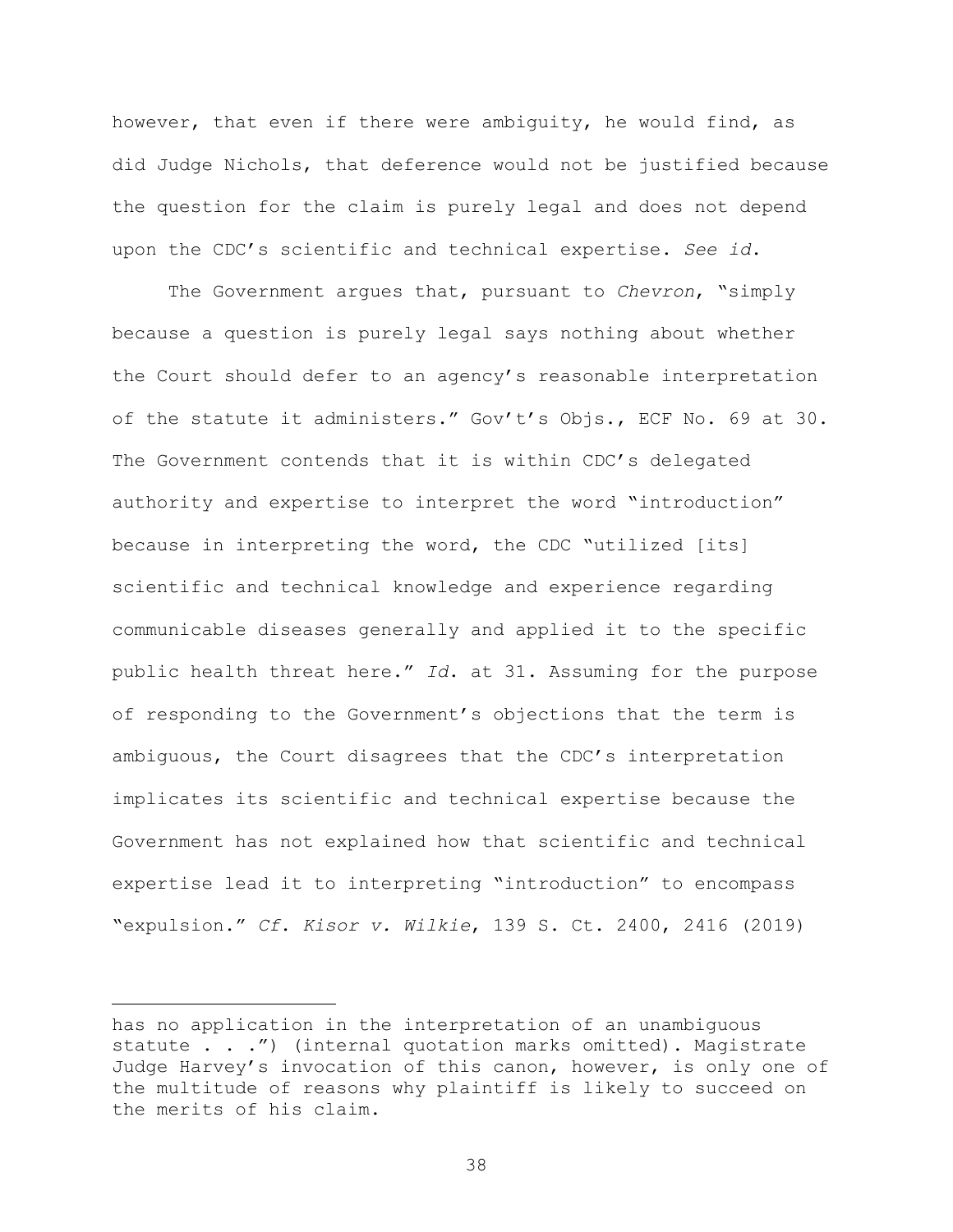however, that even if there were ambiguity, he would find, as did Judge Nichols, that deference would not be justified because the question for the claim is purely legal and does not depend upon the CDC's scientific and technical expertise. *See id*.

The Government argues that, pursuant to *Chevron*, "simply because a question is purely legal says nothing about whether the Court should defer to an agency's reasonable interpretation of the statute it administers." Gov't's Objs., ECF No. 69 at 30. The Government contends that it is within CDC's delegated authority and expertise to interpret the word "introduction" because in interpreting the word, the CDC "utilized [its] scientific and technical knowledge and experience regarding communicable diseases generally and applied it to the specific public health threat here." *Id*. at 31. Assuming for the purpose of responding to the Government's objections that the term is ambiguous, the Court disagrees that the CDC's interpretation implicates its scientific and technical expertise because the Government has not explained how that scientific and technical expertise lead it to interpreting "introduction" to encompass "expulsion." *Cf*. *Kisor v. Wilkie*, 139 S. Ct. 2400, 2416 (2019)

÷.

has no application in the interpretation of an unambiguous statute . . .") (internal quotation marks omitted). Magistrate Judge Harvey's invocation of this canon, however, is only one of the multitude of reasons why plaintiff is likely to succeed on the merits of his claim.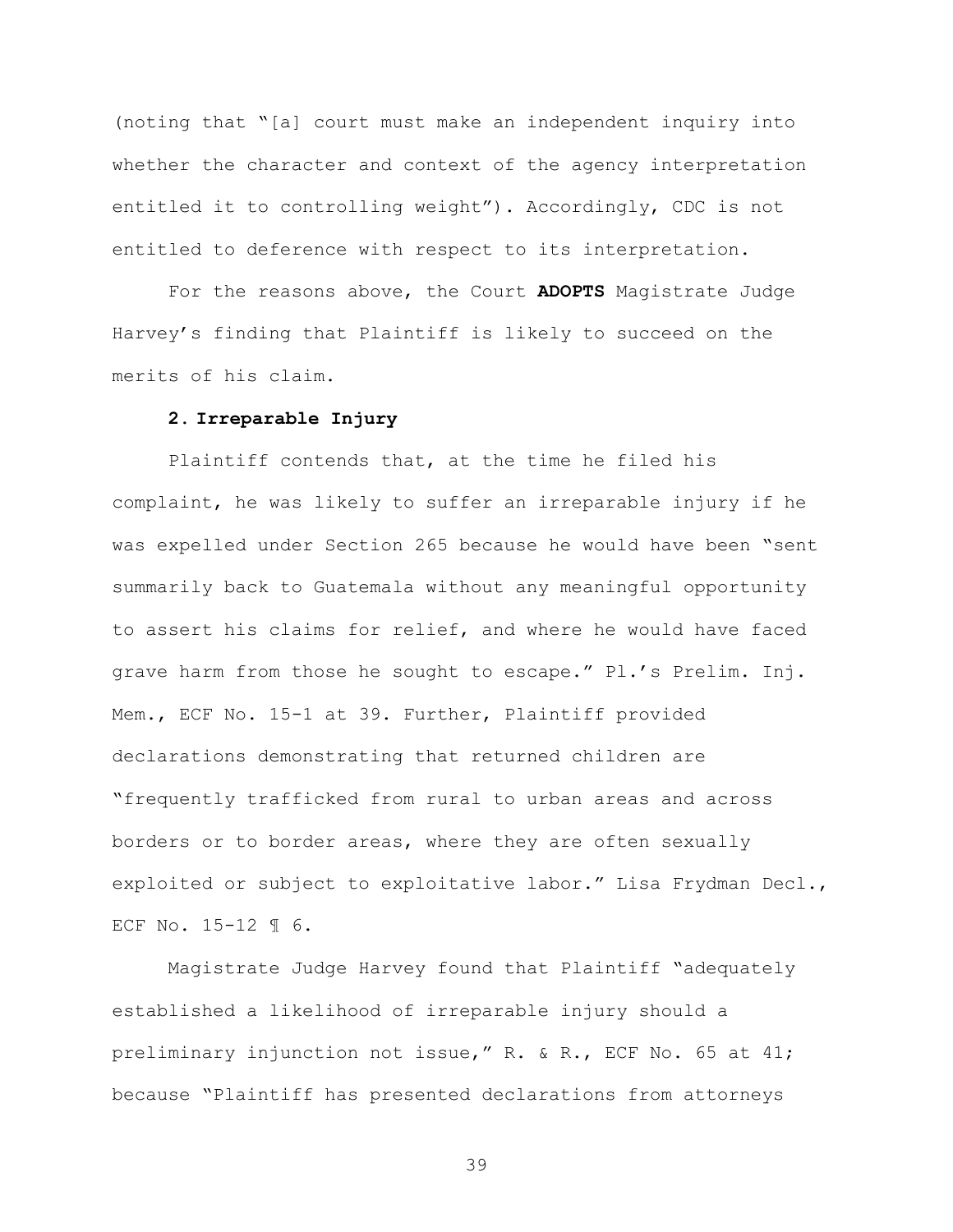(noting that "[a] court must make an independent inquiry into whether the character and context of the agency interpretation entitled it to controlling weight"). Accordingly, CDC is not entitled to deference with respect to its interpretation.

For the reasons above, the Court **ADOPTS** Magistrate Judge Harvey's finding that Plaintiff is likely to succeed on the merits of his claim.

#### **2. Irreparable Injury**

Plaintiff contends that, at the time he filed his complaint, he was likely to suffer an irreparable injury if he was expelled under Section 265 because he would have been "sent summarily back to Guatemala without any meaningful opportunity to assert his claims for relief, and where he would have faced grave harm from those he sought to escape." Pl.'s Prelim. Inj. Mem., ECF No. 15-1 at 39. Further, Plaintiff provided declarations demonstrating that returned children are "frequently trafficked from rural to urban areas and across borders or to border areas, where they are often sexually exploited or subject to exploitative labor." Lisa Frydman Decl., ECF No. 15-12 ¶ 6.

Magistrate Judge Harvey found that Plaintiff "adequately established a likelihood of irreparable injury should a preliminary injunction not issue," R. & R., ECF No. 65 at 41; because "Plaintiff has presented declarations from attorneys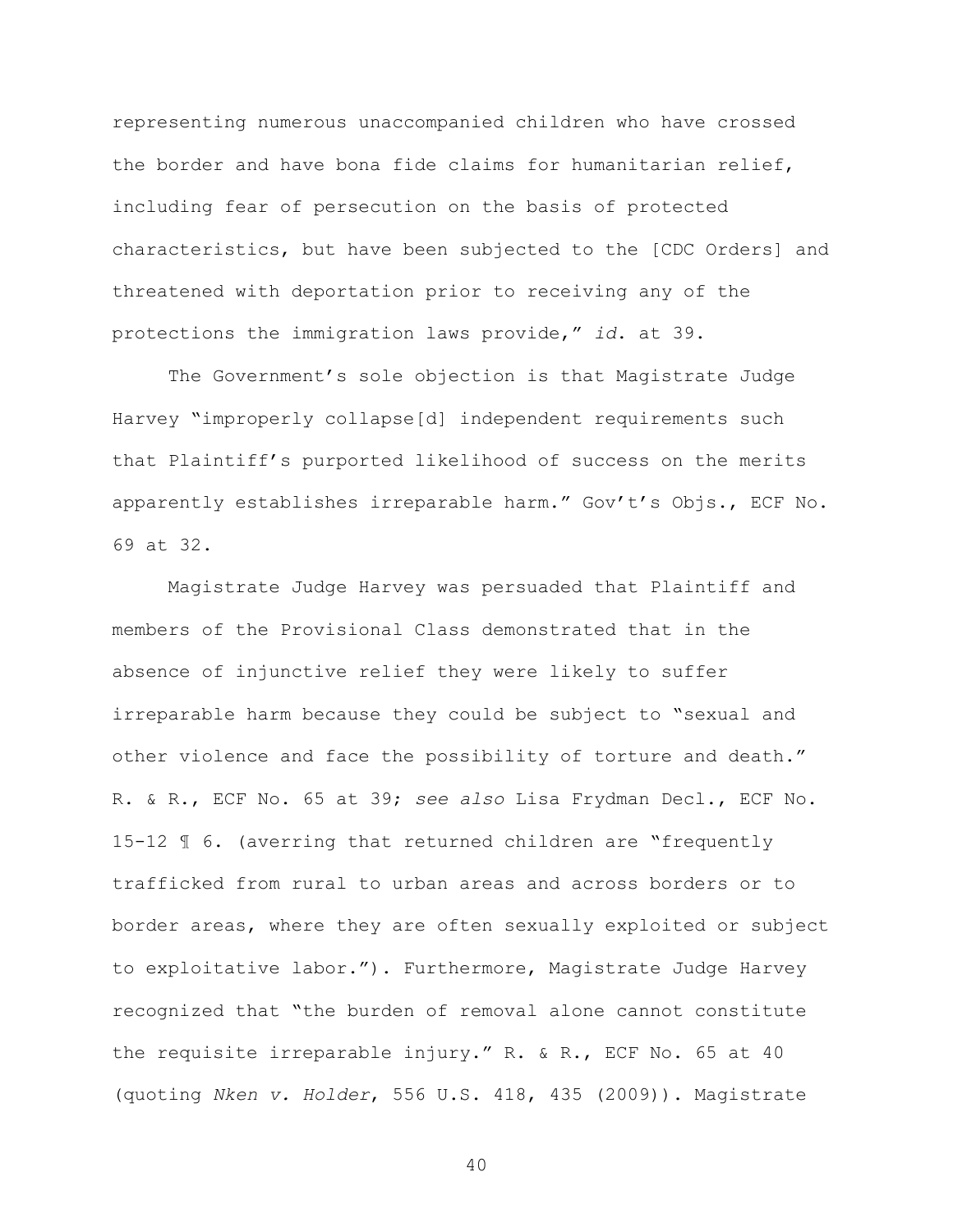representing numerous unaccompanied children who have crossed the border and have bona fide claims for humanitarian relief, including fear of persecution on the basis of protected characteristics, but have been subjected to the [CDC Orders] and threatened with deportation prior to receiving any of the protections the immigration laws provide," *id*. at 39.

The Government's sole objection is that Magistrate Judge Harvey "improperly collapse[d] independent requirements such that Plaintiff's purported likelihood of success on the merits apparently establishes irreparable harm." Gov't's Objs., ECF No. 69 at 32.

Magistrate Judge Harvey was persuaded that Plaintiff and members of the Provisional Class demonstrated that in the absence of injunctive relief they were likely to suffer irreparable harm because they could be subject to "sexual and other violence and face the possibility of torture and death." R. & R., ECF No. 65 at 39; *see also* Lisa Frydman Decl., ECF No. 15-12 ¶ 6. (averring that returned children are "frequently trafficked from rural to urban areas and across borders or to border areas, where they are often sexually exploited or subject to exploitative labor."). Furthermore, Magistrate Judge Harvey recognized that "the burden of removal alone cannot constitute the requisite irreparable injury." R. & R., ECF No. 65 at 40 (quoting *Nken v. Holder*, 556 U.S. 418, 435 (2009)). Magistrate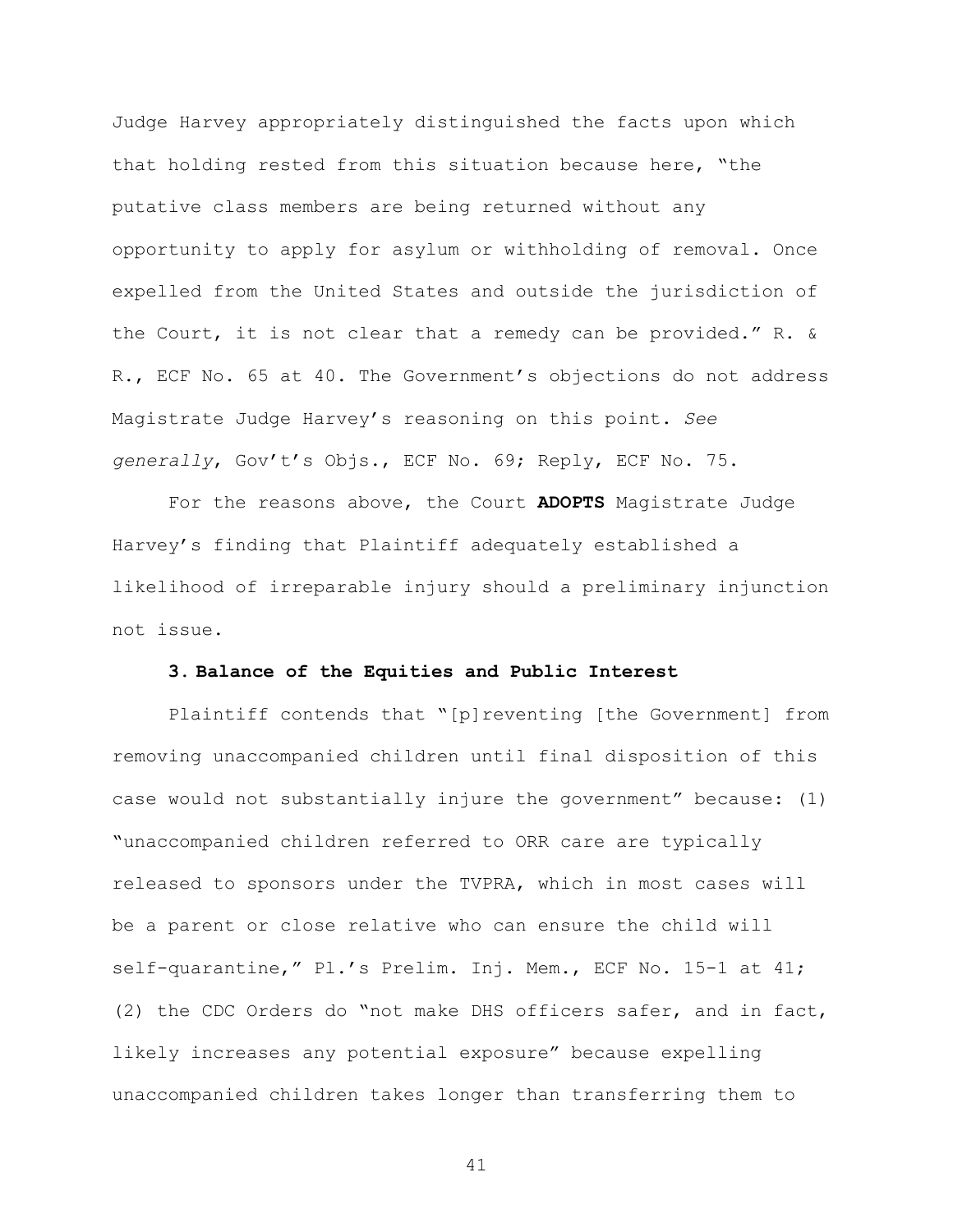Judge Harvey appropriately distinguished the facts upon which that holding rested from this situation because here, "the putative class members are being returned without any opportunity to apply for asylum or withholding of removal. Once expelled from the United States and outside the jurisdiction of the Court, it is not clear that a remedy can be provided." R. & R., ECF No. 65 at 40. The Government's objections do not address Magistrate Judge Harvey's reasoning on this point. *See generally*, Gov't's Objs., ECF No. 69; Reply, ECF No. 75.

For the reasons above, the Court **ADOPTS** Magistrate Judge Harvey's finding that Plaintiff adequately established a likelihood of irreparable injury should a preliminary injunction not issue.

#### **3. Balance of the Equities and Public Interest**

Plaintiff contends that "[p]reventing [the Government] from removing unaccompanied children until final disposition of this case would not substantially injure the government" because: (1) "unaccompanied children referred to ORR care are typically released to sponsors under the TVPRA, which in most cases will be a parent or close relative who can ensure the child will self-quarantine," Pl.'s Prelim. Inj. Mem., ECF No. 15-1 at 41; (2) the CDC Orders do "not make DHS officers safer, and in fact, likely increases any potential exposure" because expelling unaccompanied children takes longer than transferring them to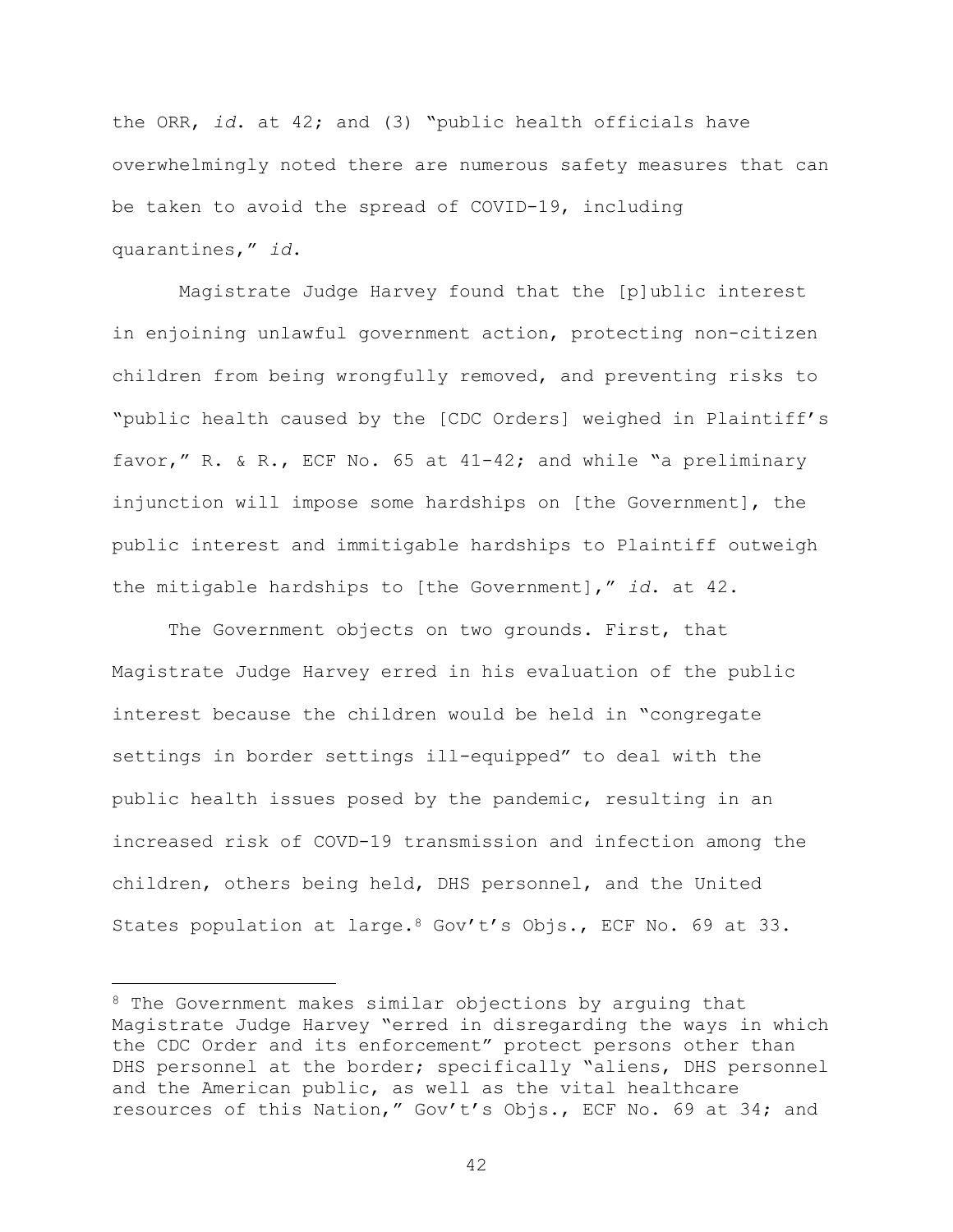the ORR, *id*. at 42; and (3) "public health officials have overwhelmingly noted there are numerous safety measures that can be taken to avoid the spread of COVID-19, including quarantines," *id*.

Magistrate Judge Harvey found that the [p]ublic interest in enjoining unlawful government action, protecting non-citizen children from being wrongfully removed, and preventing risks to "public health caused by the [CDC Orders] weighed in Plaintiff's favor," R. & R., ECF No. 65 at 41-42; and while "a preliminary injunction will impose some hardships on [the Government], the public interest and immitigable hardships to Plaintiff outweigh the mitigable hardships to [the Government]," *id*. at 42.

The Government objects on two grounds. First, that Magistrate Judge Harvey erred in his evaluation of the public interest because the children would be held in "congregate settings in border settings ill-equipped" to deal with the public health issues posed by the pandemic, resulting in an increased risk of COVD-19 transmission and infection among the children, others being held, DHS personnel, and the United States population at large.<sup>8</sup> Gov't's Objs., ECF No. 69 at 33.

L,

<sup>&</sup>lt;sup>8</sup> The Government makes similar objections by arguing that Magistrate Judge Harvey "erred in disregarding the ways in which the CDC Order and its enforcement" protect persons other than DHS personnel at the border; specifically "aliens, DHS personnel and the American public, as well as the vital healthcare resources of this Nation," Gov't's Objs., ECF No. 69 at 34; and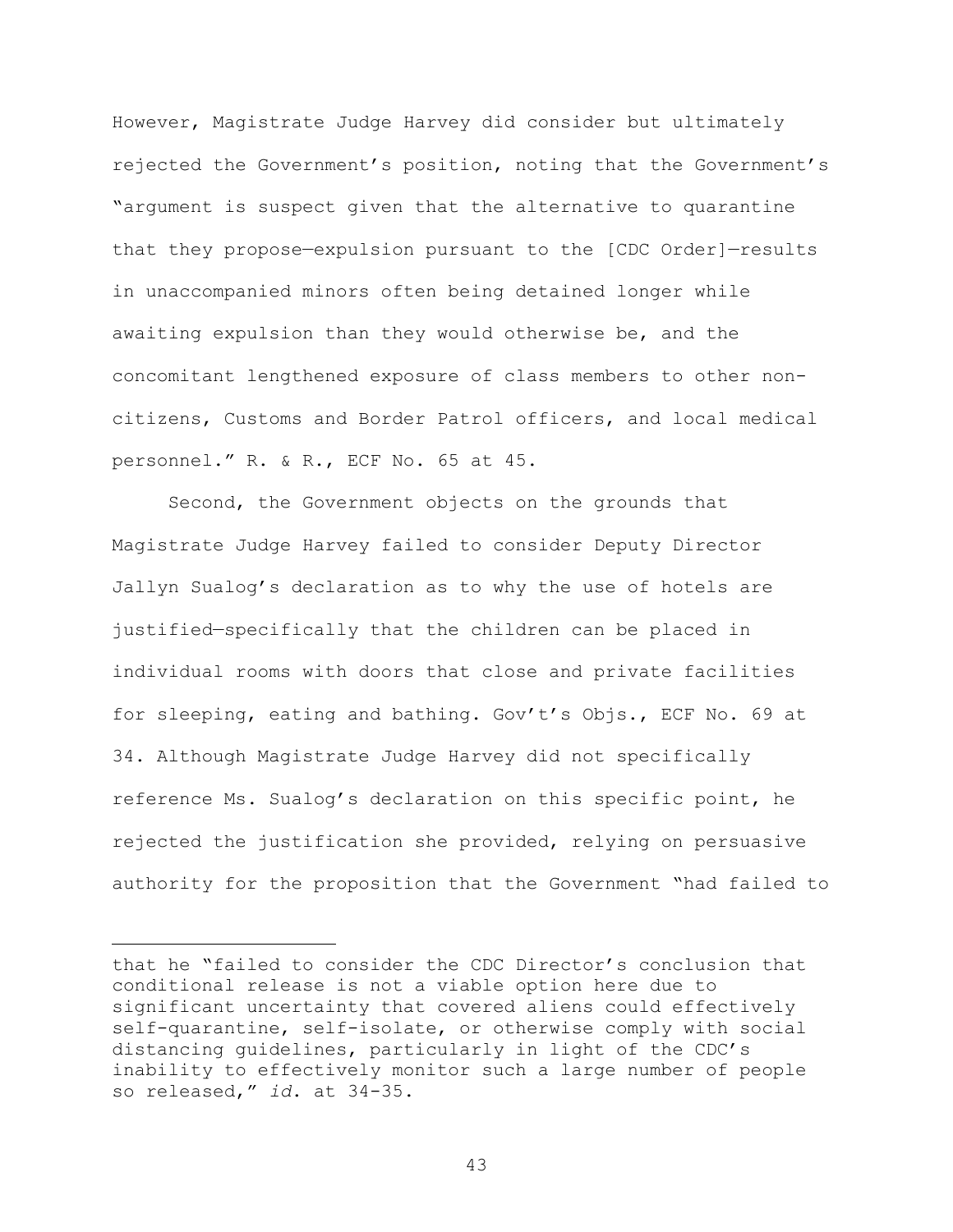However, Magistrate Judge Harvey did consider but ultimately rejected the Government's position, noting that the Government's "argument is suspect given that the alternative to quarantine that they propose—expulsion pursuant to the [CDC Order]—results in unaccompanied minors often being detained longer while awaiting expulsion than they would otherwise be, and the concomitant lengthened exposure of class members to other noncitizens, Customs and Border Patrol officers, and local medical personnel." R. & R., ECF No. 65 at 45.

Second, the Government objects on the grounds that Magistrate Judge Harvey failed to consider Deputy Director Jallyn Sualog's declaration as to why the use of hotels are justified—specifically that the children can be placed in individual rooms with doors that close and private facilities for sleeping, eating and bathing. Gov't's Objs., ECF No. 69 at 34. Although Magistrate Judge Harvey did not specifically reference Ms. Sualog's declaration on this specific point, he rejected the justification she provided, relying on persuasive authority for the proposition that the Government "had failed to

i<br>L

that he "failed to consider the CDC Director's conclusion that conditional release is not a viable option here due to significant uncertainty that covered aliens could effectively self-quarantine, self-isolate, or otherwise comply with social distancing guidelines, particularly in light of the CDC's inability to effectively monitor such a large number of people so released," *id*. at 34-35.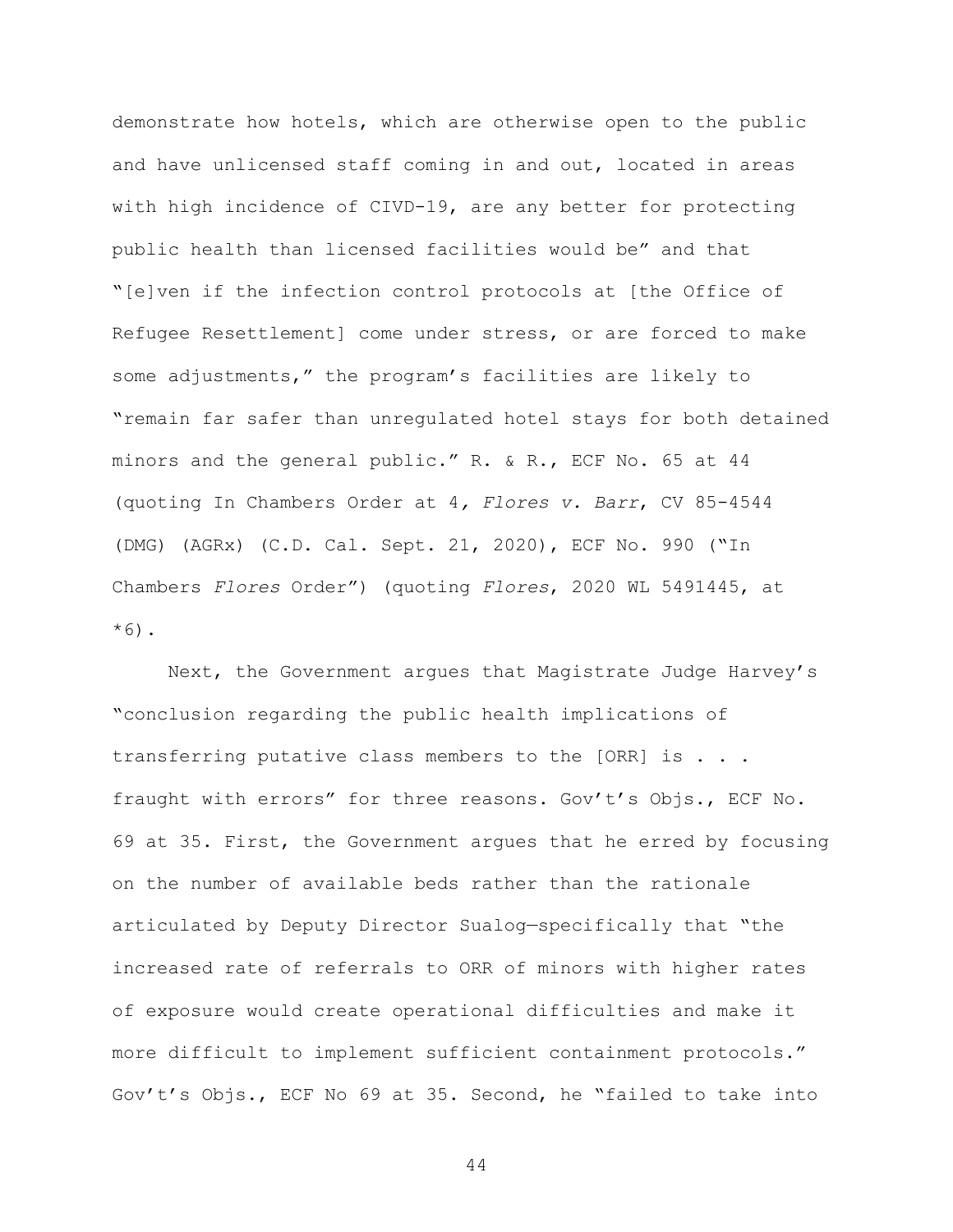demonstrate how hotels, which are otherwise open to the public and have unlicensed staff coming in and out, located in areas with high incidence of CIVD-19, are any better for protecting public health than licensed facilities would be" and that "[e]ven if the infection control protocols at [the Office of Refugee Resettlement] come under stress, or are forced to make some adjustments," the program's facilities are likely to "remain far safer than unregulated hotel stays for both detained minors and the general public." R. & R., ECF No. 65 at 44 (quoting In Chambers Order at 4*, Flores v. Barr*, CV 85-4544 (DMG) (AGRx) (C.D. Cal. Sept. 21, 2020), ECF No. 990 ("In Chambers *Flores* Order") (quoting *Flores*, 2020 WL 5491445, at  $*6$ ).

Next, the Government argues that Magistrate Judge Harvey's "conclusion regarding the public health implications of transferring putative class members to the [ORR] is . . . fraught with errors" for three reasons. Gov't's Objs., ECF No. 69 at 35. First, the Government argues that he erred by focusing on the number of available beds rather than the rationale articulated by Deputy Director Sualog—specifically that "the increased rate of referrals to ORR of minors with higher rates of exposure would create operational difficulties and make it more difficult to implement sufficient containment protocols." Gov't's Objs., ECF No 69 at 35. Second, he "failed to take into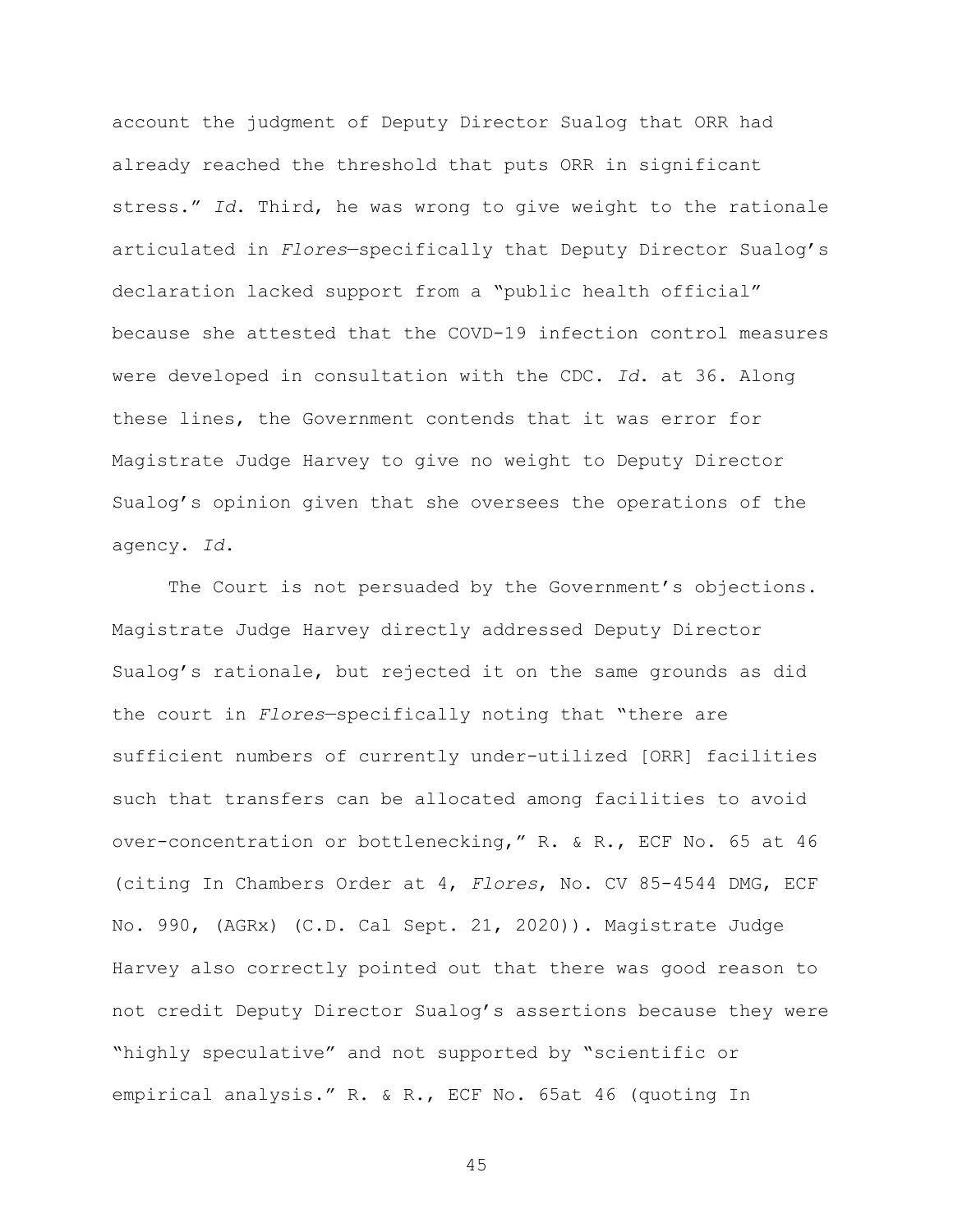account the judgment of Deputy Director Sualog that ORR had already reached the threshold that puts ORR in significant stress." *Id*. Third, he was wrong to give weight to the rationale articulated in *Flores*—specifically that Deputy Director Sualog's declaration lacked support from a "public health official" because she attested that the COVD-19 infection control measures were developed in consultation with the CDC. *Id*. at 36. Along these lines, the Government contends that it was error for Magistrate Judge Harvey to give no weight to Deputy Director Sualog's opinion given that she oversees the operations of the agency. *Id*.

The Court is not persuaded by the Government's objections. Magistrate Judge Harvey directly addressed Deputy Director Sualog's rationale, but rejected it on the same grounds as did the court in *Flores*—specifically noting that "there are sufficient numbers of currently under-utilized [ORR] facilities such that transfers can be allocated among facilities to avoid over-concentration or bottlenecking," R. & R., ECF No. 65 at 46 (citing In Chambers Order at 4, *Flores*, No. CV 85-4544 DMG, ECF No. 990, (AGRx) (C.D. Cal Sept. 21, 2020)). Magistrate Judge Harvey also correctly pointed out that there was good reason to not credit Deputy Director Sualog's assertions because they were "highly speculative" and not supported by "scientific or empirical analysis." R. & R., ECF No. 65at 46 (quoting In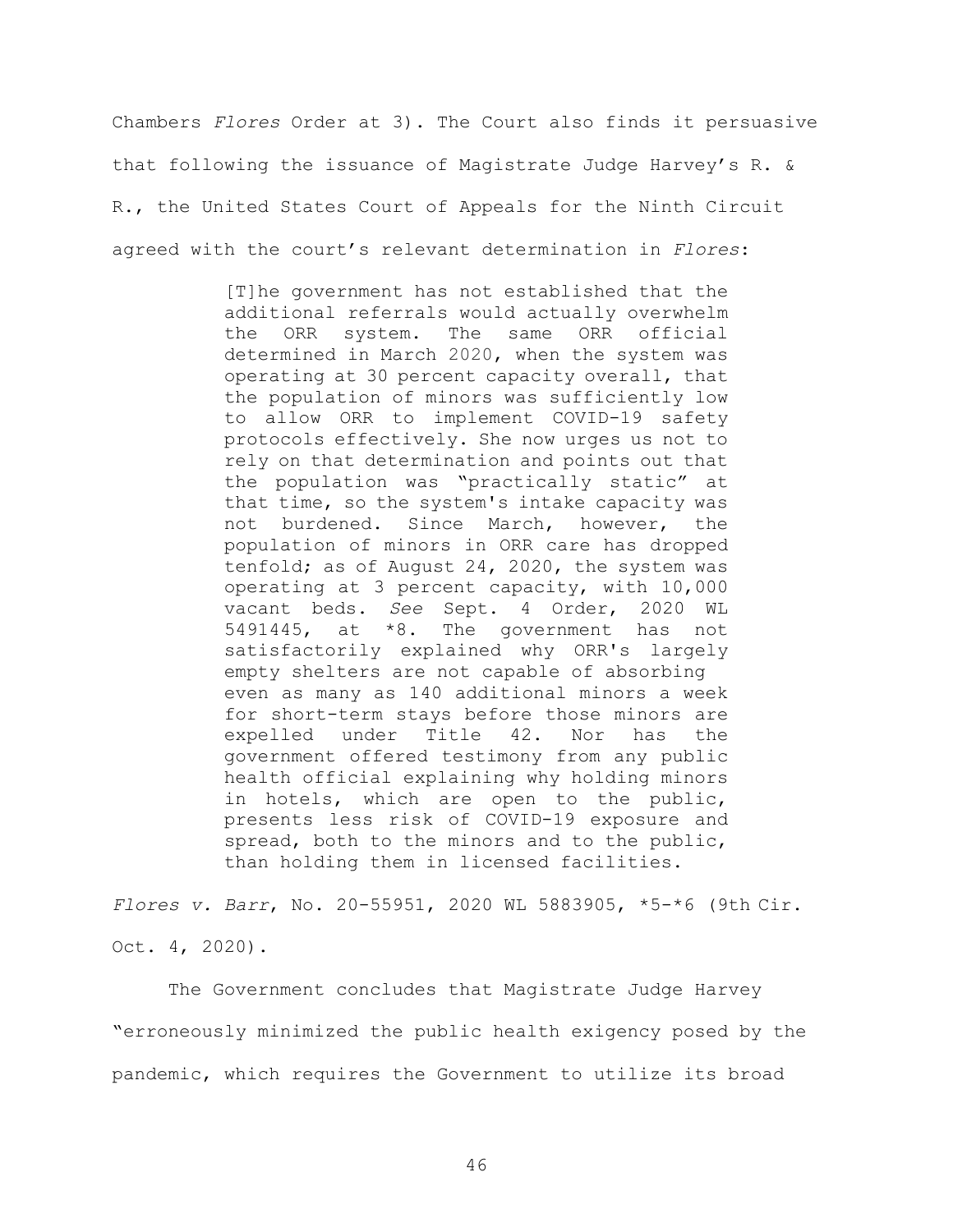Chambers *Flores* Order at 3). The Court also finds it persuasive that following the issuance of Magistrate Judge Harvey's R. & R., the United States Court of Appeals for the Ninth Circuit agreed with the court's relevant determination in *Flores*:

> [T]he government has not established that the additional referrals would actually overwhelm the ORR system. The same ORR official determined in March 2020, when the system was operating at 30 percent capacity overall, that the population of minors was sufficiently low to allow ORR to implement COVID-19 safety protocols effectively. She now urges us not to rely on that determination and points out that the population was "practically static" at that time, so the system's intake capacity was not burdened. Since March, however, the population of minors in ORR care has dropped tenfold; as of August 24, 2020, the system was operating at 3 percent capacity, with 10,000 vacant beds. *See* Sept. 4 Order, 2020 WL 5491445, at \*8. The government has not satisfactorily explained why ORR's largely empty shelters are not capable of absorbing even as many as 140 additional minors a week for short-term stays before those minors are expelled under Title 42. Nor has the government offered testimony from any public health official explaining why holding minors in hotels, which are open to the public, presents less risk of COVID-19 exposure and spread, both to the minors and to the public, than holding them in licensed facilities.

*Flores v. Barr*, No. 20-55951, 2020 WL 5883905, \*5-\*6 (9th Cir. Oct. 4, 2020).

The Government concludes that Magistrate Judge Harvey "erroneously minimized the public health exigency posed by the pandemic, which requires the Government to utilize its broad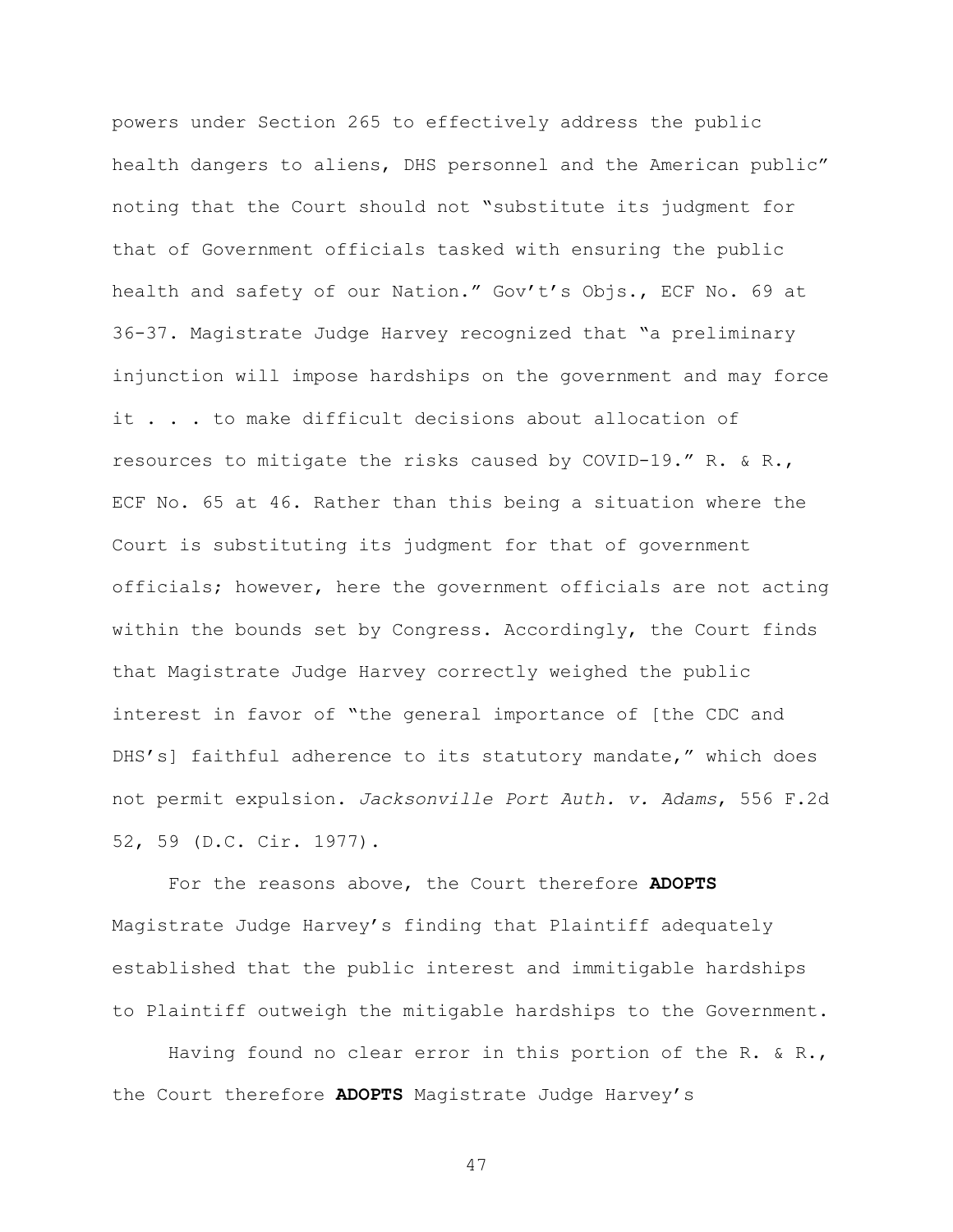powers under Section 265 to effectively address the public health dangers to aliens, DHS personnel and the American public" noting that the Court should not "substitute its judgment for that of Government officials tasked with ensuring the public health and safety of our Nation." Gov't's Objs., ECF No. 69 at 36-37. Magistrate Judge Harvey recognized that "a preliminary injunction will impose hardships on the government and may force it . . . to make difficult decisions about allocation of resources to mitigate the risks caused by COVID-19." R. & R., ECF No. 65 at 46. Rather than this being a situation where the Court is substituting its judgment for that of government officials; however, here the government officials are not acting within the bounds set by Congress. Accordingly, the Court finds that Magistrate Judge Harvey correctly weighed the public interest in favor of "the general importance of [the CDC and DHS's] faithful adherence to its statutory mandate," which does not permit expulsion. *Jacksonville Port Auth. v. Adams*, 556 F.2d 52, 59 (D.C. Cir. 1977).

For the reasons above, the Court therefore **ADOPTS** Magistrate Judge Harvey's finding that Plaintiff adequately established that the public interest and immitigable hardships to Plaintiff outweigh the mitigable hardships to the Government.

Having found no clear error in this portion of the R. & R., the Court therefore **ADOPTS** Magistrate Judge Harvey's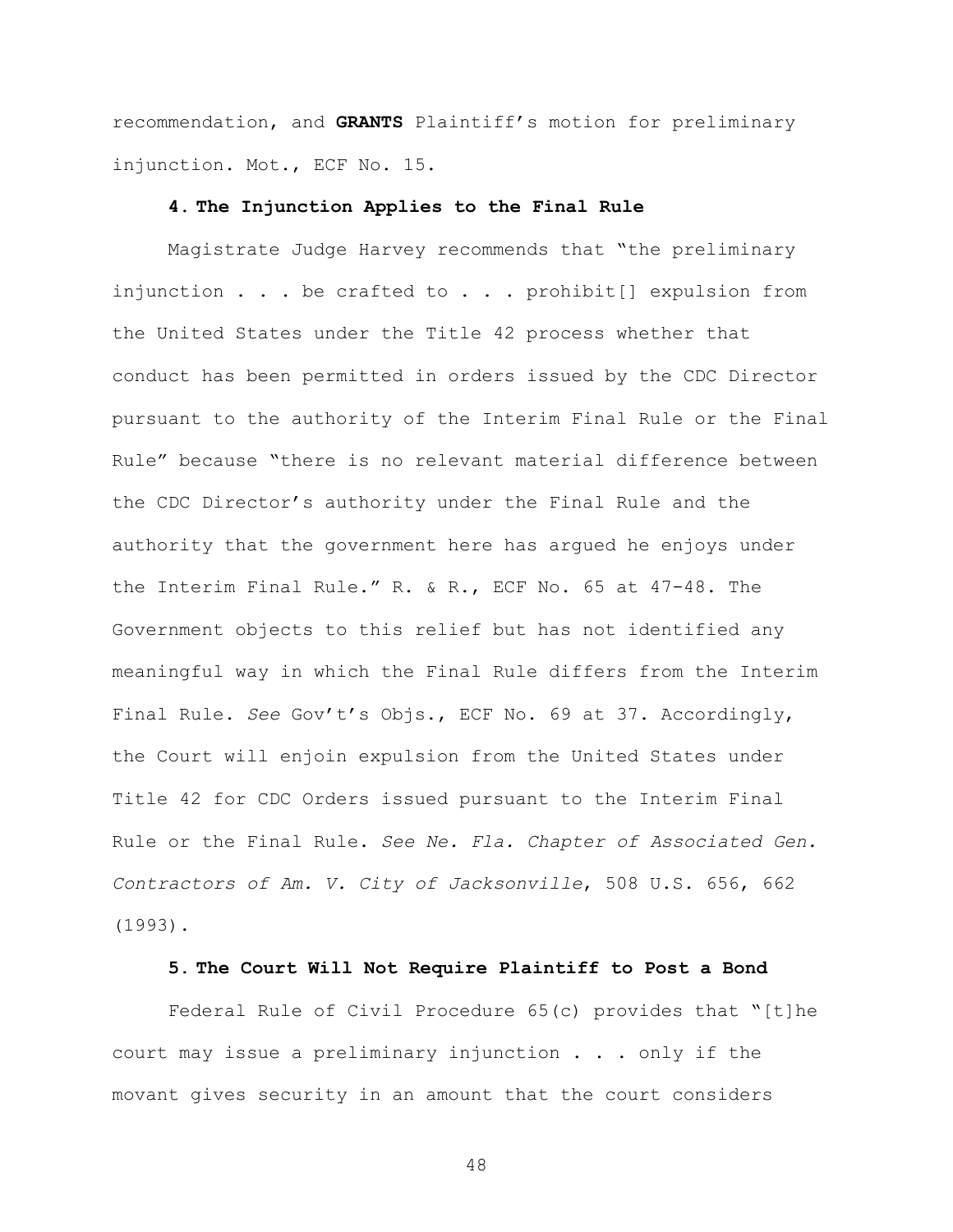recommendation, and **GRANTS** Plaintiff's motion for preliminary injunction. Mot., ECF No. 15.

### **4. The Injunction Applies to the Final Rule**

Magistrate Judge Harvey recommends that "the preliminary injunction . . . be crafted to . . . prohibit[] expulsion from the United States under the Title 42 process whether that conduct has been permitted in orders issued by the CDC Director pursuant to the authority of the Interim Final Rule or the Final Rule" because "there is no relevant material difference between the CDC Director's authority under the Final Rule and the authority that the government here has argued he enjoys under the Interim Final Rule." R. & R., ECF No. 65 at 47-48. The Government objects to this relief but has not identified any meaningful way in which the Final Rule differs from the Interim Final Rule. *See* Gov't's Objs., ECF No. 69 at 37. Accordingly, the Court will enjoin expulsion from the United States under Title 42 for CDC Orders issued pursuant to the Interim Final Rule or the Final Rule. *See Ne. Fla. Chapter of Associated Gen. Contractors of Am. V. City of Jacksonville*, 508 U.S. 656, 662 (1993).

### **5. The Court Will Not Require Plaintiff to Post a Bond**

Federal Rule of Civil Procedure 65(c) provides that "[t]he court may issue a preliminary injunction . . . only if the movant gives security in an amount that the court considers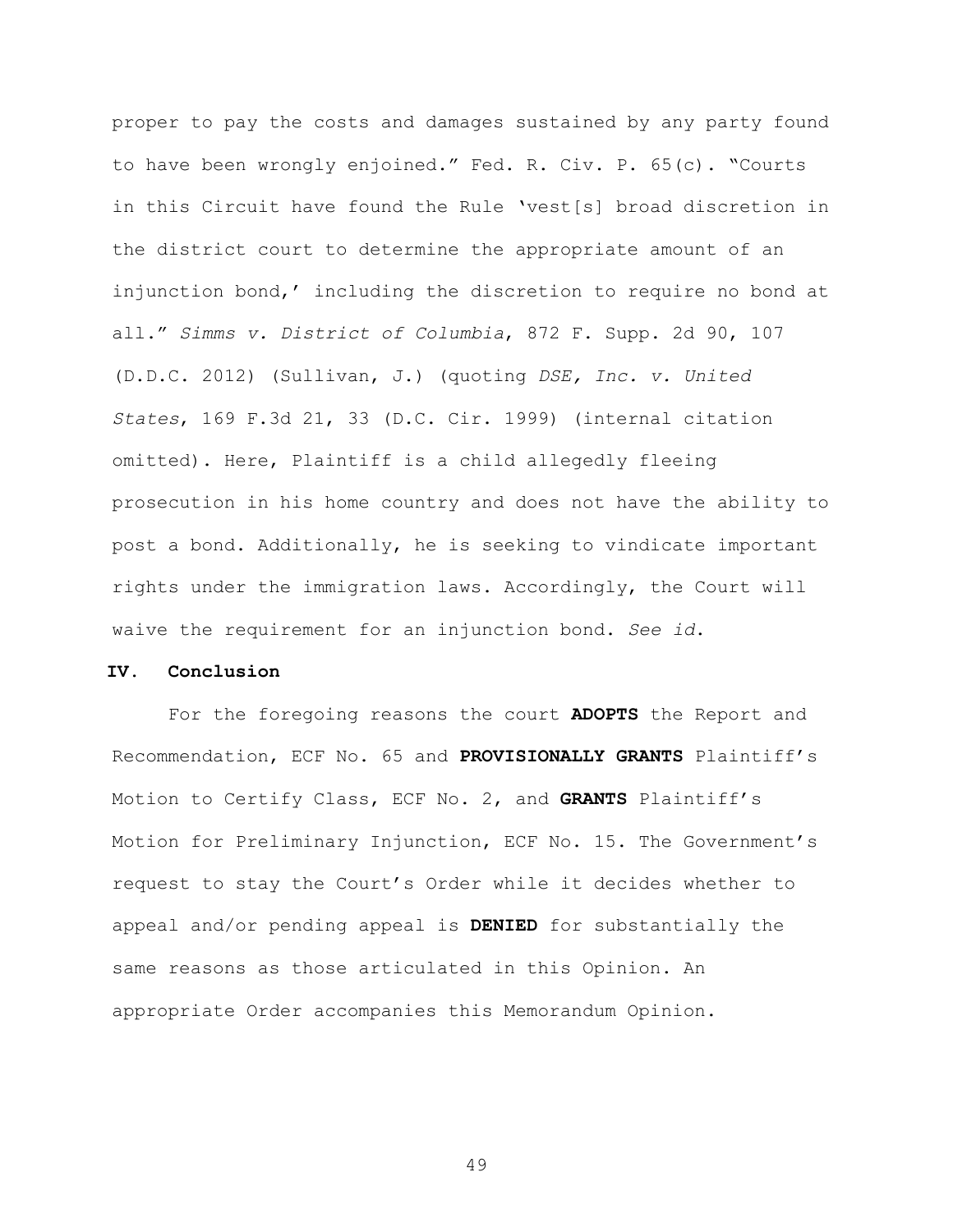proper to pay the costs and damages sustained by any party found to have been wrongly enjoined." Fed. R. Civ. P. 65(c). "Courts in this Circuit have found the Rule 'vest[s] broad discretion in the district court to determine the appropriate amount of an injunction bond,' including the discretion to require no bond at all." *Simms v. District of Columbia*, 872 F. Supp. 2d 90, 107 (D.D.C. 2012) (Sullivan, J.) (quoting *DSE, Inc. v. United States*, 169 F.3d 21, 33 (D.C. Cir. 1999) (internal citation omitted). Here, Plaintiff is a child allegedly fleeing prosecution in his home country and does not have the ability to post a bond. Additionally, he is seeking to vindicate important rights under the immigration laws. Accordingly, the Court will waive the requirement for an injunction bond. *See id*.

# **IV. Conclusion**

For the foregoing reasons the court **ADOPTS** the Report and Recommendation, ECF No. 65 and **PROVISIONALLY GRANTS** Plaintiff's Motion to Certify Class, ECF No. 2, and **GRANTS** Plaintiff's Motion for Preliminary Injunction, ECF No. 15. The Government's request to stay the Court's Order while it decides whether to appeal and/or pending appeal is **DENIED** for substantially the same reasons as those articulated in this Opinion. An appropriate Order accompanies this Memorandum Opinion.